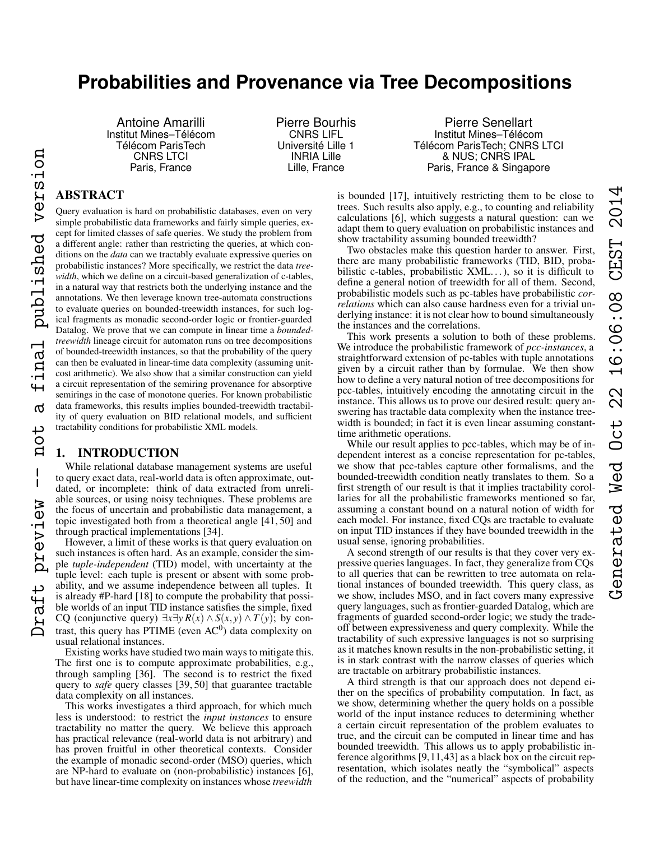# **Probabilities and Provenance via Tree Decompositions**

Antoine Amarilli Institut Mines–Télécom Télécom ParisTech CNRS LTCI Paris, France

Pierre Bourhis CNRS LIFL Université Lille 1 INRIA Lille Lille, France

Pierre Senellart Institut Mines–Télécom Télécom ParisTech; CNRS LTCI & NUS; CNRS IPAL Paris, France & Singapore

# ABSTRACT

inal published version

൪

not

 $\overline{\phantom{a}}$  $\mathbf{I}$ 

preview

Query evaluation is hard on probabilistic databases, even on very simple probabilistic data frameworks and fairly simple queries, except for limited classes of safe queries. We study the problem from a different angle: rather than restricting the queries, at which conditions on the *data* can we tractably evaluate expressive queries on probabilistic instances? More specifically, we restrict the data *treewidth*, which we define on a circuit-based generalization of c-tables, in a natural way that restricts both the underlying instance and the annotations. We then leverage known tree-automata constructions to evaluate queries on bounded-treewidth instances, for such logical fragments as monadic second-order logic or frontier-guarded Datalog. We prove that we can compute in linear time a *boundedtreewidth* lineage circuit for automaton runs on tree decompositions of bounded-treewidth instances, so that the probability of the query can then be evaluated in linear-time data complexity (assuming unitcost arithmetic). We also show that a similar construction can yield a circuit representation of the semiring provenance for absorptive semirings in the case of monotone queries. For known probabilistic data frameworks, this results implies bounded-treewidth tractability of query evaluation on BID relational models, and sufficient tractability conditions for probabilistic XML models.

# 1. INTRODUCTION

While relational database management systems are useful to query exact data, real-world data is often approximate, outdated, or incomplete: think of data extracted from unreliable sources, or using noisy techniques. These problems are the focus of uncertain and probabilistic data management, a topic investigated both from a theoretical angle [41, 50] and through practical implementations [34].

However, a limit of these works is that query evaluation on such instances is often hard. As an example, consider the simple *tuple-independent* (TID) model, with uncertainty at the tuple level: each tuple is present or absent with some probability, and we assume independence between all tuples. It is already #P-hard [18] to compute the probability that possible worlds of an input TID instance satisfies the simple, fixed CQ (conjunctive query)  $\exists x \exists y R(x) \land S(x, y) \land T(y)$ ; by contrast, this query has PTIME (even  $AC<sup>0</sup>$ ) data complexity on usual relational instances. Draft preview -- not a final published version

Existing works have studied two main ways to mitigate this. The first one is to compute approximate probabilities, e.g., through sampling [36]. The second is to restrict the fixed query to *safe* query classes [39, 50] that guarantee tractable data complexity on all instances.

This works investigates a third approach, for which much less is understood: to restrict the *input instances* to ensure tractability no matter the query. We believe this approach has practical relevance (real-world data is not arbitrary) and has proven fruitful in other theoretical contexts. Consider the example of monadic second-order (MSO) queries, which are NP-hard to evaluate on (non-probabilistic) instances [6], but have linear-time complexity on instances whose *treewidth*

is bounded [17], intuitively restricting them to be close to trees. Such results also apply, e.g., to counting and reliability calculations [6], which suggests a natural question: can we adapt them to query evaluation on probabilistic instances and show tractability assuming bounded treewidth?

Two obstacles make this question harder to answer. First, there are many probabilistic frameworks (TID, BID, probabilistic c-tables, probabilistic  $XML...$ ), so it is difficult to define a general notion of treewidth for all of them. Second, probabilistic models such as pc-tables have probabilistic *correlations* which can also cause hardness even for a trivial underlying instance: it is not clear how to bound simultaneously the instances and the correlations.

This work presents a solution to both of these problems. We introduce the probabilistic framework of *pcc-instances*, a straightforward extension of pc-tables with tuple annotations given by a circuit rather than by formulae. We then show how to define a very natural notion of tree decompositions for pcc-tables, intuitively encoding the annotating circuit in the instance. This allows us to prove our desired result: query answering has tractable data complexity when the instance treewidth is bounded; in fact it is even linear assuming constanttime arithmetic operations.

While our result applies to pcc-tables, which may be of independent interest as a concise representation for pc-tables, we show that pcc-tables capture other formalisms, and the bounded-treewidth condition neatly translates to them. So a first strength of our result is that it implies tractability corollaries for all the probabilistic frameworks mentioned so far, assuming a constant bound on a natural notion of width for each model. For instance, fixed CQs are tractable to evaluate on input TID instances if they have bounded treewidth in the usual sense, ignoring probabilities.

A second strength of our results is that they cover very expressive queries languages. In fact, they generalize from CQs to all queries that can be rewritten to tree automata on relational instances of bounded treewidth. This query class, as we show, includes MSO, and in fact covers many expressive query languages, such as frontier-guarded Datalog, which are fragments of guarded second-order logic; we study the tradeoff between expressiveness and query complexity. While the tractability of such expressive languages is not so surprising as it matches known results in the non-probabilistic setting, it is in stark contrast with the narrow classes of queries which are tractable on arbitrary probabilistic instances.

A third strength is that our approach does not depend either on the specifics of probability computation. In fact, as we show, determining whether the query holds on a possible world of the input instance reduces to determining whether a certain circuit representation of the problem evaluates to true, and the circuit can be computed in linear time and has bounded treewidth. This allows us to apply probabilistic inference algorithms [9,11,43] as a black box on the circuit representation, which isolates neatly the "symbolical" aspects of the reduction, and the "numerical" aspects of probability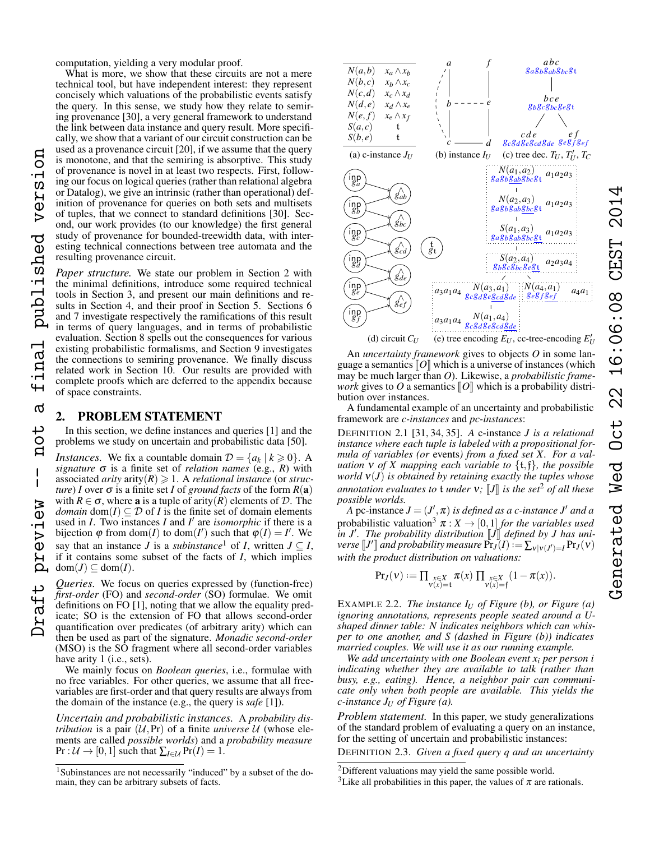computation, yielding a very modular proof.

What is more, we show that these circuits are not a mere technical tool, but have independent interest: they represent concisely which valuations of the probabilistic events satisfy the query. In this sense, we study how they relate to semiring provenance [30], a very general framework to understand the link between data instance and query result. More specifically, we show that a variant of our circuit construction can be used as a provenance circuit [20], if we assume that the query is monotone, and that the semiring is absorptive. This study of provenance is novel in at least two respects. First, following our focus on logical queries (rather than relational algebra or Datalog), we give an intrinsic (rather than operational) definition of provenance for queries on both sets and multisets of tuples, that we connect to standard definitions [30]. Second, our work provides (to our knowledge) the first general study of provenance for bounded-treewidth data, with interesting technical connections between tree automata and the resulting provenance circuit.

*Paper structure.* We state our problem in Section [2](#page-1-0) with the minimal definitions, introduce some required technical tools in Section [3,](#page-2-0) and present our main definitions and results in Section [4,](#page-3-0) and their proof in Section [5.](#page-5-0) Sections [6](#page-6-0) and [7](#page-6-1) investigate respectively the ramifications of this result in terms of query languages, and in terms of probabilistic evaluation. Section [8](#page-7-0) spells out the consequences for various existing probabilistic formalisms, and Section [9](#page-8-0) investigates the connections to semiring provenance. We finally discuss related work in Section [10.](#page-10-0) Our results are provided with complete proofs which are deferred to the appendix because of space constraints.

# <span id="page-1-0"></span>2. PROBLEM STATEMENT

In this section, we define instances and queries [1] and the problems we study on uncertain and probabilistic data [50].

*Instances.* We fix a countable domain  $\mathcal{D} = \{a_k \mid k \geq 0\}$ . A *signature*  $\sigma$  is a finite set of *relation names* (e.g., *R*) with associated *arity* arity( $R$ )  $\geq$  1. A *relational instance* (or *structure*) *I* over  $\sigma$  is a finite set *I* of *ground facts* of the form  $R(a)$ with  $R \in \sigma$ , where **a** is a tuple of arity(*R*) elements of *D*. The *domain* dom(*I*)  $\subseteq$  *D* of *I* is the finite set of domain elements used in *I*. Two instances *I* and *I'* are *isomorphic* if there is a bijection  $\varphi$  from dom(*I*) to dom(*I*<sup>'</sup>) such that  $\varphi$ (*I*) = *I*<sup>'</sup>. We say that an instance *J* is a *subinstance*<sup>[1](#page-1-1)</sup> of *I*, written  $J \subseteq I$ , if it contains some subset of the facts of *I*, which implies  $dom(J) \subseteq dom(I)$ .

*Queries.* We focus on queries expressed by (function-free) *first-order* (FO) and *second-order* (SO) formulae. We omit definitions on FO [1], noting that we allow the equality predicate; SO is the extension of FO that allows second-order quantification over predicates (of arbitrary arity) which can then be used as part of the signature. *Monadic second-order* (MSO) is the SO fragment where all second-order variables have arity 1 (i.e., sets).

We mainly focus on *Boolean queries*, i.e., formulae with no free variables. For other queries, we assume that all freevariables are first-order and that query results are always from the domain of the instance (e.g., the query is *safe* [1]).

*Uncertain and probabilistic instances.* A *probability distribution* is a pair  $(U,Pr)$  of a finite *universe*  $U$  (whose elements are called *possible worlds*) and a *probability measure*  $Pr : U \rightarrow [0,1]$  such that  $\sum_{I \in U} Pr(I) = 1$ .



An *uncertainty framework* gives to objects *O* in some language a semantics  $\llbracket O \rrbracket$  which is a universe of instances (which may be much larger than *O*). Likewise, a *probabilistic framework* gives to *O* a semantics  $\llbracket O \rrbracket$  which is a probability distribution over instances.

A fundamental example of an uncertainty and probabilistic framework are *c-instances* and *pc-instances*:

Generated Wed Oct 22 16:06:08 CEST 2014

 $22$ 

Oct

Ved

Generated

16:06:08

DEFINITION 2.1 [31, 34, 35]. *A* c-instance *J is a relational instance where each tuple is labeled with a propositional formula of variables (or* events*) from a fixed set X. For a valuation* ν *of X mapping each variable to* {t,f}*, the possible world* ν(*J*) *is obtained by retaining exactly the tuples whose annotation evaluates to*  $t$  *under*  $v$ *;*  $J$ *l is the set*<sup>[2](#page-1-2)</sup> *of all these possible worlds.*

*A* pc-instance  $J = (J', \pi)$  *is defined as a c-instance J<sup>1</sup> and a* probabilistic valuation<sup>[3](#page-1-3)</sup>  $\pi$  :  $X \rightarrow [0,1]$  *for the variables used in J'. The probability distribution*  $\llbracket J \rrbracket$  *defined by J has uni-*<br>verse  $\llbracket I \rrbracket$  and probability measure  $Pr(I) := \sum_{\forall j} Pr(I \vee j$ *verse*  $[J']$  and probability measure  $\Pr_J^{\mathsf{r}}(I) := \sum_{v|v(J')=I} \Pr_J(v)$ <br>with the product distribution on valuations: *with the product distribution on valuations:*

$$
\Pr_{J}(\nu) := \textstyle \prod_{\substack{x \in X \\ \nu(x) = \mathfrak{t}}} \pi(x) \textstyle \prod_{\substack{x \in X \\ \nu(x) = \mathfrak{f}}} (1 - \pi(x)).
$$

EXAMPLE 2.2. *The instance I<sup>U</sup> of Figure (b), or Figure (a) ignoring annotations, represents people seated around a Ushaped dinner table: N indicates neighbors which can whisper to one another, and S (dashed in Figure (b)) indicates married couples. We will use it as our running example.*

*We add uncertainty with one Boolean event x<sup>i</sup> per person i indicating whether they are available to talk (rather than busy, e.g., eating). Hence, a neighbor pair can communicate only when both people are available. This yields the c-instance J<sup>U</sup> of Figure (a).*

*Problem statement.* In this paper, we study generalizations of the standard problem of evaluating a query on an instance, for the setting of uncertain and probabilistic instances:

DEFINITION 2.3. *Given a fixed query q and an uncertainty*

<span id="page-1-1"></span><sup>1</sup>Subinstances are not necessarily "induced" by a subset of the domain, they can be arbitrary subsets of facts.

<span id="page-1-2"></span><sup>&</sup>lt;sup>2</sup>Different valuations may yield the same possible world.

<span id="page-1-3"></span><sup>&</sup>lt;sup>3</sup>Like all probabilities in this paper, the values of  $\pi$  are rationals.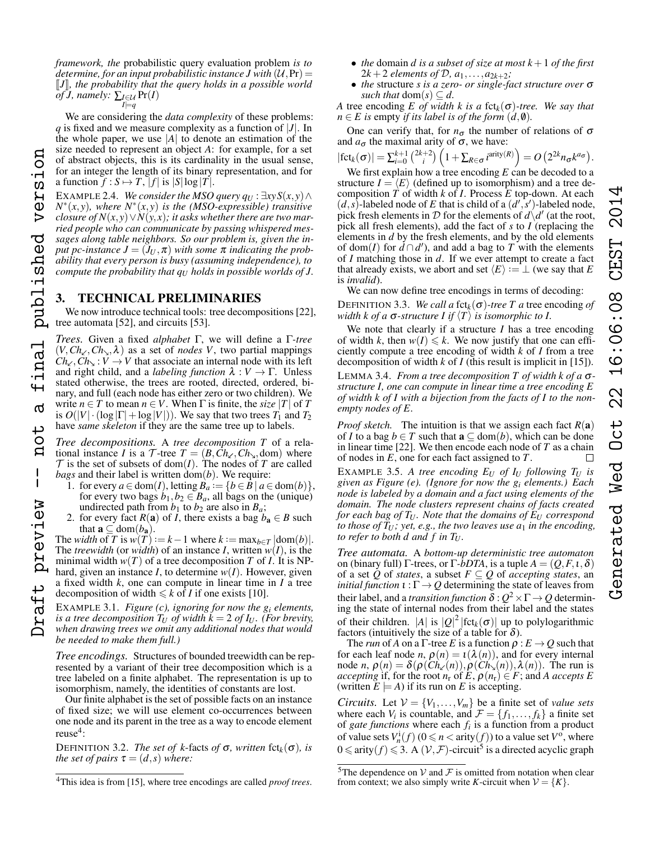*framework, the* probabilistic query evaluation problem *is to determine, for an input probabilistic instance J with*  $(U,Pr) =$ *[J], the probability that the query holds in a possible world*  $\tilde{f}$ *J, namely:*  $\sum_{I \in \mathcal{U}} \Pr(I)$ 

We are considering the *data complexity* of these problems: *q* is fixed and we measure complexity as a function of |*J*|. In the whole paper, we use  $|A|$  to denote an estimation of the size needed to represent an object *A*: for example, for a set of abstract objects, this is its cardinality in the usual sense, for an integer the length of its binary representation, and for a function  $f : S \mapsto T$ ,  $|f|$  is  $|S| \log |T|$ .

EXAMPLE 2.4. *We consider the MSO query*  $q_U : \exists xy S(x, y) \land$ *N* ∗ (*x*, *y*)*, where N*<sup>∗</sup> (*x*, *y*) *is the (MSO-expressible) transitive closure of*  $N(x, y) \vee N(y, x)$ ; *it asks whether there are two married people who can communicate by passing whispered messages along table neighbors. So our problem is, given the input pc-instance*  $J = (J_U, π)$  *with some* π *indicating the probability that every person is busy (assuming independence), to compute the probability that q<sup>U</sup> holds in possible worlds of J.*

# <span id="page-2-0"></span>3. TECHNICAL PRELIMINARIES

We now introduce technical tools: tree decompositions [22], tree automata [52], and circuits [53].

*Trees.* Given a fixed *alphabet* Γ, we will define a Γ*-tree*  $(V, Ch_{\alpha}, Ch_{\alpha}, \lambda)$  as a set of *nodes V*, two partial mappings  $Ch_{\lt}$ ,  $Ch_{\gt}$ :  $V \to V$  that associate an internal node with its left and right child, and a *labeling function*  $\lambda : V \to \Gamma$ . Unless stated otherwise, the trees are rooted, directed, ordered, binary, and full (each node has either zero or two children). We write  $n \in T$  to mean  $n \in V$ . When  $\Gamma$  is finite, the *size* |*T*| of *T* is  $O(|V| \cdot (\log |\Gamma| + \log |V|))$ . We say that two trees  $T_1$  and  $T_2$ have *same skeleton* if they are the same tree up to labels.

*Tree decompositions.* A *tree decomposition T* of a relational instance *I* is a  $\mathcal{T}$ -tree  $T = (B, Ch_{\ell}, Ch_{\nu}, dom)$  where  $T$  is the set of subsets of dom(*I*). The nodes of *T* are called *bags* and their label is written  $\text{dom}(b)$ . We require:

- 1. for every  $a \in \text{dom}(I)$ , letting  $B_a := \{b \in \mathbf{B} \mid a \in \text{dom}(b)\},$ for every two bags  $b_1, b_2 \in B_a$ , all bags on the (unique) undirected path from  $b_1$  to  $b_2$  are also in  $B_a$ ;
- 2. for every fact  $R(a)$  of *I*, there exists a bag  $b_a \in B$  such that  $\mathbf{a} \subseteq \text{dom}(b_{\mathbf{a}})$ .

The *width* of *T* is  $w(T) := k - 1$  where  $k := \max_{b \in T} |\text{dom}(b)|$ . The *treewidth* (or *width*) of an instance *I*, written  $w(I)$ , is the minimal width  $w(T)$  of a tree decomposition *T* of *I*. It is NPhard, given an instance  $I$ , to determine  $w(I)$ . However, given a fixed width *k*, one can compute in linear time in *I* a tree decomposition of width  $\leq k$  of *I* if one exists [10].

EXAMPLE 3.1. *Figure (c), ignoring for now the g<sup>i</sup> elements, is a tree decomposition*  $T_U$  *of width*  $k = 2$  *of*  $I_U$ *. (For brevity, when drawing trees we omit any additional nodes that would be needed to make them full.)*

*Tree encodings.* Structures of bounded treewidth can be represented by a variant of their tree decomposition which is a tree labeled on a finite alphabet. The representation is up to isomorphism, namely, the identities of constants are lost.

Our finite alphabet is the set of possible facts on an instance of fixed size; we will use element co-occurrences between one node and its parent in the tree as a way to encode element reuse<sup>[4](#page-2-1)</sup>:

DEFINITION 3.2. *The set of k*-facts *of*  $\sigma$ *, written* fct<sub>*k*</sub>( $\sigma$ )*, is the set of pairs*  $\tau = (d, s)$  *where:* 

- *the* domain *d is a subset of size at most k*+1 *of the first* 2 $k+2$  *elements of*  $D, a_1, \ldots, a_{2k+2}$ ;
- *the* structure *s is a zero- or single-fact structure over* σ *such that*  $dom(s) \subseteq d$ .

*A* tree encoding *E* of width *k* is a fct<sub>*k*</sub>( $\sigma$ )-tree. We say that  $n \in E$  *is* empty *if its label is of the form*  $(d, \emptyset)$ *.* 

One can verify that, for  $n_{\sigma}$  the number of relations of  $\sigma$ and  $a_{\sigma}$  the maximal arity of  $\sigma$ , we have:

$$
|\mathrm{fct}_{k}(\sigma)| = \sum_{i=0}^{k+1} {2k+2 \choose i} \left(1 + \sum_{R \in \sigma} i^{\mathrm{arity}(R)}\right) = O\left(2^{2k} n_{\sigma} k^{a_{\sigma}}\right).
$$

We first explain how a tree encoding *E* can be decoded to a structure  $I = \langle E \rangle$  (defined up to isomorphism) and a tree decomposition *T* of width *k* of *I*. Process *E* top-down. At each  $(d, s)$ -labeled node of *E* that is child of a  $(d', s')$ -labeled node, pick fresh elements in D for the elements of  $d\dot{\;} d'$  (at the root, pick all fresh elements), add the fact of *s* to *I* (replacing the elements in *d* by the fresh elements, and by the old elements of dom(*I*) for  $\tilde{d} \cap d'$ , and add a bag to *T* with the elements of *I* matching those in *d*. If we ever attempt to create a fact that already exists, we abort and set  $\langle E \rangle := \perp$  (we say that *E* is *invalid*).

We can now define tree encodings in terms of decoding:

DEFINITION 3.3. *We call a* fct<sub>k</sub>( $\sigma$ )-tree T a tree encoding of *width k of a*  $\sigma$ -structure *I* if  $\langle T \rangle$  *is isomorphic to I.* 

We note that clearly if a structure *I* has a tree encoding of width *k*, then  $w(I) \le k$ . We now justify that one can efficiently compute a tree encoding of width *k* of *I* from a tree decomposition of width *k* of *I* (this result is implicit in [15]).

<span id="page-2-3"></span>LEMMA 3.4. *From a tree decomposition T of width k of a* σ*structure I, one can compute in linear time a tree encoding E of width k of I with a bijection from the facts of I to the nonempty nodes of E.*

*Proof sketch.* The intuition is that we assign each fact  $R(a)$ of *I* to a bag  $b \in T$  such that  $\mathbf{a} \subseteq \text{dom}(b)$ , which can be done in linear time [22]. We then encode each node of *T* as a chain of nodes in *E*, one for each fact assigned to *T*.  $\Box$ 

EXAMPLE 3.5. A tree encoding  $E_U$  of  $I_U$  following  $T_U$  is *given as Figure (e). (Ignore for now the g<sup>i</sup> elements.) Each node is labeled by a domain and a fact using elements of the domain. The node clusters represent chains of facts created for each bag of*  $T_U$ *. Note that the domains of*  $E_U$  *correspond to those of*  $T_U$ *; yet, e.g., the two leaves use*  $a_1$  *in the encoding, to refer to both d and f in*  $T_U$ *.* 

*Tree automata.* A *bottom-up deterministic tree automaton* on (binary full) Γ-trees, or Γ*-bDTA*, is a tuple *A* = (*Q*,*F*,ι,δ) of a set *Q* of *states*, a subset  $F \subseteq Q$  of *accepting states*, an *initial function*  $\iota : \Gamma \to Q$  determining the state of leaves from their label, and a *transition function*  $\delta$  *:*  $Q^2$   $\times$   $\Gamma$   $\rightarrow$   $Q$  determining the state of internal nodes from their label and the states of their children.  $|A|$  is  $|Q|^2$   $|fct_k(\sigma)|$  up to polylogarithmic factors (intuitively the size of a table for  $\delta$ ).

The *run* of *A* on a  $\Gamma$ -tree *E* is a function  $\rho : E \to Q$  such that for each leaf node *n*,  $\rho(n) = \iota(\lambda(n))$ , and for every internal node *n*,  $\rho(n) = \delta(\rho(\overrightarrow{Ch_{\kappa}}(n)), \rho(\overrightarrow{Ch_{\kappa}}(n)), \lambda(n))$ . The run is *accepting* if, for the root  $n_r$  of  $E$ ,  $\rho(n_r) \in F$ ; and *A accepts*  $E$ (written  $E \models A$ ) if its run on *E* is accepting.

*Circuits.* Let  $V = \{V_1, \ldots, V_m\}$  be a finite set of *value sets* where each  $V_i$  is countable, and  $\mathcal{F} = \{f_1, \ldots, f_k\}$  a finite set of *gate functions* where each  $f_i$  is a function from a product of value sets  $V_n^i(f)$  ( $0 \le n <$  arity $(f)$ ) to a value set  $V^o$ , where  $0 \leq \text{arity}(f) \leq 3$ . A  $(\mathcal{V}, \mathcal{F})$ -circuit<sup>[5](#page-2-2)</sup> is a directed acyclic graph

 $I \models q$ 

version

published

inal

൪

ب  $\overline{O}$  $\mathbf{a}$ 

 $\mathbf{I}$ 

preview

<span id="page-2-1"></span><sup>4</sup>This idea is from [15], where tree encodings are called *proof trees*.

<span id="page-2-2"></span><sup>&</sup>lt;sup>5</sup>The dependence on  $V$  and  $F$  is omitted from notation when clear from context; we also simply write *K*-circuit when  $V = \{K\}.$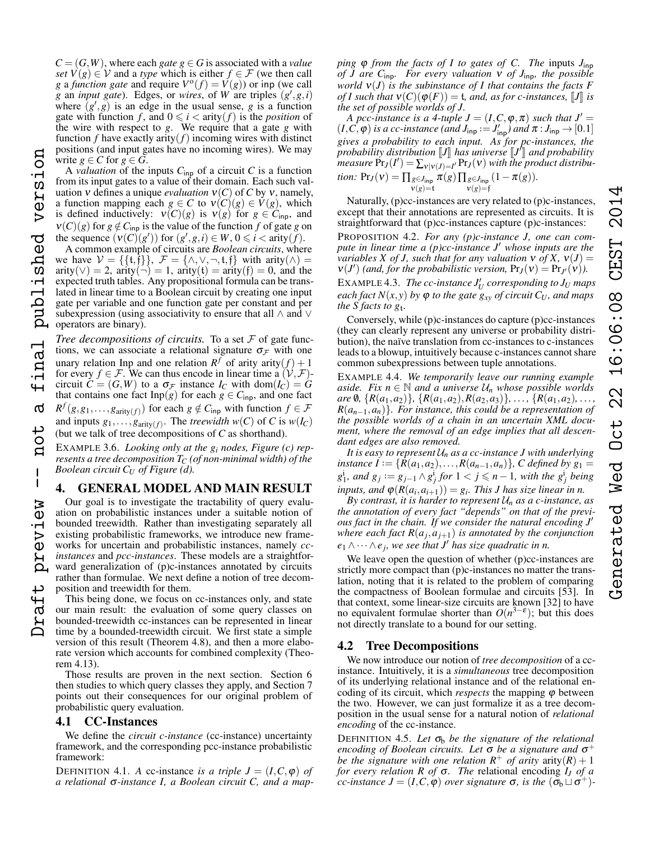$C = (G, W)$ , where each *gate g*  $\in$  *G* is associated with a *value set*  $V(g) \in V$  and a *type* which is either  $f \in \mathcal{F}$  (we then call *g* a *function gate* and require  $V^{\circ}(f) = V(g)$  or inp (we call *g* an *input gate*). Edges, or *wires*, of *W* are triples  $(g', g, i)$ where  $(g', g)$  is an edge in the usual sense, *g* is a function gate with function *f*, and  $0 \le i <$  arity(*f*) is the *position* of the wire with respect to *g*. We require that a gate *g* with function  $f$  have exactly arity $(f)$  incoming wires with distinct positions (and input gates have no incoming wires). We may write  $g \in C$  for  $g \in G$ .

A *valuation* of the inputs  $C_{\text{inp}}$  of a circuit  $C$  is a function from its input gates to a value of their domain. Each such valuation *v* defines a unique *evaluation*  $v(C)$  of *C* by *v*, namely, a function mapping each  $g \in C$  to  $v(C)(g) \in V(g)$ , which is defined inductively:  $v(C)(g)$  is  $v(g)$  for  $g \in C_{\text{inp}}$ , and  $v(C)(g)$  for  $g \notin C_{\text{inp}}$  is the value of the function *f* of gate *g* on the sequence  $(v(C)(g'))$  for  $(g', g, i) \in W$ ,  $0 \le i <$  arity $(f)$ .

version

published

inal

൪

 $\overline{C}$  $\mathbf{q}$ 

 $\overline{\phantom{a}}$ 

preview

A common example of circuits are *Boolean circuits*, where we have  $V = \{\{t,f\}\}\,$ ,  $\mathcal{F} = \{\wedge, \vee, \neg, t,f\}$  with arity $(\wedge)$  $arity(\vee) = 2$ ,  $arity(\neg) = 1$ ,  $arity(t) = arity(f) = 0$ , and the expected truth tables. Any propositional formula can be translated in linear time to a Boolean circuit by creating one input gate per variable and one function gate per constant and per subexpression (using associativity to ensure that all  $\land$  and  $\lor$ operators are binary).

*Tree decompositions of circuits.* To a set  $F$  of gate functions, we can associate a relational signature  $\sigma_{\mathcal{F}}$  with one unary relation Inp and one relation  $R^f$  of arity arity $(f) + 1$ for every *f*  $\in$  *F*. We can thus encode in linear time a  $(V, \mathcal{F})$ circuit  $\tilde{C} = (G, W)$  to a  $\sigma_{\mathcal{F}}$  instance  $I_C$  with dom $(I_C) = G$ that contains one fact  $\text{Inp}(g)$  for each  $g \in C_{\text{inp}}$ , and one fact  $R^f(g, g_1, \ldots, g_{\text{arity}(f)})$  for each  $g \notin C_{\text{inp}}$  with function  $f \in \mathcal{F}$ and inputs  $g_1, \ldots, g_{\text{arity}(f)}$ . The *treewidth*  $w(C)$  of *C* is  $w(I_C)$ (but we talk of tree decompositions of *C* as shorthand). Draft preview -- not a final published version

EXAMPLE 3.6. *Looking only at the g<sup>i</sup> nodes, Figure (c) represents a tree decomposition T<sup>C</sup> (of non-minimal width) of the Boolean circuit C<sup>U</sup> of Figure (d).*

# <span id="page-3-0"></span>4. GENERAL MODEL AND MAIN RESULT

Our goal is to investigate the tractability of query evaluation on probabilistic instances under a suitable notion of bounded treewidth. Rather than investigating separately all existing probabilistic frameworks, we introduce new frameworks for uncertain and probabilistic instances, namely *ccinstances* and *pcc-instances*. These models are a straightforward generalization of (p)c-instances annotated by circuits rather than formulae. We next define a notion of tree decomposition and treewidth for them.

This being done, we focus on cc-instances only, and state our main result: the evaluation of some query classes on bounded-treewidth cc-instances can be represented in linear time by a bounded-treewidth circuit. We first state a simple version of this result (Theorem [4.8\)](#page-4-0), and then a more elaborate version which accounts for combined complexity (Theorem [4.13\)](#page-4-1).

Those results are proven in the next section. Section [6](#page-6-0) then studies to which query classes they apply, and Section [7](#page-6-1) points out their consequences for our original problem of probabilistic query evaluation.

# 4.1 CC-Instances

We define the *circuit c-instance* (cc-instance) uncertainty framework, and the corresponding pcc-instance probabilistic framework:

DEFINITION 4.1. *A* cc-instance *is a triple*  $J = (I, C, \varphi)$  *of a relational* σ*-instance I, a Boolean circuit C, and a map-* *ping*  $\varphi$  *from the facts of I to gates of C. The inputs*  $J_{\text{inp}}$ *of J are C*inp*. For every valuation* ν *of J*inp*, the possible world* ν(*J*) *is the subinstance of I that contains the facts F of I such that*  $v(C)(\varphi(F)) = t$ *, and, as for c-instances,* [*J*] *is the set of possible worlds of J.*

*A pcc-instance is a 4-tuple*  $J = (I, C, \varphi, \pi)$  *such that*  $J' =$  $(I, C, \varphi)$  *is a cc-instance (and*  $J_{\text{inp}} := J'_{\text{inp}}$ ) and  $\pi : J_{\text{inp}} \to [0.1]$ *gives a probability to each input. As for pc-instances, the probability distribution*  $\llbracket J \rrbracket$  *has universe*  $\llbracket J' \rrbracket$  *and probability measure*  $Pr_J(J') = \sum_{i} \cup_{i} Pr_J(J)$  *with the product distribu-* $\int_{0}^{\infty}$  measure  $\Pr_{J}(I') = \sum_{v | v(J) = I'} \Pr_{J}(v)$  with the product distribu*tion:*  $Pr_J(v) = \prod_{g \in J_{\text{inp}} }$  $v(g)=t$  $\pi(g)\prod_{g\in J_{\mathsf{inp}}}$  $v(g)=f$  $(1-\pi(g)).$ 

Naturally, (p)cc-instances are very related to (p)c-instances, except that their annotations are represented as circuits. It is straightforward that (p)cc-instances capture (p)c-instances:

<span id="page-3-1"></span>PROPOSITION 4.2. *For any (p)c-instance J, one can compute in linear time a (p)cc-instance J' whose inputs are the variables X of J, such that for any valuation*  $v$  *of*  $X$ *,*  $v(J)$  =  $v(J')$  (and, for the probabilistic version,  $Pr_J(v) = Pr_{J'}(v)$ ).  $\text{EXAMPLE 4.3.}$  *The cc-instance*  $J_U'$  *corresponding to*  $J_U$  *maps each fact*  $N(x, y)$  *by*  $\varphi$  *to the gate*  $g_{xy}$  *of circuit*  $C_U$ *, and maps the S facts to g*t*.*

Conversely, while (p)c-instances do capture (p)cc-instances (they can clearly represent any universe or probability distribution), the naïve translation from cc-instances to c-instances leads to a blowup, intuitively because c-instances cannot share common subexpressions between tuple annotations.

EXAMPLE 4.4. *We temporarily leave our running example aside. Fix*  $n \in \mathbb{N}$  *and a universe*  $U_n$  *whose possible worlds are* 0,  $\{R(a_1, a_2)\}, \{R(a_1, a_2), R(a_2, a_3)\}, \ldots, \{R(a_1, a_2), \ldots\}$  $R(a_{n-1}, a_n)$ *}. For instance, this could be a representation of the possible worlds of a chain in an uncertain XML document, where the removal of an edge implies that all descendant edges are also removed.*

*It is easy to represent*  $U_n$  *as a cc-instance J with underlying instance*  $I := \{ R(a_1, a_2), \ldots, R(a_{n-1}, a_n) \}$ , *C defined by*  $g_1 =$  $g_1^i$ *, and*  $g_j := g_{j-1} \wedge g_j^i$  for  $1 < j \leq n-1$ *, with the*  $g_j^i$  *being inputs, and*  $\varphi(R(a_i, a_{i+1})) = g_i$ *. This J has size linear in n.* 

*By contrast, it is harder to represent*  $U_n$  *as a c-instance, as the annotation of every fact "depends" on that of the previous fact in the chain. If we consider the natural encoding J' where each fact R*(*a<sup>j</sup>* ,*aj*+1) *is annotated by the conjunction*  $e_1 \wedge \cdots \wedge e_j$ , we see that  $J'$  has size quadratic in n.

We leave open the question of whether (p)cc-instances are strictly more compact than (p)c-instances no matter the translation, noting that it is related to the problem of comparing the compactness of Boolean formulae and circuits [53]. In that context, some linear-size circuits are known [32] to have no equivalent formulae shorter than  $O(n^{3-\epsilon})$ ; but this does not directly translate to a bound for our setting.

# 4.2 Tree Decompositions

We now introduce our notion of *tree decomposition* of a ccinstance. Intuitively, it is a *simultaneous* tree decomposition of its underlying relational instance and of the relational encoding of its circuit, which *respects* the mapping  $\varphi$  between the two. However, we can just formalize it as a tree decomposition in the usual sense for a natural notion of *relational encoding* of the cc-instance.

DEFINITION 4.5. Let  $\sigma_b$  be the signature of the relational *encoding of Boolean circuits. Let* σ *be a signature and* σ + *be the signature with one relation*  $R^+$  *of arity* arity $(R) + 1$ *for every relation R of* σ*. The* relational encoding *I<sup>J</sup> of a cc-instance*  $J = (I, C, \varphi)$  *over signature*  $\sigma$ *, is the*  $(\sigma_b \sqcup \sigma^+)$ *-*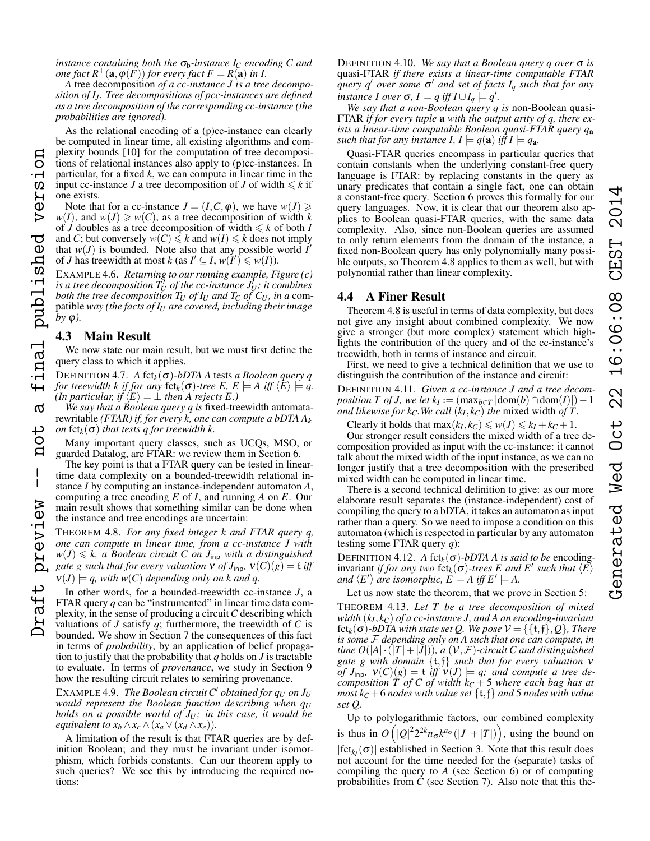*A* tree decomposition *of a cc-instance J is a tree decomposition of I<sup>J</sup> . Tree decompositions of pcc-instances are defined as a tree decomposition of the corresponding cc-instance (the probabilities are ignored).*

As the relational encoding of a (p)cc-instance can clearly be computed in linear time, all existing algorithms and complexity bounds [10] for the computation of tree decompositions of relational instances also apply to (p)cc-instances. In particular, for a fixed *k*, we can compute in linear time in the input cc-instance *J* a tree decomposition of *J* of width  $\leq k$  if one exists. Draft preview -- not a final published version

Note that for a cc-instance  $J = (I, C, \varphi)$ , we have  $w(J) \geq$  $w(I)$ , and  $w(J) \geq w(C)$ , as a tree decomposition of width *k* of *J* doubles as a tree decomposition of width  $\leq k$  of both *I* and *C*; but conversely  $w(C) \le k$  and  $w(I) \le k$  does not imply that  $w(J)$  is bounded. Note also that any possible world  $I'$ of *J* has treewidth at most *k* (as  $I' \subseteq I$ ,  $w(I') \leq w(I)$ ).

EXAMPLE 4.6. *Returning to our running example, Figure (c)* is a tree decomposition  $T_U^j$  of the cc-instance  $J_U^j$ ; it combines *both the tree decomposition T<sup>U</sup> of I<sup>U</sup> and T<sup>C</sup> of C<sup>U</sup> , in a* compatible *way (the facts of I<sup>U</sup> are covered, including their image*  $by \varphi$ ).

# <span id="page-4-3"></span>4.3 Main Result

**DD** 

versi

final published

 $\sigma$ 

 $\frac{1}{\sqrt{2}}$  $\mathbf{a}$ 

 $\mathbf{I}$ 

preview

aft

We now state our main result, but we must first define the query class to which it applies.

<span id="page-4-2"></span>DEFINITION 4.7. *A* fct*k*(σ)*-bDTA A* tests *a Boolean query q for treewidth k if for any* fct<sub>k</sub>( $\sigma$ )-tree E,  $E \models A$  iff  $\langle E \rangle \models q$ . *(In particular, if*  $\langle E \rangle = \bot$  *then A rejects E.)* 

*We say that a Boolean query q is* fixed-treewidth automatarewritable *(FTAR) if, for every k, one can compute a bDTA A<sup>k</sup> on*  $fct_k(\sigma)$  *that tests q for treewidth k.* 

Many important query classes, such as UCQs, MSO, or guarded Datalog, are FTAR: we review them in Section [6.](#page-6-0)

The key point is that a FTAR query can be tested in lineartime data complexity on a bounded-treewidth relational instance *I* by computing an instance-independent automaton *A*, computing a tree encoding *E* of *I*, and running *A* on *E*. Our main result shows that something similar can be done when the instance and tree encodings are uncertain:

<span id="page-4-0"></span>THEOREM 4.8. *For any fixed integer k and FTAR query q, one can compute in linear time, from a cc-instance J with*  $w(J) \leq k$ , *a Boolean circuit C on J*<sub>inp</sub> *with a distinguished gate g such that for every valuation*  $v$  *of*  $J_{\text{inp}}$ *,*  $v(C)(g) = t$  *iff*  $v(J) \models q$ , with  $w(C)$  depending only on k and q.

In other words, for a bounded-treewidth cc-instance *J*, a FTAR query *q* can be "instrumented" in linear time data complexity, in the sense of producing a circuit*C* describing which valuations of  $J$  satisfy  $q$ ; furthermore, the treewidth of  $C$  is bounded. We show in Section [7](#page-6-1) the consequences of this fact in terms of *probability*, by an application of belief propagation to justify that the probability that *q* holds on *J* is tractable to evaluate. In terms of *provenance*, we study in Section [9](#page-8-0) how the resulting circuit relates to semiring provenance.

EXAMPLE 4.9. *The Boolean circuit C' obtained for*  $q_U$  *on*  $J_U$ *would represent the Boolean function describing when*  $q_U$ *holds on a possible world of J<sup>U</sup> ; in this case, it would be equivalent to*  $x_b \wedge x_c \wedge (x_a \vee (x_d \wedge x_e)).$ 

A limitation of the result is that FTAR queries are by definition Boolean; and they must be invariant under isomorphism, which forbids constants. Can our theorem apply to such queries? We see this by introducing the required notions:

DEFINITION 4.10. *We say that a Boolean query q over* σ *is* quasi-FTAR *if there exists a linear-time computable FTAR query q*<sup>0</sup> *over some* σ <sup>0</sup> *and set of facts I<sup>q</sup> such that for any instance I over*  $\sigma$ ,  $I \models q$  *iff*  $I \cup I_q \models q'$ .

*We say that a non-Boolean query q is* non-Boolean quasi-FTAR *if for every tuple* a *with the output arity of q, there exists a linear-time computable Boolean quasi-FTAR query q*<sup>a</sup> *such that for any instance I,*  $I \models q(\mathbf{a})$  *<i>iff*  $I \models q_{\mathbf{a}}$ *.* 

Quasi-FTAR queries encompass in particular queries that contain constants when the underlying constant-free query language is FTAR: by replacing constants in the query as unary predicates that contain a single fact, one can obtain a constant-free query. Section [6](#page-6-0) proves this formally for our query languages. Now, it is clear that our theorem also applies to Boolean quasi-FTAR queries, with the same data complexity. Also, since non-Boolean queries are assumed to only return elements from the domain of the instance, a fixed non-Boolean query has only polynomially many possible outputs, so Theorem [4.8](#page-4-0) applies to them as well, but with polynomial rather than linear complexity.

# 4.4 A Finer Result

Theorem [4.8](#page-4-0) is useful in terms of data complexity, but does not give any insight about combined complexity. We now give a stronger (but more complex) statement which highlights the contribution of the query and of the cc-instance's treewidth, both in terms of instance and circuit.

First, we need to give a technical definition that we use to distinguish the contribution of the instance and circuit:

DEFINITION 4.11. *Given a cc-instance J and a tree decom* $position T \text{ of } J$ , we let  $k_I := (\max_{b \in T} |\text{dom}(b) \cap \text{dom}(I)|) - 1$ *and likewise for k<sub>C</sub>*. We call  $(k_I, k_C)$  the mixed width *of T*.

Clearly it holds that  $max(k_I, k_C) \leq w(J) \leq k_I + k_C + 1$ .

Our stronger result considers the mixed width of a tree decomposition provided as input with the cc-instance: it cannot talk about the mixed width of the input instance, as we can no longer justify that a tree decomposition with the prescribed mixed width can be computed in linear time.

There is a second technical definition to give: as our more elaborate result separates the (instance-independent) cost of compiling the query to a bDTA, it takes an automaton as input rather than a query. So we need to impose a condition on this automaton (which is respected in particular by any automaton testing some FTAR query *q*):

DEFINITION 4.12. *A* fct<sub>k</sub>( $\sigma$ )-bDTA *A* is said to be encoding- $\text{invariant }$  *if for any two*  $\operatorname{fct}_k(\sigma)$ -trees E and E' such that  $\langle E \rangle$ and  $\langle E' \rangle$  are isomorphic,  $\hat{E} \models A$  iff  $E' \models A$ .

Let us now state the theorem, that we prove in Section [5:](#page-5-0)

<span id="page-4-1"></span>THEOREM 4.13. *Let T be a tree decomposition of mixed width* (*k<sup>I</sup>* , *kC*) *of a cc-instance J, and A an encoding-invariant*  $fct_k(\sigma)$ -bDTA with state set Q. We pose  $V = \{\{t,f\},Q\}$ , There *is some* F *depending only on A such that one can compute, in time O*( $|A| \cdot (|T|+|J|)$ )*, a* ( $\mathcal{V}, \mathcal{F}$ )-circuit C and distinguished *gate g with domain* {t,f} *such that for every valuation* ν *of*  $J_{\text{inp}}, v(C)(g) = t$  *iff*  $v(J) \models q$ *;* and compute a tree de*composition T of C of width k<sup>C</sup>* + 5 *where each bag has at most*  $k_C$  +6 *nodes with value set*  $\{t, f\}$  *and* 5 *nodes with value set Q.*

Up to polylogarithmic factors, our combined complexity is thus in  $O(|Q|^2 2^{2k} n_{\sigma} k^{a_{\sigma}}(|J|+|T|)),$  using the bound on  $|fct_{k}(\sigma)|$  established in Section [3.](#page-2-0) Note that this result does not account for the time needed for the (separate) tasks of compiling the query to *A* (see Section [6\)](#page-6-0) or of computing probabilities from  $\dot{C}$  (see Section [7\)](#page-6-1). Also note that this the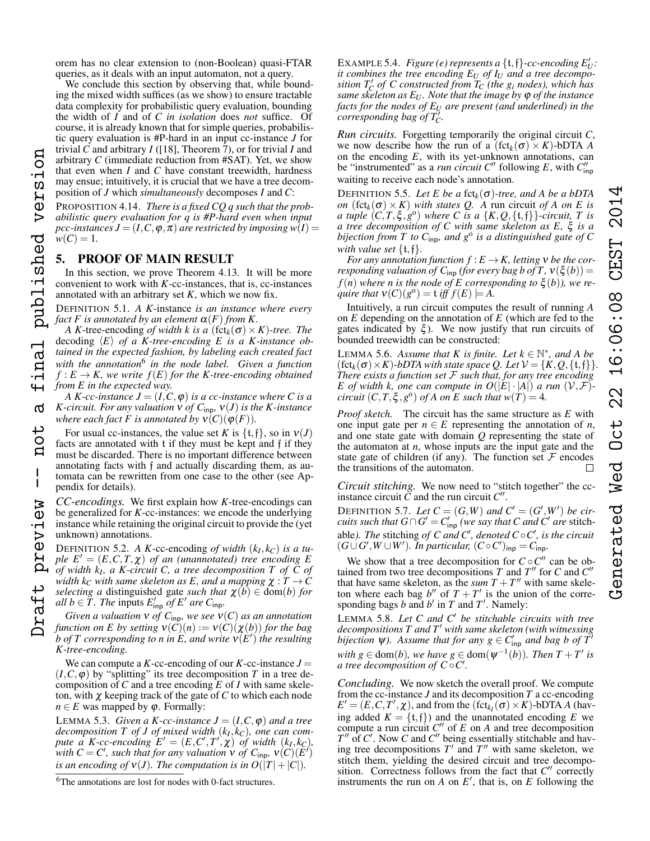orem has no clear extension to (non-Boolean) quasi-FTAR queries, as it deals with an input automaton, not a query.

We conclude this section by observing that, while bounding the mixed width suffices (as we show) to ensure tractable data complexity for probabilistic query evaluation, bounding the width of *I* and of *C in isolation* does *not* suffice. Of course, it is already known that for simple queries, probabilistic query evaluation is #P-hard in an input cc-instance *J* for trivial *C* and arbitrary *I* ([18], Theorem 7), or for trivial *I* and arbitrary *C* (immediate reduction from #SAT). Yet, we show that even when *I* and *C* have constant treewidth, hardness may ensue; intuitively, it is crucial that we have a tree decomposition of *J* which *simultaneously* decomposes *I* and *C*:

<span id="page-5-5"></span>PROPOSITION 4.14. *There is a fixed CQ q such that the probabilistic query evaluation for q is #P-hard even when input pcc-instances*  $J = (I, C, \varphi, \pi)$  *are restricted by imposing*  $w(I)$  =  $w(C) = 1.$ 

# <span id="page-5-0"></span>5. PROOF OF MAIN RESULT

version

published

inal

൪

 $\frac{1}{\sqrt{2}}$  $\mathbf{a}$ 

 $\mathbf{I}$ 

preview

In this section, we prove Theorem [4.13.](#page-4-1) It will be more convenient to work with *K*-cc-instances, that is, cc-instances annotated with an arbitrary set *K*, which we now fix.

<span id="page-5-2"></span>DEFINITION 5.1. *A K*-instance *is an instance where every fact* F is annotated by an element  $\alpha(F)$  *from* K.

*A K*-tree-encoding *of width k is a* (fct<sub>k</sub>( $\sigma$ ) × *K*)-tree. The decoding  $\langle E \rangle$  *of a K-tree-encoding E is a K-instance obtained in the expected fashion, by labeling each created fact with the annotation*[6](#page-5-1) *in the node label. Given a function*  $f: E \to K$ , we write  $f(E)$  for the K-tree-encoding obtained *from E in the expected way.*

*A K-cc-instance*  $J = (I, C, \varphi)$  *is a cc-instance where C is a K*-circuit. For any valuation  $\nu$  of  $C_{\text{inp}}$ ,  $\nu(J)$  is the *K*-instance *where each fact F is annotated by*  $v(C)(\varphi(F))$ *.* Draft preview -- not a final published version

For usual cc-instances, the value set *K* is  $\{t, f\}$ , so in  $v(J)$ facts are annotated with t if they must be kept and f if they must be discarded. There is no important difference between annotating facts with f and actually discarding them, as automata can be rewritten from one case to the other (see Appendix for details).

*CC-encodings.* We first explain how *K*-tree-encodings can be generalized for *K*-cc-instances: we encode the underlying instance while retaining the original circuit to provide the (yet unknown) annotations.

DEFINITION 5.2. *A K*-cc-encoding *of width*  $(k_I, k_C)$  *is a tuple*  $E' = (E, C, T, \chi)$  *of an (unannotated) tree encoding* E *of width k<sup>I</sup> , a K-circuit C, a tree decomposition T of C of width*  $k_C$  *with same skeleton as E, and a mapping*  $\chi : T \to C$ *selecting a* distinguished gate *such that*  $\chi(b) \in \text{dom}(b)$  *for all*  $b \in \widetilde{T}$ *. The inputs*  $E'_{\text{inp}}$  *of E' are C*<sub>inp</sub>.

*Given a valuation*  $v$  *of*  $C_{\text{inp}}$ *, we see*  $v(C)$  *as an annotation function on E by setting*  $v(C)(n) := v(C)(\chi(b))$  *for the bag*  $\delta b$  of  $T$  corresponding to n in  $\hat{E}$ , and write  $\widetilde{\mathsf{v}(E')}$  the resulting *K-tree-encoding.*

We can compute a *K*-cc-encoding of our *K*-cc-instance  $J =$  $(I, C, \varphi)$  by "splitting" its tree decomposition *T* in a tree decomposition of *C* and a tree encoding  $\overline{E}$  of *I* with same skeleton, with  $\chi$  keeping track of the gate of  $C$  to which each node *n*  $\in$  *E* was mapped by  $\varphi$ . Formally:

<span id="page-5-4"></span>LEMMA 5.3. *Given a K-cc-instance*  $J = (I, C, \varphi)$  *and a tree decomposition T of J of mixed width* (*k<sup>I</sup>* , *kC*)*, one can compute a K*-*cc*-encoding  $E' = (E, C', T', \chi)$  *of width*  $(k_I, k_C)$ *, with*  $C = C'$ , such that for any valuation  $\check{v}$  of  $C_{\text{inp}}$ ,  $\check{v}(C)(E')$ *is an encoding of*  $v(J)$ *. The computation is in*  $O(|T|+|C|)$ *.* 

EXAMPLE 5.4. *Figure (e) represents a*  $\{t, f\}$ -cc-encoding  $E'_U$ : *it combines the tree encoding E<sup>U</sup> of I<sup>U</sup> and a tree decompo-* $\sigma$  *sition T<sub>C</sub> of C constructed from T<sub>C</sub> (the g<sub>i</sub> nodes), which has same skeleton as E<sup>U</sup> . Note that the image by* ϕ *of the instance facts for the nodes of E<sup>U</sup> are present (and underlined) in the*  $\alpha$  *corresponding bag of T* $\alpha$ .

*Run circuits.* Forgetting temporarily the original circuit *C*, we now describe how the run of a  $(\text{fct}_k(\sigma) \times K)$ -bDTA *A* on the encoding *E*, with its yet-unknown annotations, can be "instrumented" as a *run circuit C*" following *E*, with  $C_{\text{inp}}''$ waiting to receive each node's annotation.

<span id="page-5-7"></span>DEFINITION 5.5. Let E be a fct<sub>k</sub>( $\sigma$ )-tree, and A be a bDTA *on*  $(\text{fct}_k(\sigma) \times K)$  *with states Q. A* run circuit *of A on E is a* tuple  $(C, T, \xi, g^{\circ})$  where C is a  $\{K, Q, \{\mathfrak{t}, \mathfrak{f}\}\}\text{-}circuit, T$  is *a tree decomposition of C with same skeleton as E,* ξ *is a bijection from T to C*inp*, and g*<sup>o</sup> *is a distinguished gate of C with value set* {t,f}*.*

*For any annotation function*  $f: E \to K$ *, letting*  $v$  *be the corresponding valuation of C*<sub>inp</sub> *(for every bag b of T,*  $v(\xi(b)) =$  $f(n)$  where *n* is the node of E corresponding to  $\xi(b)$ , we re*quire that*  $V(C)(g^{\circ}) = \mathfrak{t}$  *iff*  $f(E) \models A$ .

Intuitively, a run circuit computes the result of running *A* on *E* depending on the annotation of *E* (which are fed to the gates indicated by  $\xi$ ). We now justify that run circuits of bounded treewidth can be constructed:

<span id="page-5-6"></span>LEMMA 5.6. Assume that  $K$  is finite. Let  $k \in \mathbb{N}^*$ , and A be  $(\text{fct}_k(\sigma) \times K)$ *-bDTA with state space Q. Let*  $V = \{K, Q, \{t, f\}\}\$ *There exists a function set* F *such that, for any tree encoding E* of width k, one can compute in  $O(|E| \cdot |A|)$  *a* run  $(\mathcal{V}, \mathcal{F})$ *circuit*  $(C, T, \xi, g^{\circ})$  *of A on E such that*  $w(T) = 4$ *.* 

*Proof sketch.* The circuit has the same structure as *E* with one input gate per  $n \in E$  representing the annotation of *n*, and one state gate with domain *Q* representing the state of the automaton at *n*, whose inputs are the input gate and the state gate of children (if any). The function set  $\mathcal F$  encodes the transitions of the automaton.  $\Box$ 

*Circuit stitching.* We now need to "stitch together" the ccinstance circuit  $\tilde{C}$  and the run circuit  $C''$ .

DEFINITION 5.7. Let  $C = (G, W)$  and  $C' = (G', W')$  be cir*cuits such that*  $G \cap G' = C'_{\mathsf{inp}}$  *(we say that*  $C$  *and*  $C'$  *are* stitchable). The stitching of C and C', denoted  $C \circ C'$ , is the circuit  $(G \cup G', W \cup W')$ . In particular,  $(C \circ C')_{\text{inp}} = C_{\text{inp}}$ .

We show that a tree decomposition for  $C \circ C''$  can be obtained from two tree decompositions  $T$  and  $T''$  for  $C$  and  $C''$ that have same skeleton, as the *sum*  $T + T''$  with same skeleton where each bag  $b''$  of  $T + T'$  is the union of the corresponding bags  $b$  and  $b'$  in  $T$  and  $T'$ . Namely:

<span id="page-5-3"></span>LEMMA 5.8. *Let C and C*<sup>0</sup> *be stitchable circuits with tree decompositions T and T*<sup>0</sup> *with same skeleton (with witnessing bijection*  $\psi$ ). Assume that for any  $g \in C'_{\text{inp}}$  and bag b of  $T'$ *with*  $g \in \text{dom}(b)$ *, we have*  $g \in \text{dom}(\psi^{-1}(b))$ *. Then*  $T + T'$  *is a tree decomposition of C*◦*C* 0 *.*

*Concluding.* We now sketch the overall proof. We compute from the cc-instance *J* and its decomposition *T* a cc-encoding  $E' = (E, C, T', \chi)$ , and from the  $(\text{fct}_{k_I}(\sigma) \times K)$ -bDTA *A* (having added  $K = \{t, f\}$  and the unannotated encoding *E* we compute a run circuit  $C''$  of  $E$  on  $A$  and tree decomposition  $T''$  of *C'*. Now *C* and *C*<sup>"</sup> being essentially stitchable and having tree decompositions  $T'$  and  $T''$  with same skeleton, we stitch them, yielding the desired circuit and tree decomposition. Correctness follows from the fact that  $C''$  correctly instruments the run on  $A$  on  $E'$ , that is, on  $E$  following the

<span id="page-5-1"></span><sup>&</sup>lt;sup>6</sup>The annotations are lost for nodes with 0-fact structures.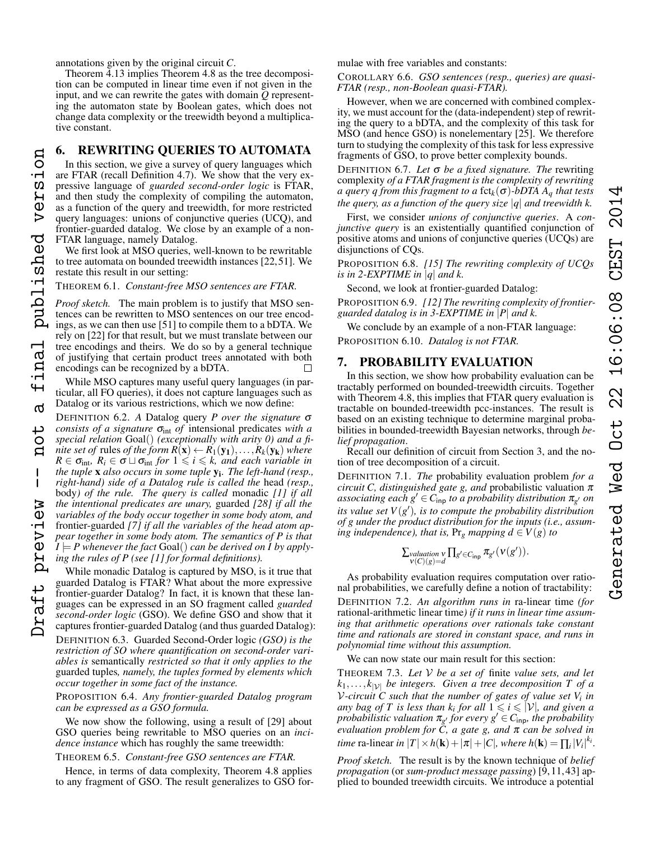4

annotations given by the original circuit *C*.

version

published

inal

4  $\sigma$ 

> $\circ$  $\mathbf{a}$

 $\mathbf{I}$ 

preview

Theorem [4.13](#page-4-1) implies Theorem [4.8](#page-4-0) as the tree decomposition can be computed in linear time even if not given in the input, and we can rewrite the gates with domain *Q* representing the automaton state by Boolean gates, which does not change data complexity or the treewidth beyond a multiplicative constant.

# <span id="page-6-0"></span>6. REWRITING QUERIES TO AUTOMATA

In this section, we give a survey of query languages which are FTAR (recall Definition [4.7\)](#page-4-2). We show that the very expressive language of *guarded second-order logic* is FTAR, and then study the complexity of compiling the automaton, as a function of the query and treewidth, for more restricted query languages: unions of conjunctive queries (UCQ), and frontier-guarded datalog. We close by an example of a non-FTAR language, namely Datalog.

We first look at MSO queries, well-known to be rewritable to tree automata on bounded treewidth instances [22,51]. We restate this result in our setting:

<span id="page-6-2"></span>THEOREM 6.1. *Constant-free MSO sentences are FTAR.*

*Proof sketch.* The main problem is to justify that MSO sentences can be rewritten to MSO sentences on our tree encodings, as we can then use [51] to compile them to a bDTA. We rely on [22] for that result, but we must translate between our tree encodings and theirs. We do so by a general technique of justifying that certain product trees annotated with both encodings can be recognized by a bDTA.

While MSO captures many useful query languages (in particular, all FO queries), it does not capture languages such as Datalog or its various restrictions, which we now define:

DEFINITION 6.2. *A* Datalog query *P over the signature* σ *consists of a signature*  $\sigma_{int}$  *of* intensional predicates *with a special relation* Goal() *(exceptionally with arity 0) and a finite set of rules of the form*  $R(\mathbf{x}) \leftarrow R_1(\mathbf{y}_1), \ldots, R_k(\mathbf{y}_k)$  *where*  $R \in \sigma_{int}$ ,  $R_i \in \sigma \sqcup \sigma_{int}$  *for*  $1 \leq i \leq k$ *, and each variable in the tuple* x *also occurs in some tuple* y<sup>i</sup> *. The left-hand (resp., right-hand) side of a Datalog rule is called the* head *(resp.,* body*) of the rule. The query is called* monadic *[1] if all the intentional predicates are unary,* guarded *[28] if all the variables of the body occur together in some body atom, and* frontier-guarded *[7] if all the variables of the head atom appear together in some body atom. The semantics of P is that I*  $\models$  *P* whenever the fact Goal() can be derived on *I* by apply*ing the rules of P (see [1] for formal definitions).* Draft preview -- not a final published version

While monadic Datalog is captured by MSO, is it true that guarded Datalog is FTAR? What about the more expressive frontier-guarder Datalog? In fact, it is known that these languages can be expressed in an SO fragment called *guarded second-order logic* (GSO). We define GSO and show that it captures frontier-guarded Datalog (and thus guarded Datalog):

DEFINITION 6.3. Guarded Second-Order logic *(GSO) is the restriction of SO where quantification on second-order variables is* semantically *restricted so that it only applies to the* guarded tuples*, namely, the tuples formed by elements which occur together in some fact of the instance.*

<span id="page-6-3"></span>PROPOSITION 6.4. *Any frontier-guarded Datalog program can be expressed as a GSO formula.*

We now show the following, using a result of [29] about GSO queries being rewritable to MSO queries on an *incidence instance* which has roughly the same treewidth:

# <span id="page-6-4"></span>THEOREM 6.5. *Constant-free GSO sentences are FTAR.*

Hence, in terms of data complexity, Theorem [4.8](#page-4-0) applies to any fragment of GSO. The result generalizes to GSO formulae with free variables and constants:

# <span id="page-6-5"></span>COROLLARY 6.6. *GSO sentences (resp., queries) are quasi-FTAR (resp., non-Boolean quasi-FTAR).*

However, when we are concerned with combined complexity, we must account for the (data-independent) step of rewriting the query to a bDTA, and the complexity of this task for MSO (and hence GSO) is nonelementary [25]. We therefore turn to studying the complexity of this task for less expressive fragments of GSO, to prove better complexity bounds.

DEFINITION 6.7. *Let* σ *be a fixed signature. The* rewriting complexity *of a FTAR fragment is the complexity of rewriting a query q from this fragment to a* fct<sub>k</sub>( $\sigma$ )*-bDTA A<sub>q</sub> that tests the query, as a function of the query size* |*q*| *and treewidth k.*

First, we consider *unions of conjunctive queries*. A *conjunctive query* is an existentially quantified conjunction of positive atoms and unions of conjunctive queries (UCQs) are disjunctions of CQs.

<span id="page-6-6"></span>PROPOSITION 6.8. *[15] The rewriting complexity of UCQs is in 2-EXPTIME in*  $|q|$  *and k.* 

Second, we look at frontier-guarded Datalog:

<span id="page-6-7"></span>PROPOSITION 6.9. *[12] The rewriting complexity of frontierguarded datalog is in 3-EXPTIME in* |*P*| *and k.*

<span id="page-6-8"></span>We conclude by an example of a non-FTAR language: PROPOSITION 6.10. *Datalog is not FTAR.*

# <span id="page-6-1"></span>7. PROBABILITY EVALUATION

In this section, we show how probability evaluation can be tractably performed on bounded-treewidth circuits. Together with Theorem [4.8,](#page-4-0) this implies that FTAR query evaluation is tractable on bounded-treewidth pcc-instances. The result is based on an existing technique to determine marginal probabilities in bounded-treewidth Bayesian networks, through *belief propagation*.

Recall our definition of circuit from Section [3,](#page-2-0) and the notion of tree decomposition of a circuit.

DEFINITION 7.1. *The* probability evaluation problem *for a circuit C, distinguished gate g, and* probabilistic valuation  $\pi$  $a$ *ssociating each g'*  $\in$   $C$ <sub>inp</sub> *to a probability distribution*  $\pi_{g'}$  *on* its value set  $V(g')$ , is to compute the probability distribution *of g under the product distribution for the inputs (i.e., assuming independence), that is,*  $Pr_g$  *mapping*  $d \in V(g)$  *to* 

$$
\textstyle \sum_{\mathbf{v}(C)(g)=d} \prod_{g'\in C_{\text{inp}}}\pi_{g'}(\mathbf{v}(g')).
$$

As probability evaluation requires computation over rational probabilities, we carefully define a notion of tractability: DEFINITION 7.2. *An algorithm runs in* ra-linear time *(for* rational-arithmetic linear time*) if it runs in linear time assuming that arithmetic operations over rationals take constant time and rationals are stored in constant space, and runs in polynomial time without this assumption.*

We can now state our main result for this section:

<span id="page-6-9"></span>THEOREM 7.3. *Let* V *be a set of* finite *value sets, and let*  $k_1, \ldots, k_{|\mathcal{V}|}$  *be integers. Given a tree decomposition T of a* V*-circuit C such that the number of gates of value set V<sup>i</sup> in any bag of T is less than k<sub>i</sub> for all*  $1 \leq i \leq |\mathcal{V}|$ *, and given a probabilistic valuation*  $\pi_{g'}$  *for every g*<sup> $\prime$ </sup>  $\in$  *C*<sub>inp</sub>, *the probability evaluation problem for C, a gate g, and* π *can be solved in time* ra-linear *in*  $|T| \times h(\mathbf{k}) + |\pi| + |C|$ *, where h*(**k**) =  $\prod_i |V_i|^{k_i}$ *.* 

*Proof sketch.* The result is by the known technique of *belief propagation* (or *sum-product message passing*) [9, 11, 43] applied to bounded treewidth circuits. We introduce a potential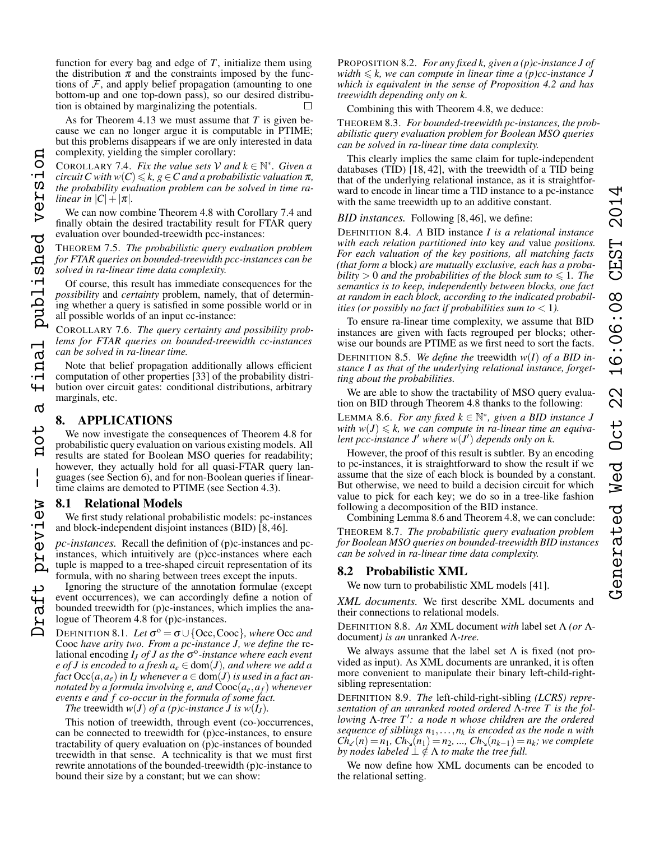function for every bag and edge of  $T$ , initialize them using the distribution  $\pi$  and the constraints imposed by the functions of  $F$ , and apply belief propagation (amounting to one bottom-up and one top-down pass), so our desired distribution is obtained by marginalizing the potentials.

As for Theorem [4.13](#page-4-1) we must assume that *T* is given because we can no longer argue it is computable in PTIME; but this problems disappears if we are only interested in data complexity, yielding the simpler corollary:

<span id="page-7-1"></span>COROLLARY 7.4. *Fix the value sets*  $\mathcal{V}$  *and*  $k \in \mathbb{N}^*$ *. Given a circuit* C with  $w(C) \leq k$ ,  $g \in C$  and a probabilistic valuation  $\pi$ , *the probability evaluation problem can be solved in time ralinear in*  $|C| + |\pi|$ *.* Draft preview -- not a final published version

We can now combine Theorem [4.8](#page-4-0) with Corollary [7.4](#page-7-1) and finally obtain the desired tractability result for FTAR query evaluation over bounded-treewidth pcc-instances:

<span id="page-7-4"></span>THEOREM 7.5. *The probabilistic query evaluation problem for FTAR queries on bounded-treewidth pcc-instances can be solved in ra-linear time data complexity.*

Of course, this result has immediate consequences for the *possibility* and *certainty* problem, namely, that of determining whether a query is satisfied in some possible world or in all possible worlds of an input cc-instance:

<span id="page-7-5"></span>COROLLARY 7.6. *The query certainty and possibility problems for FTAR queries on bounded-treewidth cc-instances can be solved in ra-linear time.*

Note that belief propagation additionally allows efficient computation of other properties [33] of the probability distribution over circuit gates: conditional distributions, arbitrary marginals, etc.

# <span id="page-7-0"></span>8. APPLICATIONS

version

inal published

 $\overline{+}$  $\sigma$ 

tor

 $\mathbf{I}$ 

preview

 $\overline{+}$ 

We now investigate the consequences of Theorem [4.8](#page-4-0) for probabilistic query evaluation on various existing models. All results are stated for Boolean MSO queries for readability; however, they actually hold for all quasi-FTAR query languages (see Section [6\)](#page-6-0), and for non-Boolean queries if lineartime claims are demoted to PTIME (see Section [4.3\)](#page-4-3).

#### <span id="page-7-6"></span>8.1 Relational Models

We first study relational probabilistic models: pc-instances and block-independent disjoint instances (BID) [8, 46].

*pc-instances.* Recall the definition of (p)c-instances and pcinstances, which intuitively are (p)cc-instances where each tuple is mapped to a tree-shaped circuit representation of its formula, with no sharing between trees except the inputs.

Ignoring the structure of the annotation formulae (except event occurrences), we can accordingly define a notion of bounded treewidth for (p)c-instances, which implies the analogue of Theorem [4.8](#page-4-0) for (p)c-instances.

<span id="page-7-3"></span>DEFINITION 8.1. *Let*  $\sigma^{\circ} = \sigma \cup \{\text{Occ}, \text{Cooc}\}$ *, where* Occ *and* Cooc *have arity two. From a pc-instance J, we define the* relational encoding *I<sub>J</sub> of J as the* σ<sup>o</sup>-instance where each event *e* of *J* is encoded to a fresh  $a_e \in \text{dom}(J)$ , and where we add a *fact*  $\text{Occ}(a, a_e)$  *in I<sub>J</sub>* whenever  $a \in \text{dom}(J)$  *is used in a fact annotated by a formula involving e, and*  $Coc(a_e, a_f)$  *whenever events e and f co-occur in the formula of some fact.*

*The* treewidth  $w(J)$  *of a (p)c-instance J is*  $w(I_J)$ *.* 

This notion of treewidth, through event (co-)occurrences, can be connected to treewidth for (p)cc-instances, to ensure tractability of query evaluation on (p)c-instances of bounded treewidth in that sense. A technicality is that we must first rewrite annotations of the bounded-treewidth (p)c-instance to bound their size by a constant; but we can show:

<span id="page-7-7"></span>PROPOSITION 8.2. *For any fixed k, given a (p)c-instance J of width*  $\leq k$ , we can compute in linear time a (p)cc-instance J *which is equivalent in the sense of Proposition [4.2](#page-3-1) and has treewidth depending only on k.*

Combining this with Theorem [4.8,](#page-4-0) we deduce:

<span id="page-7-8"></span>THEOREM 8.3. *For bounded-treewidth pc-instances, the probabilistic query evaluation problem for Boolean MSO queries can be solved in ra-linear time data complexity.*

This clearly implies the same claim for tuple-independent databases (TID) [18, 42], with the treewidth of a TID being that of the underlying relational instance, as it is straightforward to encode in linear time a TID instance to a pc-instance with the same treewidth up to an additive constant.

*BID instances.* Following [8, 46], we define:

DEFINITION 8.4. *A* BID instance *I is a relational instance with each relation partitioned into* key *and* value *positions. For each valuation of the key positions, all matching facts (that form a* block*) are mutually exclusive, each has a probability*  $> 0$  *and the probabilities of the block sum to*  $\leq 1$ *. The semantics is to keep, independently between blocks, one fact at random in each block, according to the indicated probabilities (or possibly no fact if probabilities sum to* < 1*).*

To ensure ra-linear time complexity, we assume that BID instances are given with facts regrouped per blocks; otherwise our bounds are PTIME as we first need to sort the facts.

DEFINITION 8.5. *We define the* treewidth *w*(*I*) *of a BID instance I as that of the underlying relational instance, forgetting about the probabilities.*

We are able to show the tractability of MSO query evaluation on BID through Theorem [4.8](#page-4-0) thanks to the following:

<span id="page-7-2"></span>LEMMA 8.6. *For any fixed*  $k \in \mathbb{N}^*$ , given a BID instance J with  $w(J) \leq k$ , we can compute in ra-linear time an equivalent pcc-instance  $J'$  where  $w(J')$  depends only on k.

However, the proof of this result is subtler. By an encoding to pc-instances, it is straightforward to show the result if we assume that the size of each block is bounded by a constant. But otherwise, we need to build a decision circuit for which value to pick for each key; we do so in a tree-like fashion following a decomposition of the BID instance.

Combining Lemma [8.6](#page-7-2) and Theorem [4.8,](#page-4-0) we can conclude: THEOREM 8.7. *The probabilistic query evaluation problem for Boolean MSO queries on bounded-treewidth BID instances can be solved in ra-linear time data complexity.*

# <span id="page-7-9"></span>8.2 Probabilistic XML

We now turn to probabilistic XML models [41].

*XML documents.* We first describe XML documents and their connections to relational models.

DEFINITION 8.8. *An* XML document *with* label set Λ *(or* Λdocument*) is an* unranked Λ*-tree.*

We always assume that the label set  $\Lambda$  is fixed (not provided as input). As XML documents are unranked, it is often more convenient to manipulate their binary left-child-rightsibling representation:

DEFINITION 8.9. *The* left-child-right-sibling *(LCRS) representation of an unranked rooted ordered* Λ*-tree T is the following* Λ*-tree T*<sup>0</sup> *: a node n whose children are the ordered sequence of siblings n*1,...,*n<sup>k</sup> is encoded as the node n with*  $Ch_{\lt}(n) = n_1$ ,  $Ch_{\lt}(n_1) = n_2$ , ...,  $Ch_{\lt}(n_{k-1}) = n_k$ *; we complete by nodes labeled*  $\perp \notin \Lambda$  *to make the tree full.* 

We now define how XML documents can be encoded to the relational setting.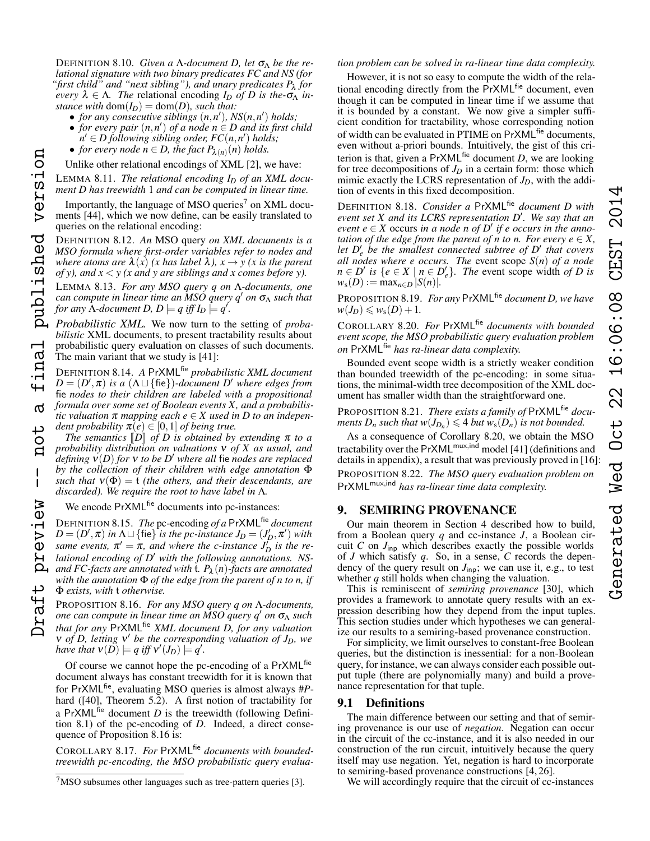DEFINITION 8.10. *Given a Λ-document D, let*  $σ<sub>Λ</sub>$  *be the relational signature with two binary predicates FC and NS (for "first child" and "next sibling"), and unary predicates P*<sup>λ</sup> *for every*  $\lambda \in \Lambda$ . The relational encoding  $I_D$  *of D is the-* $\sigma_{\Lambda}$  *instance with*  $dom(I_D) = dom(D)$ *, such that:* 

- *for any consecutive siblings*  $(n, n')$ ,  $NS(n, n')$  *holds*;
- *for every pair* (*n*,*n* 0 ) *of a node n* ∈ *D and its first child*  $\hat{D}_n \in D$  following sibling order,  $FC(n, n')$  holds;
- *for every node*  $n \in D$ , the fact  $P_{\lambda(n)}(n)$  holds.
- Unlike other relational encodings of XML [2], we have:

<span id="page-8-4"></span>LEMMA 8.11. *The relational encoding I<sup>D</sup> of an XML document D has treewidth* 1 *and can be computed in linear time.*

Importantly, the language of MSO queries $\prime$  on XML documents [44], which we now define, can be easily translated to queries on the relational encoding:

DEFINITION 8.12. *An* MSO query *on XML documents is a MSO formula where first-order variables refer to nodes and where atoms are*  $\lambda(x)$  *(x has label*  $\lambda$ *),*  $x \rightarrow y$  *(x is the parent of y), and x* < *y (x and y are siblings and x comes before y).*

published version

inal

൪

Ö

 $\mathbf{I}$ 

preview

<span id="page-8-5"></span>LEMMA 8.13. *For any MSO query q on* Λ*-documents, one can compute in linear time an MSO query q*<sup>0</sup> *on* σ<sup>Λ</sup> *such that for any*  $\Lambda$ -document D,  $D \models q$  iff  $I_D \models q'$ .

*Probabilistic XML.* We now turn to the setting of *probabilistic* XML documents, to present tractability results about probabilistic query evaluation on classes of such documents. The main variant that we study is [41]:

DEFINITION 8.14. *A* PrXMLfie *probabilistic XML document*  $D = (D', \pi)$  *is a*  $(\Lambda \sqcup \{\text{fie}\})$ *-document D' where edges from* fie *nodes to their children are labeled with a propositional formula over some set of Boolean events X, and a probabilistic valuation*  $\pi$  *mapping each*  $e \in X$  *used in D to an independent probability*  $\bar{\pi}(e) \in [0,1]$  *of being true.* Draft preview -- not a final published version

*The semantics*  $\llbracket D \rrbracket$  *of D is obtained by extending*  $\pi$  *to a probability distribution on valuations* ν *of X as usual, and defining*  $v(D)$  *for* v *to be* D<sup>'</sup> where all fie *nodes are replaced by the collection of their children with edge annotation* Φ *such that*  $v(\Phi) = t$  *(the others, and their descendants, are discarded). We require the root to have label in* Λ*.*

We encode PrXML<sup>fie</sup> documents into pc-instances:

DEFINITION 8.15. *The* pc-encoding *of a* PrXMLfie *document*  $D = (D', \pi)$  *in*  $\Lambda \sqcup \{\text{fie}\}$  *is the pc-instance*  $J_D = (J'_D, \pi')$  *with same events,*  $\pi' = \pi$ *, and where the c-instance*  $J_D^{\mu}$  *is the re*lational encoding of D' with the following annotations. NS*and FC-facts are annotated with* t*. P*<sup>λ</sup> (*n*)*-facts are annotated with the annotation* Φ *of the edge from the parent of n to n, if* Φ *exists, with* t *otherwise.*

<span id="page-8-2"></span>PROPOSITION 8.16. *For any MSO query q on* Λ*-documents, one can compute in linear time an MSO query q*<sup>0</sup> *on* σ<sup>Λ</sup> *such that for any* PrXMLfie *XML document D, for any valuation v* of *D*, letting **v**<sup>*'*</sup> be the corresponding valuation of *J*<sub>*D*</sub>, we *have that*  $v(D) \models q$  *iff*  $v'(J_D) \models q'$ .

Of course we cannot hope the pc-encoding of a PrXML<sup>fie</sup> document always has constant treewidth for it is known that for PrXMLfie, evaluating MSO queries is almost always #*P*hard ([40], Theorem 5.2). A first notion of tractability for a PrXML<sup>fie</sup> document  $D$  is the treewidth (following Definition [8.1\)](#page-7-3) of the pc-encoding of *D*. Indeed, a direct consequence of Proposition [8.16](#page-8-2) is:

<span id="page-8-8"></span>COROLLARY 8.17. *For* PrXMLfie *documents with boundedtreewidth pc-encoding, the MSO probabilistic query evalua-*

# *tion problem can be solved in ra-linear time data complexity.*

However, it is not so easy to compute the width of the relational encoding directly from the PrXML<sup>fie</sup> document, even though it can be computed in linear time if we assume that it is bounded by a constant. We now give a simpler sufficient condition for tractability, whose corresponding notion of width can be evaluated in PTIME on PrXML<sup>fie</sup> documents, even without a-priori bounds. Intuitively, the gist of this criterion is that, given a  $PrXML<sup>fie</sup> document D$ , we are looking for tree decompositions of  $J_D$  in a certain form: those which mimic exactly the LCRS representation of *JD*, with the addition of events in this fixed decomposition.

DEFINITION 8.18. *Consider a* PrXMLfie *document D with event set X and its LCRS representation D'. We say that an*  $event\ e \in X$  occurs *in a node n of D'* if e occurs in the anno*tation of the edge from the parent of n to n. For every*  $e \in X$ *,* let  $D'_e$  be the smallest connected subtree of  $D'$  that covers *all nodes where e occurs. The* event scope *S*(*n*) *of a node*  $n \in D'$  is  $\{e \in X \mid n \in D'_e\}$ . The event scope width *of D* is  $w_s(D) := \max_{n \in D} |S(n)|$ .

<span id="page-8-6"></span>PROPOSITION 8.19. *For any* PrXMLfie *document D, we have*  $w(J_D) \leq w_s(D) + 1.$ 

<span id="page-8-3"></span>COROLLARY 8.20. *For* PrXMLfie *documents with bounded event scope, the MSO probabilistic query evaluation problem on* PrXMLfie *has ra-linear data complexity.*

Bounded event scope width is a strictly weaker condition than bounded treewidth of the pc-encoding: in some situations, the minimal-width tree decomposition of the XML document has smaller width than the straightforward one.

<span id="page-8-7"></span>PROPOSITION 8.21. *There exists a family of* PrXMLfie *documents*  $D_n$  *such that*  $w(J_{D_n}) \leq 4$  *but*  $w_s(D_n)$  *is not bounded.* 

<span id="page-8-9"></span>As a consequence of Corollary [8.20,](#page-8-3) we obtain the MSO tractability over the PrXML<sup>mux,ind</sup> model [41] (definitions and details in appendix), a result that was previously proved in [16]: PROPOSITION 8.22. *The MSO query evaluation problem on* PrXMLmux,ind *has ra-linear time data complexity.*

# <span id="page-8-0"></span>9. SEMIRING PROVENANCE

Our main theorem in Section [4](#page-3-0) described how to build, from a Boolean query *q* and cc-instance *J*, a Boolean circuit *C* on *J*inp which describes exactly the possible worlds of *J* which satisfy *q*. So, in a sense, *C* records the dependency of the query result on  $J_{\text{inp}}$ ; we can use it, e.g., to test whether *q* still holds when changing the valuation.

This is reminiscent of *semiring provenance* [30], which provides a framework to annotate query results with an expression describing how they depend from the input tuples. This section studies under which hypotheses we can generalize our results to a semiring-based provenance construction.

For simplicity, we limit ourselves to constant-free Boolean queries, but the distinction is inessential: for a non-Boolean query, for instance, we can always consider each possible output tuple (there are polynomially many) and build a provenance representation for that tuple.

# <span id="page-8-10"></span>9.1 Definitions

The main difference between our setting and that of semiring provenance is our use of *negation*. Negation can occur in the circuit of the cc-instance, and it is also needed in our construction of the run circuit, intuitively because the query itself may use negation. Yet, negation is hard to incorporate to semiring-based provenance constructions [4, 26].

We will accordingly require that the circuit of cc-instances

<span id="page-8-1"></span> $7$ MSO subsumes other languages such as tree-pattern queries [3].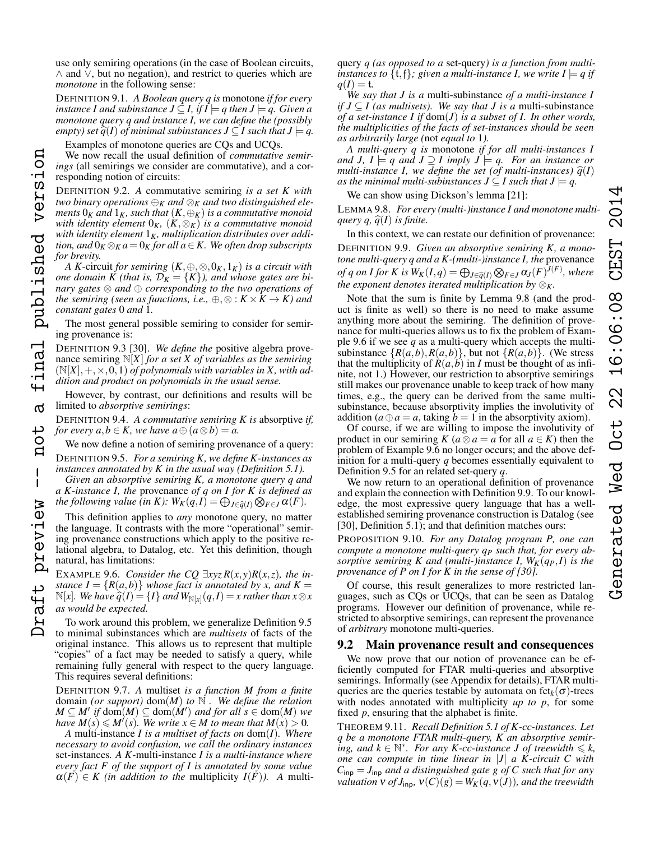DEFINITION 9.1. *A Boolean query q is* monotone *if for every instance I and subinstance*  $J \subseteq I$ *, if*  $I \models q$  then  $J \models q$ *. Given a monotone query q and instance I, we can define the (possibly empty) set*  $\widehat{q}(I)$  *of minimal subinstances*  $J \subseteq I$  *such that*  $J \models q$ .

Examples of monotone queries are CQs and UCQs.

version

published

inal

 $\sigma$ 

 $\overline{C}$  $\mathbf{a}$ 

 $\mathbf{I}$ 

preview

We now recall the usual definition of *commutative semirings* (all semirings we consider are commutative), and a corresponding notion of circuits:

DEFINITION 9.2. *A* commutative semiring *is a set K with two binary operations*  $\bigoplus_K$  *and*  $\otimes_K$  *and two distinguished elements*  $0_K$  *and*  $1_K$ *, such that*  $(K, \bigoplus_K)$  *is a commutative monoid with identity element* 0*K,* (*K*,⊗*K*) *is a commutative monoid with identity element* 1*K, multiplication distributes over addition, and*  $0_K \otimes_K a = 0_K$  *for all*  $a \in K$ *. We often drop subscripts for brevity.* Draft preview -- not a final published version

*A K*-circuit *for semiring*  $(K, \oplus, \otimes, 0_K, 1_K)$  *is a circuit with one domain K (that is,*  $\mathcal{D}_K = \{K\}$ ), and whose gates are bi*nary gates* ⊗ *and* ⊕ *corresponding to the two operations of the semiring (seen as functions, i.e.,*  $\oplus$ ,  $\otimes$  :  $K \times K \rightarrow K$ *) and constant gates* 0 *and* 1*.*

The most general possible semiring to consider for semiring provenance is:

DEFINITION 9.3 [30]. *We define the* positive algebra provenance semiring N[*X*] *for a set X of variables as the semiring*  $(N[X], +, \times, 0, 1)$  *of polynomials with variables in X, with addition and product on polynomials in the usual sense.*

However, by contrast, our definitions and results will be limited to *absorptive semirings*:

DEFINITION 9.4. *A commutative semiring K is* absorptive *if, for every a,b*  $\in$  *K, we have a*  $\oplus$   $(a \otimes b) = a$ .

<span id="page-9-0"></span>We now define a notion of semiring provenance of a query: DEFINITION 9.5. *For a semiring K, we define K-instances as instances annotated by K in the usual way (Definition [5.1\)](#page-5-2).*

*Given an absorptive semiring K, a monotone query q and a K-instance I, the* provenance *of q on I for K is defined as the following value (in K):*  $W_K(q, I) = \bigoplus_{J \in \widehat{q}(I)} \bigotimes_{F \in J} \alpha(F)$ *.* 

This definition applies to *any* monotone query, no matter the language. It contrasts with the more "operational" semiring provenance constructions which apply to the positive relational algebra, to Datalog, etc. Yet this definition, though natural, has limitations:

<span id="page-9-2"></span>EXAMPLE 9.6. *Consider the CQ*  $\exists xyz R(x,y)R(x,z)$ *, the instance*  $I = \{R(a,b)\}\$  *whose fact is annotated by x, and*  $K =$  $N[x]$ *. We have*  $\hat{q}(I) = \{I\}$  *and*  $W_{N[x]}(q, I) = x$  *rather than*  $x \otimes x$  *as would be expected as would be expected.*

To work around this problem, we generalize Definition [9.5](#page-9-0) to minimal subinstances which are *multisets* of facts of the original instance. This allows us to represent that multiple "copies" of a fact may be needed to satisfy a query, while remaining fully general with respect to the query language. This requires several definitions:

DEFINITION 9.7. *A* multiset *is a function M from a finite* domain *(or support)* dom(*M*) *to* N *. We define the relation*  $M \subseteq M'$  if  $dom(M) \subseteq dom(M')$  *and for all*  $s \in dom(M)$  *we have*  $M(s) \leq M'(s)$ . We write  $x \in M$  to mean that  $M(x) > 0$ .

*A* multi-instance *I is a multiset of facts on* dom(*I*)*. Where necessary to avoid confusion, we call the ordinary instances* set-instances*. A K*-multi-instance *I is a multi-instance where every fact F of the support of I is annotated by some value*  $\alpha(F) \in K$  (in addition to the multiplicity  $I(F)$ ). A multiquery *q (as opposed to a* set-query*) is a function from multiinstances to*  $\{t, f\}$ *; given a multi-instance I, we write*  $I \models q$  *if*  $q(I) = t$ .

*We say that J is a* multi-subinstance *of a multi-instance I if*  $J \subseteq I$  (as multisets). We say that  $J$  is a multi-subinstance *of a set-instance I if* dom(*J*) *is a subset of I. In other words, the multiplicities of the facts of set-instances should be seen as arbitrarily large (*not *equal to* 1*).*

*A multi-query q is* monotone *if for all multi-instances I and J,*  $I \models q$  *and*  $J \supseteq I$  *imply*  $J \models q$ *. For an instance or multi-instance I, we define the set (of multi-instances)*  $\hat{q}(I)$ *as the minimal multi-subinstances*  $J \subseteq I$  *such that*  $J \models q$ .

We can show using Dickson's lemma [21]:

<span id="page-9-1"></span>LEMMA 9.8. *For every (multi-)instance I and monotone multiquery q,*  $\hat{q}(I)$  *is finite.* 

<span id="page-9-3"></span>In this context, we can restate our definition of provenance: DEFINITION 9.9. *Given an absorptive semiring K, a monotone multi-query q and a K-(multi-)instance I, the* provenance *of q on I for K is*  $W_K(I,q) = \bigoplus_{J \in \widehat{q}(I)} \bigotimes_{F \in J} \alpha_J(F)^{J(F)}$ , where *the exponent denotes iterated multiplication by* ⊗*K.*

Note that the sum is finite by Lemma [9.8](#page-9-1) (and the product is finite as well) so there is no need to make assume anything more about the semiring. The definition of provenance for multi-queries allows us to fix the problem of Example [9.6](#page-9-2) if we see *q* as a multi-query which accepts the multisubinstance  $\{R(a,b), R(a,b)\}$ , but not  $\{R(a,b)\}$ . (We stress that the multiplicity of  $R(a, b)$  in *I* must be thought of as infinite, not 1.) However, our restriction to absorptive semirings still makes our provenance unable to keep track of how many times, e.g., the query can be derived from the same multisubinstance, because absorptivity implies the involutivity of addition ( $a \oplus a = a$ , taking  $b = 1$  in the absorptivity axiom).

Of course, if we are willing to impose the involutivity of product in our semiring *K* ( $a \otimes a = a$  for all  $a \in K$ ) then the problem of Example [9.6](#page-9-2) no longer occurs; and the above definition for a multi-query *q* becomes essentially equivalent to Definition [9.5](#page-9-0) for an related set-query *q*.

We now return to an operational definition of provenance and explain the connection with Definition [9.9.](#page-9-3) To our knowledge, the most expressive query language that has a wellestablished semiring provenance construction is Datalog (see [30], Definition 5.1); and that definition matches ours:

<span id="page-9-5"></span>PROPOSITION 9.10. *For any Datalog program P, one can compute a monotone multi-query q<sup>P</sup> such that, for every absorptive semiring K and (multi-)instance I,*  $W_K(q_P, I)$  *is the provenance of P on I for K in the sense of [30].*

Of course, this result generalizes to more restricted languages, such as CQs or UCQs, that can be seen as Datalog programs. However our definition of provenance, while restricted to absorptive semirings, can represent the provenance of *arbitrary* monotone multi-queries.

## <span id="page-9-6"></span>9.2 Main provenance result and consequences

We now prove that our notion of provenance can be efficiently computed for FTAR multi-queries and absorptive semirings. Informally (see Appendix for details), FTAR multiqueries are the queries testable by automata on  $fct_k(\sigma)$ -trees with nodes annotated with multiplicity *up to p*, for some fixed *p*, ensuring that the alphabet is finite.

<span id="page-9-4"></span>THEOREM 9.11. *Recall Definition [5.1](#page-5-2) of K-cc-instances. Let q be a monotone FTAR multi-query, K an absorptive semir-* $\lim_{k \to \infty}$  *ing, and*  $k \in \mathbb{N}^*$ *. For any K-cc-instance J of treewidth*  $\leq k$ *, one can compute in time linear in* |*J*| *a K-circuit C with*  $C_{\text{inp}} = J_{\text{inp}}$  *and a distinguished gate g of C such that for any valuation*  $v$  *of*  $J_{\text{inp}}$ *,*  $v(C)(g) = W_K(q, v(J))$ *, and the treewidth*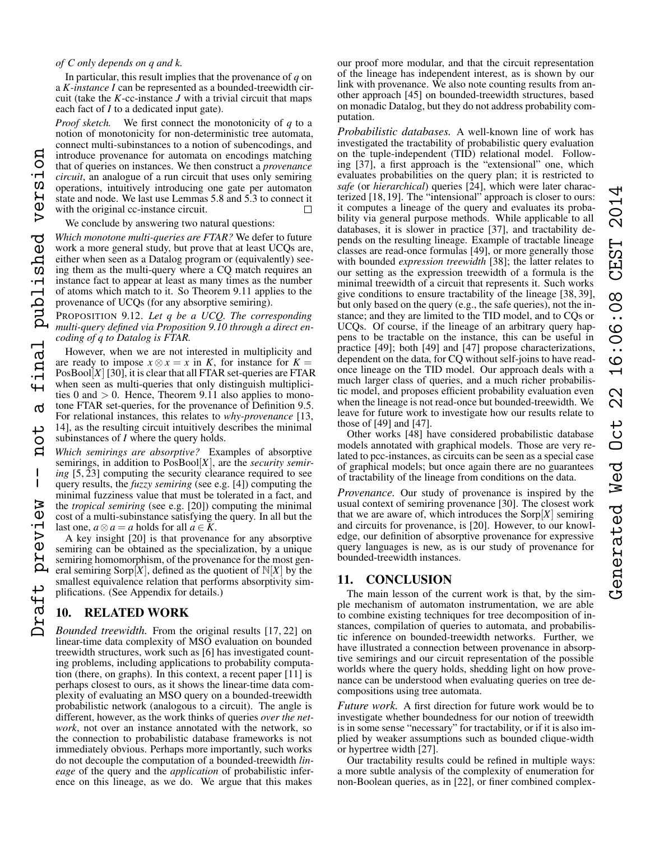# *of C only depends on q and k.*

In particular, this result implies that the provenance of *q* on a *K-instance I* can be represented as a bounded-treewidth circuit (take the  $K$ -cc-instance  $J$  with a trivial circuit that maps each fact of *I* to a dedicated input gate).

*Proof sketch.* We first connect the monotonicity of *q* to a notion of monotonicity for non-deterministic tree automata, connect multi-subinstances to a notion of subencodings, and Draft preview -- not a final published version introduce provenance for automata on encodings matching that of queries on instances. We then construct a *provenance circuit*, an analogue of a run circuit that uses only semiring operations, intuitively introducing one gate per automaton state and node. We last use Lemmas [5.8](#page-5-3) and [5.3](#page-5-4) to connect it with the original cc-instance circuit.  $\Box$ 

# We conclude by answering two natural questions:

*Which monotone multi-queries are FTAR?* We defer to future work a more general study, but prove that at least UCQs are, either when seen as a Datalog program or (equivalently) seeing them as the multi-query where a CQ match requires an instance fact to appear at least as many times as the number of atoms which match to it. So Theorem [9.11](#page-9-4) applies to the provenance of UCQs (for any absorptive semiring).

<span id="page-10-1"></span>PROPOSITION 9.12. *Let q be a UCQ. The corresponding multi-query defined via Proposition [9.10](#page-9-5) through a direct encoding of q to Datalog is FTAR.*

However, when we are not interested in multiplicity and are ready to impose  $x \otimes x = x$  in *K*, for instance for  $K =$ PosBool $[X]$  [30], it is clear that all FTAR set-queries are FTAR when seen as multi-queries that only distinguish multiplicities 0 and  $> 0$ . Hence, Theorem [9.11](#page-9-4) also applies to monotone FTAR set-queries, for the provenance of Definition [9.5.](#page-9-0) For relational instances, this relates to *why-provenance* [13, 14], as the resulting circuit intuitively describes the minimal subinstances of *I* where the query holds.

*Which semirings are absorptive?* Examples of absorptive semirings, in addition to PosBool[*X*], are the *security semiring*  $[5, 23]$  computing the security clearance required to see query results, the *fuzzy semiring* (see e.g. [4]) computing the minimal fuzziness value that must be tolerated in a fact, and the *tropical semiring* (see e.g. [20]) computing the minimal cost of a multi-subinstance satisfying the query. In all but the last one,  $a \otimes a = a$  holds for all  $a \in K$ .

A key insight [20] is that provenance for any absorptive semiring can be obtained as the specialization, by a unique semiring homomorphism, of the provenance for the most general semiring Sorp $[X]$ , defined as the quotient of  $N[X]$  by the smallest equivalence relation that performs absorptivity simplifications. (See Appendix for details.)

# <span id="page-10-0"></span>10. RELATED WORK

*Bounded treewidth.* From the original results [17, 22] on linear-time data complexity of MSO evaluation on bounded treewidth structures, work such as [6] has investigated counting problems, including applications to probability computation (there, on graphs). In this context, a recent paper [11] is perhaps closest to ours, as it shows the linear-time data complexity of evaluating an MSO query on a bounded-treewidth probabilistic network (analogous to a circuit). The angle is different, however, as the work thinks of queries *over the network*, not over an instance annotated with the network, so the connection to probabilistic database frameworks is not immediately obvious. Perhaps more importantly, such works do not decouple the computation of a bounded-treewidth *lineage* of the query and the *application* of probabilistic inference on this lineage, as we do. We argue that this makes

our proof more modular, and that the circuit representation of the lineage has independent interest, as is shown by our link with provenance. We also note counting results from another approach [45] on bounded-treewidth structures, based on monadic Datalog, but they do not address probability computation.

*Probabilistic databases.* A well-known line of work has investigated the tractability of probabilistic query evaluation on the tuple-independent (TID) relational model. Following [37], a first approach is the "extensional" one, which evaluates probabilities on the query plan; it is restricted to *safe* (or *hierarchical*) queries [24], which were later characterized [18, 19]. The "intensional" approach is closer to ours: it computes a lineage of the query and evaluates its probability via general purpose methods. While applicable to all databases, it is slower in practice [37], and tractability depends on the resulting lineage. Example of tractable lineage classes are read-once formulas [49], or more generally those with bounded *expression treewidth* [38]; the latter relates to our setting as the expression treewidth of a formula is the minimal treewidth of a circuit that represents it. Such works give conditions to ensure tractability of the lineage [38, 39], but only based on the query (e.g., the safe queries), not the instance; and they are limited to the TID model, and to CQs or UCQs. Of course, if the lineage of an arbitrary query happens to be tractable on the instance, this can be useful in practice [49]; both [49] and [47] propose characterizations, dependent on the data, for CQ without self-joins to have readonce lineage on the TID model. Our approach deals with a much larger class of queries, and a much richer probabilistic model, and proposes efficient probability evaluation even when the lineage is not read-once but bounded-treewidth. We leave for future work to investigate how our results relate to those of [49] and [47].

Other works [48] have considered probabilistic database models annotated with graphical models. Those are very related to pcc-instances, as circuits can be seen as a special case of graphical models; but once again there are no guarantees of tractability of the lineage from conditions on the data.

*Provenance.* Our study of provenance is inspired by the usual context of semiring provenance [30]. The closest work that we are aware of, which introduces the  $\text{Sorp}[X]$  semiring and circuits for provenance, is [20]. However, to our knowledge, our definition of absorptive provenance for expressive query languages is new, as is our study of provenance for bounded-treewidth instances.

# 11. CONCLUSION

The main lesson of the current work is that, by the simple mechanism of automaton instrumentation, we are able to combine existing techniques for tree decomposition of instances, compilation of queries to automata, and probabilistic inference on bounded-treewidth networks. Further, we have illustrated a connection between provenance in absorptive semirings and our circuit representation of the possible worlds where the query holds, shedding light on how provenance can be understood when evaluating queries on tree decompositions using tree automata.

*Future work.* A first direction for future work would be to investigate whether boundedness for our notion of treewidth is in some sense "necessary" for tractability, or if it is also implied by weaker assumptions such as bounded clique-width or hypertree width [27].

Our tractability results could be refined in multiple ways: a more subtle analysis of the complexity of enumeration for non-Boolean queries, as in [22], or finer combined complex-

version

published

inal

൪

ىب Ő  $\mathbf{a}$ 

 $\mathbf{I}$ 

preview

**Craft**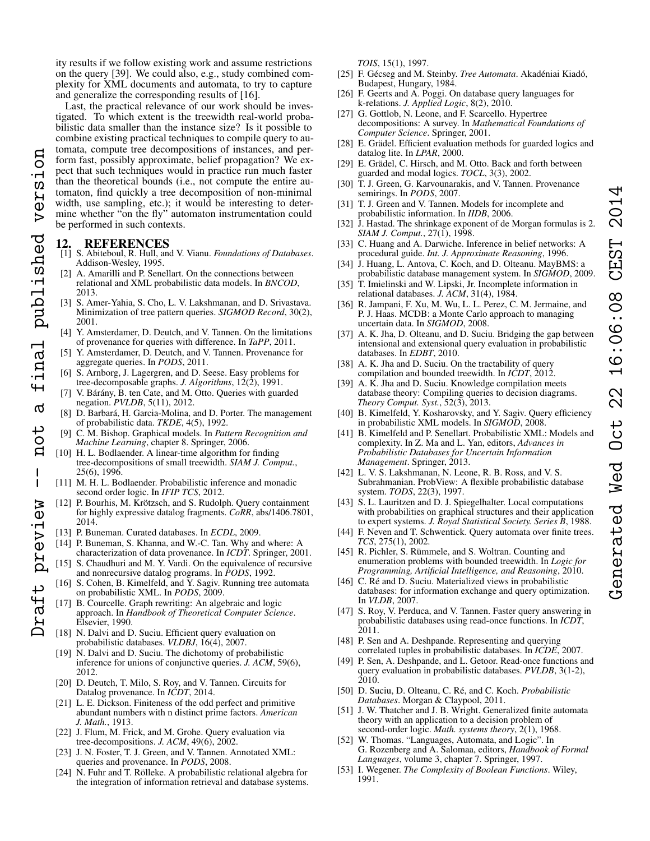ity results if we follow existing work and assume restrictions on the query [39]. We could also, e.g., study combined complexity for XML documents and automata, to try to capture and generalize the corresponding results of [16].

Last, the practical relevance of our work should be investigated. To which extent is the treewidth real-world probabilistic data smaller than the instance size? Is it possible to combine existing practical techniques to compile query to automata, compute tree decompositions of instances, and perform fast, possibly approximate, belief propagation? We expect that such techniques would in practice run much faster than the theoretical bounds (i.e., not compute the entire automaton, find quickly a tree decomposition of non-minimal width, use sampling, etc.); it would be interesting to determine whether "on the fly" automaton instrumentation could be performed in such contexts. Draft preview -- not a final published version

# 12. REFERENCES

version

final published

 $\sigma$ 

not

 $\mathbf{I}$  $\overline{\phantom{a}}$ 

Draft preview

- [1] S. Abiteboul, R. Hull, and V. Vianu. *Foundations of Databases*. Addison-Wesley, 1995.
- [2] A. Amarilli and P. Senellart. On the connections between relational and XML probabilistic data models. In *BNCOD*, 2013.
- [3] S. Amer-Yahia, S. Cho, L. V. Lakshmanan, and D. Srivastava. Minimization of tree pattern queries. *SIGMOD Record*, 30(2), 2001.
- [4] Y. Amsterdamer, D. Deutch, and V. Tannen. On the limitations of provenance for queries with difference. In *TaPP*, 2011.
- [5] Y. Amsterdamer, D. Deutch, and V. Tannen. Provenance for aggregate queries. In *PODS*, 2011.
- [6] S. Arnborg, J. Lagergren, and D. Seese. Easy problems for tree-decomposable graphs. *J. Algorithms*, 12(2), 1991.
- [7] V. Bárány, B. ten Cate, and M. Otto. Queries with guarded negation. *PVLDB*, 5(11), 2012.
- [8] D. Barbará, H. Garcia-Molina, and D. Porter. The management of probabilistic data. *TKDE*, 4(5), 1992.
- [9] C. M. Bishop. Graphical models. In *Pattern Recognition and Machine Learning*, chapter 8. Springer, 2006.
- [10] H. L. Bodlaender. A linear-time algorithm for finding tree-decompositions of small treewidth. *SIAM J. Comput.*, 25(6), 1996.
- [11] M. H. L. Bodlaender. Probabilistic inference and monadic second order logic. In *IFIP TCS*, 2012.
- [12] P. Bourhis, M. Krötzsch, and S. Rudolph. Query containment for highly expressive datalog fragments. *CoRR*, abs/1406.7801, 2014.
- [13] P. Buneman. Curated databases. In *ECDL*, 2009.
- [14] P. Buneman, S. Khanna, and W.-C. Tan. Why and where: A characterization of data provenance. In *ICDT*. Springer, 2001.
- [15] S. Chaudhuri and M. Y. Vardi. On the equivalence of recursive and nonrecursive datalog programs. In *PODS*, 1992.
- [16] S. Cohen, B. Kimelfeld, and Y. Sagiv. Running tree automata on probabilistic XML. In *PODS*, 2009.
- [17] B. Courcelle. Graph rewriting: An algebraic and logic approach. In *Handbook of Theoretical Computer Science*. Elsevier, 1990.
- [18] N. Dalvi and D. Suciu. Efficient query evaluation on probabilistic databases. *VLDBJ*, 16(4), 2007.
- [19] N. Dalvi and D. Suciu. The dichotomy of probabilistic inference for unions of conjunctive queries. *J. ACM*, 59(6), 2012.
- [20] D. Deutch, T. Milo, S. Roy, and V. Tannen. Circuits for Datalog provenance. In *ICDT*, 2014.
- [21] L. E. Dickson. Finiteness of the odd perfect and primitive abundant numbers with n distinct prime factors. *American J. Math.*, 1913.
- [22] J. Flum, M. Frick, and M. Grohe. Query evaluation via tree-decompositions. *J. ACM*, 49(6), 2002.
- [23] J. N. Foster, T. J. Green, and V. Tannen. Annotated XML: queries and provenance. In *PODS*, 2008.
- [24] N. Fuhr and T. Rölleke. A probabilistic relational algebra for the integration of information retrieval and database systems.

*TOIS*, 15(1), 1997.

- [25] F. Gécseg and M. Steinby. *Tree Automata*. Akadéniai Kiadó, Budapest, Hungary, 1984.
- [26] F. Geerts and A. Poggi. On database query languages for k-relations. *J. Applied Logic*, 8(2), 2010.
- [27] G. Gottlob, N. Leone, and F. Scarcello. Hypertree decompositions: A survey. In *Mathematical Foundations of Computer Science*. Springer, 2001.
- [28] E. Grädel. Efficient evaluation methods for guarded logics and datalog lite. In *LPAR*, 2000.
- [29] E. Grädel, C. Hirsch, and M. Otto. Back and forth between guarded and modal logics. *TOCL*, 3(3), 2002.
- [30] T. J. Green, G. Karvounarakis, and V. Tannen. Provenance semirings. In *PODS*, 2007.
- [31] T. J. Green and V. Tannen. Models for incomplete and probabilistic information. In *IIDB*, 2006.
- [32] J. Hastad. The shrinkage exponent of de Morgan formulas is 2. *SIAM J. Comput.*, 27(1), 1998.
- [33] C. Huang and A. Darwiche. Inference in belief networks: A procedural guide. *Int. J. Approximate Reasoning*, 1996.
- [34] J. Huang, L. Antova, C. Koch, and D. Olteanu. MayBMS: a probabilistic database management system. In *SIGMOD*, 2009.
- [35] T. Imielinski and W. Lipski, Jr. Incomplete information in relational databases. *J. ACM*, 31(4), 1984.
- [36] R. Jampani, F. Xu, M. Wu, L. L. Perez, C. M. Jermaine, and P. J. Haas. MCDB: a Monte Carlo approach to managing uncertain data. In *SIGMOD*, 2008.
- [37] A. K. Jha, D. Olteanu, and D. Suciu. Bridging the gap between intensional and extensional query evaluation in probabilistic databases. In *EDBT*, 2010.
- [38] A. K. Jha and D. Suciu. On the tractability of query compilation and bounded treewidth. In *ICDT*, 2012.
- [39] A. K. Jha and D. Suciu. Knowledge compilation meets database theory: Compiling queries to decision diagrams. *Theory Comput. Syst.*, 52(3), 2013.
- [40] B. Kimelfeld, Y. Kosharovsky, and Y. Sagiv. Query efficiency in probabilistic XML models. In *SIGMOD*, 2008.
- [41] B. Kimelfeld and P. Senellart. Probabilistic XML: Models and complexity. In Z. Ma and L. Yan, editors, *Advances in Probabilistic Databases for Uncertain Information Management*. Springer, 2013.
- [42] L. V. S. Lakshmanan, N. Leone, R. B. Ross, and V. S. Subrahmanian. ProbView: A flexible probabilistic database system. *TODS*, 22(3), 1997.
- [43] S. L. Lauritzen and D. J. Spiegelhalter. Local computations with probabilities on graphical structures and their application to expert systems. *J. Royal Statistical Society. Series B*, 1988.
- [44] F. Neven and T. Schwentick. Query automata over finite trees. *TCS*, 275(1), 2002.
- [45] R. Pichler, S. Rümmele, and S. Woltran. Counting and enumeration problems with bounded treewidth. In *Logic for Programming, Artificial Intelligence, and Reasoning*, 2010.
- [46] C. Ré and D. Suciu. Materialized views in probabilistic databases: for information exchange and query optimization. In *VLDB*, 2007.
- [47] S. Roy, V. Perduca, and V. Tannen. Faster query answering in probabilistic databases using read-once functions. In *ICDT*, 2011.
- [48] P. Sen and A. Deshpande. Representing and querying correlated tuples in probabilistic databases. In *ICDE*, 2007.
- [49] P. Sen, A. Deshpande, and L. Getoor. Read-once functions and query evaluation in probabilistic databases. *PVLDB*, 3(1-2), 2010.
- [50] D. Suciu, D. Olteanu, C. Ré, and C. Koch. *Probabilistic Databases*. Morgan & Claypool, 2011.
- [51] J. W. Thatcher and J. B. Wright. Generalized finite automata theory with an application to a decision problem of second-order logic. *Math. systems theory*, 2(1), 1968.
- [52] W. Thomas. "Languages, Automata, and Logic". In G. Rozenberg and A. Salomaa, editors, *Handbook of Formal Languages*, volume 3, chapter 7. Springer, 1997.
- [53] I. Wegener. *The Complexity of Boolean Functions*. Wiley, 1991.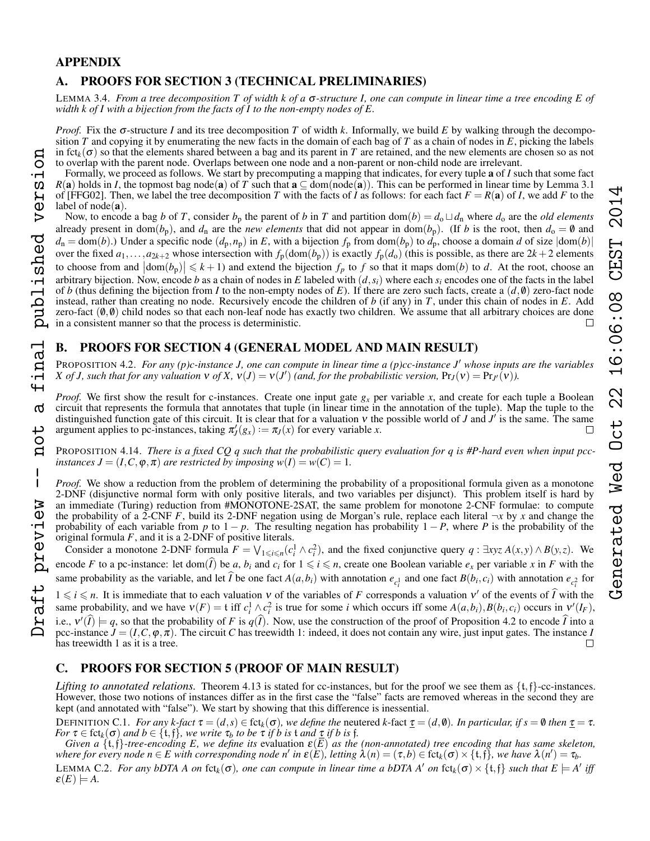# 16:06:08 CEST 2014 Generated Wed Oct 22 16:06:08 CEST 2014Oct 22 Generated Wed

# APPENDIX

# A. PROOFS FOR SECTION [3](#page-2-0) (TECHNICAL PRELIMINARIES)

LEMMA [3.4.](#page-2-3) *From a tree decomposition T of width k of a* σ*-structure I, one can compute in linear time a tree encoding E of width k of I with a bijection from the facts of I to the non-empty nodes of E.*

*Proof.* Fix the  $\sigma$ -structure *I* and its tree decomposition *T* of width *k*. Informally, we build *E* by walking through the decomposition  $T$  and copying it by enumerating the new facts in the domain of each bag of  $T$  as a chain of nodes in  $E$ , picking the labels in  $fct_k(\sigma)$  so that the elements shared between a bag and its parent in *T* are retained, and the new elements are chosen so as not to overlap with the parent node. Overlaps between one node and a non-parent or non-child node are irrelevant.

Formally, we proceed as follows. We start by precomputing a mapping that indicates, for every tuple a of *I* such that some fact  $R(a)$  holds in *I*, the topmost bag node(a) of *T* such that  $a \subseteq dom(node(a))$ . This can be performed in linear time by Lemma 3.1 of [FFG02]. Then, we label the tree decomposition *T* with the facts of *I* as follows: for each fact  $F = R(a)$  of *I*, we add *F* to the label of  $node(a)$ .

Now, to encode a bag *b* of *T*, consider  $b_p$  the parent of *b* in *T* and partition dom(*b*) =  $d_0 \sqcup d_n$  where  $d_0$  are the *old elements* already present in dom( $b_p$ ), and  $d_n$  are the *new elements* that did not appear in dom( $b_p$ ). (If *b* is the root, then  $d_o = \emptyset$  and  $d_n = \text{dom}(b)$ .) Under a specific node  $(d_p, n_p)$  in *E*, with a bijection  $f_p$  from  $\text{dom}(b_p)$  to  $d_p$ , choose a domain *d* of size  $|\text{dom}(b)|$ over the fixed  $a_1, \ldots, a_{2k+2}$  whose intersection with  $f_p(\text{dom}(b_p))$  is exactly  $f_p(d_o)$  (this is possible, as there are  $2k+2$  elements to choose from and  $|\text{dom}(b_p)| \leq k+1$ ) and extend the bijection  $f_p$  to  $f$  so that it maps dom(*b*) to *d*. At the root, choose an arbitrary bijection. Now, encode *b* as a chain of nodes in *E* labeled with  $(d, s_i)$  where each  $s_i$  encodes one of the facts in the label of *b* (thus defining the bijection from *I* to the non-empty nodes of *E*). If there are zero such facts, create a  $(d, 0)$  zero-fact node instead, rather than creating no node. Recursively encode the children of *b* (if any) in *T*, under this chain of nodes in *E*. Add zero-fact  $(0, 0)$  child nodes so that each non-leaf node has exactly two children. We assume that all arbitrary choices are done in a consistent manner so that the process is deterministic.

# B. PROOFS FOR SECTION [4](#page-3-0) (GENERAL MODEL AND MAIN RESULT)

PROPOSITION [4.2.](#page-3-1) *For any (p)c-instance J, one can compute in linear time a (p)cc-instance J' whose inputs are the variables X* of *J*, such that for any valuation  $v$  of  $X$ ,  $v(J) = v(J')$  (and, for the probabilistic version,  $Pr_J(v) = Pr_{J'}(v)$ ).

*Proof.* We first show the result for c-instances. Create one input gate  $g_x$  per variable  $x$ , and create for each tuple a Boolean circuit that represents the formula that annotates that tuple (in linear time in the annotation of the tuple). Map the tuple to the distinguished function gate of this circuit. It is clear that for a valuation  $v$  the possible world of *J* and  $J'$  is the same. The same argument applies to pc-instances, taking  $\pi'_{J}(g_{x}) := \pi_{J}(x)$  for every variable *x*.

PROPOSITION [4.14.](#page-5-5) *There is a fixed CQ q such that the probabilistic query evaluation for q is #P-hard even when input pccinstances*  $J = (I, C, \varphi, \pi)$  *are restricted by imposing*  $w(I) = w(C) = 1$ .

*Proof.* We show a reduction from the problem of determining the probability of a propositional formula given as a monotone 2-DNF (disjunctive normal form with only positive literals, and two variables per disjunct). This problem itself is hard by an immediate (Turing) reduction from #MONOTONE-2SAT, the same problem for monotone 2-CNF formulae: to compute the probability of a 2-CNF *F*, build its 2-DNF negation using de Morgan's rule, replace each literal  $\neg x$  by *x* and change the probability of each variable from *p* to  $1 - p$ . The resulting negation has probability  $1 - P$ , where *P* is the probability of the original formula *F*, and it is a 2-DNF of positive literals.

Consider a monotone 2-DNF formula  $F = \bigvee_{1 \leq i \leq n} (c_i^1 \wedge c_i^2)$ , and the fixed conjunctive query  $q : \exists x y z A(x, y) \wedge B(y, z)$ . We encode *F* to a pc-instance: let dom( $\hat{I}$ ) be *a*,  $b_i$  and  $c_i$  for  $1 \leq i \leq n$ , create one Boolean variable  $e_x$  per variable *x* in *F* with the same probability as the variable, and let  $\tilde{I}$  be one fact  $A(a,b_i)$  with annotation  $e_{c_i^1}$  and one fact  $B(b_i,c_i)$  with annotation  $e_{c_i^2}$  for

 $1 \leq i \leq n$ . It is immediate that to each valuation v of the variables of *F* corresponds a valuation v' of the events of  $\hat{I}$  with the same probability, and we have  $v(F) = t$  iff  $c_i^1 \wedge c_i^2$  is true for some *i* which occurs iff some  $A(a,b_i), B(b_i,c_i)$  occurs in  $v'(I_F)$ , i.e.,  $v'(\hat{i}) \models q$ , so that the probability of *F* is  $q(\hat{i})$ . Now, use the construction of the proof of Proposition [4.2](#page-3-1) to encode  $\hat{i}$  into a pcc-instance  $\hat{J} = (I, C, \varphi, \pi)$ . The circuit *C* has treewidth 1: indeed, it does not contain any wire, just input gates. The instance *I* has treewidth 1 as it is a tree. has treewidth 1 as it is a tree.

# C. PROOFS FOR SECTION [5](#page-5-0) (PROOF OF MAIN RESULT)

*Lifting to annotated relations.* Theorem [4.13](#page-4-1) is stated for cc-instances, but for the proof we see them as  $\{t, f\}$ -cc-instances. However, those two notions of instances differ as in the first case the "false" facts are removed whereas in the second they are kept (and annotated with "false"). We start by showing that this difference is inessential.

DEFINITION C.1. *For any k-fact*  $\tau = (d, s) \in \text{fct}_k(\sigma)$ *, we define the neutered k-fact*  $\tau = (d, \emptyset)$ *. In particular, if*  $s = \emptyset$  *then*  $\tau = \tau$ *. For*  $\tau \in \text{fct}_k(\sigma)$  *and*  $b \in \{\text{t},\text{f}\}\$ *, we write*  $\tau_b$  *to be*  $\tau$  *if b is* t *and*  $\underline{\tau}$  *if b is* f*.* 

<span id="page-12-0"></span>*Given a*  $\{t, f\}$ -tree-encoding E, we define its evaluation  $\varepsilon(E)$  as the (non-annotated) tree encoding that has same skeleton, where for every node  $n \in E$  with corresponding node n' in  $\varepsilon(E)$ , letting  $\lambda(n) = (\tau, b) \in \text{fct}_k(\sigma) \times \{\text{t}, \text{f}\}$ , we have  $\lambda(n') = \tau_b$ . LEMMA C.2. *For any bDTA A on* fct<sub>k</sub>( $\sigma$ ), *one can compute in linear time a bDTA A' on* fct<sub>k</sub>( $\sigma$ )  $\times$  {t, f} *such that*  $E \models A'$  *iff*  $\varepsilon(E) \models A$ .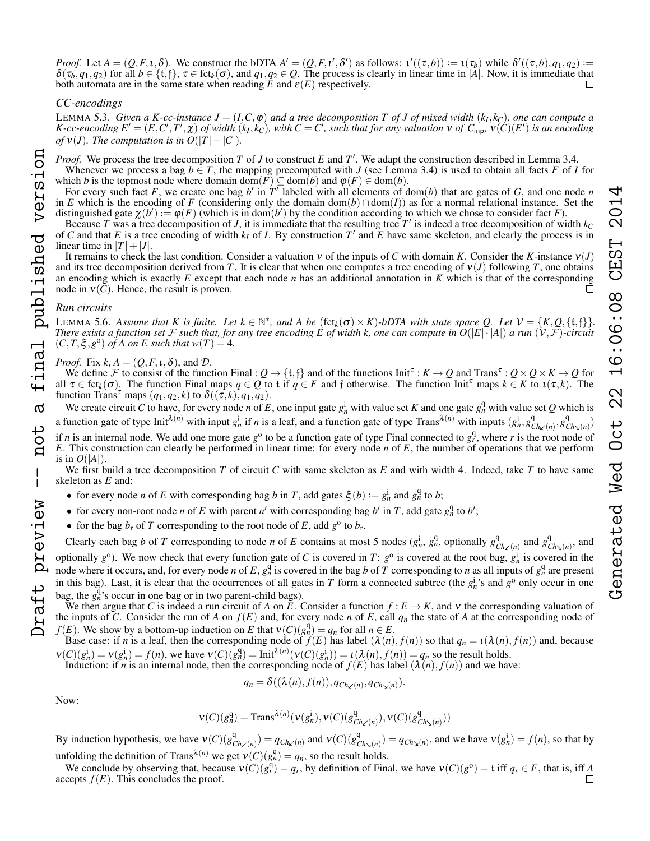*Proof.* Let  $A = (Q, F, \iota, \delta)$ . We construct the bDTA  $A' = (Q, F, \iota', \delta')$  as follows:  $\iota'((\tau, b)) := \iota(\tau_b)$  while  $\delta'((\tau, b), q_1, q_2) :=$  $\delta(\tau_b, q_1, q_2)$  for all  $b \in \{\mathfrak{t},\mathfrak{f}\}, \tau \in \text{fct}_k(\sigma)$ , and  $q_1, q_2 \in \mathcal{Q}$ . The process is clearly in linear time in  $|A|$ . Now, it is immediate that both automata are in the same state when reading  $\overline{E}$  and  $\varepsilon(E)$  respectively.

# *CC-encodings*

version

inal published

 $\sigma$ 

not

 $\overline{1}$ 

Oraft preview

LEMMA [5.3.](#page-5-4) *Given a K-cc-instance*  $J = (I, C, \varphi)$  and a tree decomposition T of J of mixed width  $(k_I, k_C)$ , one can compute a K-cc-encoding  $E' = (E, C', T', \chi)$  of width  $(k_I, k_C)$ , with  $C = C'$ , such that for any valuation  $V$  of  $C_{\text{inp}}$ ,  $V(C)(E')$  is an encoding *of*  $v(J)$ *. The computation is in*  $O(|T|+|C|)$ *<i>.* 

*Proof.* We process the tree decomposition  $T$  of  $J$  to construct  $E$  and  $T'$ . We adapt the construction described in Lemma [3.4.](#page-2-3)

Whenever we process a bag  $b \in T$ , the mapping precomputed with *J* (see Lemma [3.4\)](#page-2-3) is used to obtain all facts *F* of *I* for which *b* is the topmost node where domain dom( $\overline{F}$ )  $\subseteq$  dom( $\overline{b}$ ) and  $\varphi(F) \in$  dom( $\overline{b}$ ).

For every such fact F, we create one bag b' in  $T<sup>T</sup>$  labeled with all elements of dom(b) that are gates of G, and one node *n* in *E* which is the encoding of *F* (considering only the domain dom(*b*)∩dom(*I*)) as for a normal relational instance. Set the distinguished gate  $\chi(b') := \varphi(F)$  (which is in dom(*b'*) by the condition according to which we chose to consider fact *F*).

Because *T* was a tree decomposition of *J*, it is immediate that the resulting tree  $T'$  is indeed a tree decomposition of width  $k_C$ of C and that E is a tree encoding of width  $k_I$  of I. By construction T' and E have same skeleton, and clearly the process is in linear time in  $|T|+|J|$ .

It remains to check the last condition. Consider a valuation ν of the inputs of *C* with domain *K*. Consider the *K*-instance ν(*J*) and its tree decomposition derived from *T*. It is clear that when one computes a tree encoding of  $v(J)$  following *T*, one obtains an encoding which is exactly *E* except that each node *n* has an additional annotation in *K* which is that of the corresponding node in  $V(C)$ . Hence, the result is proven.  $\Box$ 

# *Run circuits*

**LEMMA [5.6.](#page-5-6)** Assume that K is finite. Let  $k \in \mathbb{N}^*$ , and A be  $(\text{fct}_k(\sigma) \times K)$ -bDTA with state space Q. Let  $\mathcal{V} = \{K, Q, \{\text{t}, \text{f}\}\}\$ . *There exists a function set* F *such that, for any tree encoding* E of width k, one can compute in  $O(|E|\cdot|A|)$  *a run*  $(V,\mathcal{F})$ -circuit  $(C, T, \xi, g^{\circ})$  *of A on E such that*  $w(T) = 4$ *.* 

# *Proof.* Fix  $k$ ,  $A = (Q, F, \iota, \delta)$ , and  $D$ .

We define F to consist of the function Final :  $Q \to \{t, f\}$  and of the functions Init<sup> $\tau$ </sup> :  $K \to Q$  and Trans<sup> $\tau$ </sup> :  $Q \times Q \times K \to Q$  for all  $\tau \in \text{fct}_k(\sigma)$ . The function Final maps  $q \in Q$  to t if  $q \in F$  and f otherwise. The function Init<sup> $\tau$ </sup> maps  $k \in K$  to  $\iota(\tau, k)$ . The function Trans<sup>τ</sup> maps  $(q_1, q_2, k)$  to  $\delta((\tau, k), q_1, q_2)$ .

We create circuit *C* to have, for every node *n* of *E*, one input gate  $g_n^i$  with value set *K* and one gate  $g_n^q$  with value set *Q* which is a function gate of type Init<sup> $\lambda(n)$ </sup> with input  $g_n^i$  if *n* is a leaf, and a function gate of type Trans<sup> $\lambda(n)$ </sup> with inputs  $(g_n^i, g_c^q)$  $\frac{q}{Ch_{\kappa'}(n)}, g_C^q$  $\binom{q}{c h_{\lambda}(n)}$ if *n* is an internal node. We add one more gate  $g^0$  to be a function gate of type Final connected to  $g^q$ , where *r* is the root node of *E*. This construction can clearly be performed in linear time: for every node *n* of *E*, the number of operations that we perform is in  $O(|A|)$ .

We first build a tree decomposition *T* of circuit *C* with same skeleton as *E* and with width 4. Indeed, take *T* to have same skeleton as *E* and:

- for every node *n* of *E* with corresponding bag *b* in *T*, add gates  $\xi(b) := g_n^i$  and  $g_n^q$  to *b*;
- for every non-root node *n* of *E* with parent *n'* with corresponding bag *b'* in *T*, add gate  $g_n^q$  to *b'*;
- for the bag  $b_r$  of *T* corresponding to the root node of *E*, add  $g^{\circ}$  to  $b_r$ .

Clearly each bag *b* of *T* corresponding to node *n* of *E* contains at most 5 nodes  $(g_n^i, g_n^q)$ , optionally  $g_G^q$  $\frac{q}{Ch\sw(n)}$  and  $g_C^q$  $\frac{q}{Ch_{\geq}(n)}$ , and

optionally  $g^0$ ). We now check that every function gate of *C* is covered in *T*:  $g^0$  is covered at the root bag,  $g^1$  is covered in the node where it occurs, and, for every node *n* of *E*,  $g_n^q$  is covered in the bag *b* of *T* corresponding to *n* as all inputs of  $g_n^q$  are present in this bag). Last, it is clear that the occurrences of all gates in *T* form a connected subtree (the  $g_n^i$ 's and  $g^o$  only occur in one bag, the  $g_n^{\overline{q}}$ 's occur in one bag or in two parent-child bags). Draft preview -- not a final published version

We then argue that *C* is indeed a run circuit of *A* on  $\bar{E}$ . Consider a function  $f : E \to K$ , and v the corresponding valuation of the inputs of *C*. Consider the run of *A* on  $f(E)$  and, for every node *n* of *E*, call  $q_n$  the state of *A* at the corresponding node of *f*(*E*). We show by a bottom-up induction on *E* that  $v(C)(g_n^q) = q_n$  for all  $n \in E$ .

Base case: if *n* is a leaf, then the corresponding node of  $f(E)$  has label  $(\lambda(n), f(n))$  so that  $q_n = \iota(\lambda(n), f(n))$  and, because  $v(C)(g_n^i) = v(g_n^i) = f(n)$ , we have  $v(C)(g_n^q) = \text{Init}^{\lambda(n)}(v(C)(g_n^i)) = \iota(\lambda(n), f(n)) = q_n$  so the result holds.

Induction: if *n* is an internal node, then the corresponding node of  $f(E)$  has label  $(\lambda(n), f(n))$  and we have:

$$
q_n = \delta((\lambda(n), f(n)), q_{\text{Ch}_{\kappa}(n)}, q_{\text{Ch}_{\kappa}(n)}).
$$

Now:

$$
v(C)(g_n^q) = \text{Trans}^{\lambda(n)}(v(g_n^i), v(C)(g_{Ch\swarrow(n)}^q), v(C)(g_{Ch\swarrow(n)}^q))
$$

By induction hypothesis, we have  $V(C)(g_C^q)$  $Q_{Ch\swarrow(n)}^q$ ) =  $q_{Ch\swarrow(n)}$  and  $v(C)(g_C^q)$  $\mathcal{C}_{h_{\lambda}(n)}^q$  =  $q_{Ch_{\lambda}(n)}$ , and we have  $v(g_n^i) = f(n)$ , so that by unfolding the definition of Trans<sup> $\lambda(n)$ </sup> we get  $v(C)(g_n^q) = q_n$ , so the result holds.

We conclude by observing that, because  $v(C)(g^q) = q_r$ , by definition of Final, we have  $v(C)(g^0) = t$  iff  $q_r \in F$ , that is, iff *A* accepts  $f(E)$ . This concludes the proof.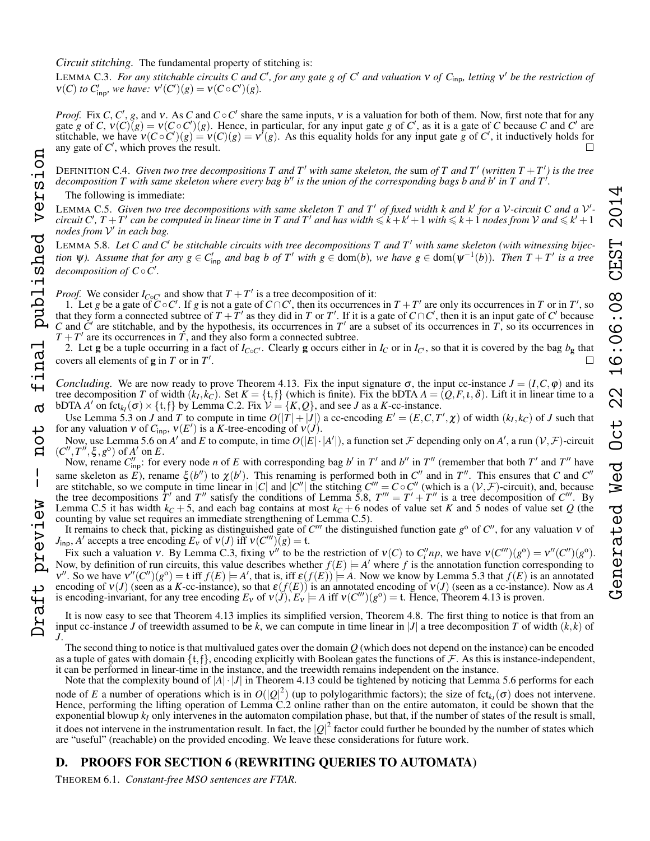# *Circuit stitching.* The fundamental property of stitching is:

<span id="page-14-1"></span>LEMMA C.3. For any stitchable circuits C and C', for any gate g of C' and valuation v of C<sub>inp</sub>, letting v' be the restriction of  $v(C)$  *to*  $C'_{\text{inp}}$ *, we have:*  $v'(C')(g) = v(C \circ C')(g)$ *.* 

*Proof.* Fix *C*, *C'*, *g*, and *v*. As *C* and  $C \circ C'$  share the same inputs, *v* is a valuation for both of them. Now, first note that for any gate *g* of *C*,  $v(C)(g) = v(C \circ C')(g)$ . Hence, in particular, for any input gate *g* of *C'*, as it is a gate of *C* because *C* and *C'* are stitchable, we have  $v(C \circ C')(g) = v(C)(g) = v'(g)$ . As this equality holds for any input gate *g* of *C'*, it inductively holds for any gate of  $C'$ , which proves the result.

DEFINITION C.4. *Given two tree decompositions* T and T' with same skeleton, the sum of T and T' (written  $T + T'$ ) is the tree decomposition T with same skeleton where every bag b<sup>"</sup> is the union of the corresponding bags b and b' in T and T<sup>'</sup>.

The following is immediate:

<span id="page-14-0"></span>LEMMA C.5. Given two tree decompositions with same skeleton T and T' of fixed width k and k' for a V-circuit C and a V<sup>'</sup>*circuit*  $C', T+T'$  can be computed in linear time in T and T' and has width  $\leq k+k'+1$  with  $\leq k+1$  nodes from V and  $\leq k'+1$ *nodes from* V 0 *in each bag.*

LEMMA [5.8.](#page-5-3) Let C and C' be stitchable circuits with tree decompositions T and T' with same skeleton (with witnessing bijec*tion*  $\psi$ ). Assume that for any  $g \in C'_{\text{inp}}$  and bag b of T<sup>'</sup> with  $g \in \text{dom}(b)$ , we have  $g \in \text{dom}(\psi^{-1}(b))$ . Then  $T + T'$  is a tree *decomposition of*  $C \circ C'$ *.* 

*Proof.* We consider  $I_{C \circ C'}$  and show that  $T + T'$  is a tree decomposition of it:

1. Let *g* be a gate of  $\tilde{C} \circ C'$ . If *g* is not a gate of  $C \cap C'$ , then its occurrences in *T* + *T'* are only its occurrences in *T* or in *T'*, so that they form a connected subtree of  $T + \overline{T}'$  as they did in *T* or  $T'$ . If it is a gate of  $C \cap C'$ , then it is an input gate of  $C'$  because C and  $\dot{C}$  are stitchable, and by the hypothesis, its occurrences in  $T'$  are a subset of its occurrences in  $\dot{T}$ , so its occurrences in  $T + T'$  are its occurrences in  $\overline{T}$ , and they also form a connected subtree.

2. Let g be a tuple occurring in a fact of  $I_{C\circ C'}$ . Clearly g occurs either in  $I_C$  or in  $I_{C'}$ , so that it is covered by the bag  $b_g$  that covers all elements of  $g$  in  $T$  or in  $T'$ .

*Concluding.* We are now ready to prove Theorem [4.13.](#page-4-1) Fix the input signature  $\sigma$ , the input cc-instance  $J = (I, C, \varphi)$  and its tree decomposition *T* of width  $(k_I, k_C)$ . Set  $K = \{t, f\}$  (which is finite). Fix the bDTA  $A = (Q, F, \iota, \delta)$ . Lift it in linear time to a bDTA *A'* on fct<sub>*kI*</sub>( $\sigma$ ) × {t, f} by Lemma [C.2.](#page-12-0) Fix  $\mathcal{V} = \{K, Q\}$ , and see *J* as a *K*-cc-instance.

Use Lemma [5.3](#page-5-4) on *J* and *T* to compute in time  $O(|T| + |J|)$  a cc-encoding  $E' = (E, C, T', \chi)$  of width  $(k_I, k_C)$  of *J* such that for any valuation  $v$  of  $C_{\text{inp}}$ ,  $v(E')$  is a *K*-tree-encoding of  $v(J)$ .

Now, use Lemma [5.6](#page-5-6) on *A'* and *E* to compute, in time  $O(|E|\cdot|A'|)$ , a function set *F* depending only on *A'*, a run  $(V, F)$ -circuit  $(C'', T'', \xi, g^{\circ})$  of  $A'$  on  $E$ .

Now, rename  $C_{\text{inp}}''$ : for every node *n* of *E* with corresponding bag *b'* in *T'* and *b''* in *T''* (remember that both *T'* and *T''* have same skeleton as *E*), rename  $\xi(b'')$  to  $\chi(b')$ . This renaming is performed both in  $C''$  and in  $T''$ . This ensures that *C* and  $C''$ are stitchable, so we compute in time linear in |*C*| and |*C''*| the stitching  $C''' = C \circ C''$  (which is a  $(\mathcal{V}, \mathcal{F})$ -circuit), and, because the tree decompositions  $\dot{T}$  and  $T''$  satisfy the conditions of Lemma [5.8,](#page-5-3)  $T''' = T' + T''$  is a tree decomposition of  $C'''$ . By Lemma [C.5](#page-14-0) it has width  $k_C + 5$ , and each bag contains at most  $k_C + 6$  nodes of value set *K* and 5 nodes of value set *Q* (the counting by value set requires an immediate strengthening of Lemma [C.5\)](#page-14-0).

It remains to check that, picking as distinguished gate of  $C'''$  the distinguished function gate  $g^{\circ}$  of  $C''$ , for any valuation  $v$  of *J*<sub>inp</sub>, *A'* accepts a tree encoding  $E_v$  of  $v(J)$  iff  $v(C''')(g) = t$ .

Fix such a valuation v. By Lemma [C.3,](#page-14-1) fixing  $v''$  to be the restriction of  $v(C)$  to  $C''_i np$ , we have  $v(C''')(g^0) = v''(C'')(g^0)$ . Now, by definition of run circuits, this value describes whether  $f(E) \models A'$  where *f* is the annotation function corresponding to  $v''$ . So we have  $v''(C'')(g^{\circ}) = t$  iff  $f(E) \models A'$ , that is, iff  $\varepsilon(f(E)) \models A$ . Now we know by Lemma [5.3](#page-5-4) that  $f(E)$  is an annotated encoding of  $v(J)$  (seen as a *K*-cc-instance), so that  $\varepsilon(f(E))$  is an annotated encoding of  $v(J)$  (seen as a cc-instance). Now as *A* is encoding-invariant, for any tree encoding  $E_v$  of  $v(\check{J})$ ,  $E_v' \models A$  iff  $v(C''')(g^{\circ}) = t$ . Hence, Theorem [4.13](#page-4-1) is proven.

It is now easy to see that Theorem [4.13](#page-4-1) implies its simplified version, Theorem [4.8.](#page-4-0) The first thing to notice is that from an input cc-instance *J* of treewidth assumed to be k, we can compute in time linear in  $|J|$  a tree decomposition *T* of width  $(k, k)$  of *J*.

The second thing to notice is that multivalued gates over the domain *Q* (which does not depend on the instance) can be encoded as a tuple of gates with domain  $\{t, f\}$ , encoding explicitly with Boolean gates the functions of  $\mathcal F$ . As this is instance-independent, it can be performed in linear-time in the instance, and the treewidth remains independent on the instance.

Note that the complexity bound of  $|A| \cdot |J|$  in Theorem [4.13](#page-4-1) could be tightened by noticing that Lemma [5.6](#page-5-6) performs for each node of *E* a number of operations which is in  $O(|Q|^2)$  (up to polylogarithmic factors); the size of fct<sub>k</sub> $(\sigma)$  does not intervene. Hence, performing the lifting operation of Lemma [C.2](#page-12-0) online rather than on the entire automaton, it could be shown that the exponential blowup  $k_I$  only intervenes in the automaton compilation phase, but that, if the number of states of the result is small, it does not intervene in the instrumentation result. In fact, the  $|Q|^2$  factor could further be bounded by the number of states which are "useful" (reachable) on the provided encoding. We leave these considerations for future work.

# D. PROOFS FOR SECTION [6](#page-6-0) (REWRITING QUERIES TO AUTOMATA)

THEOREM [6.1.](#page-6-2) *Constant-free MSO sentences are FTAR.*

inal

 $\sigma$ 

ب Ö  $\mathbf{a}$ 

 $\overline{1}$ 

preview

aft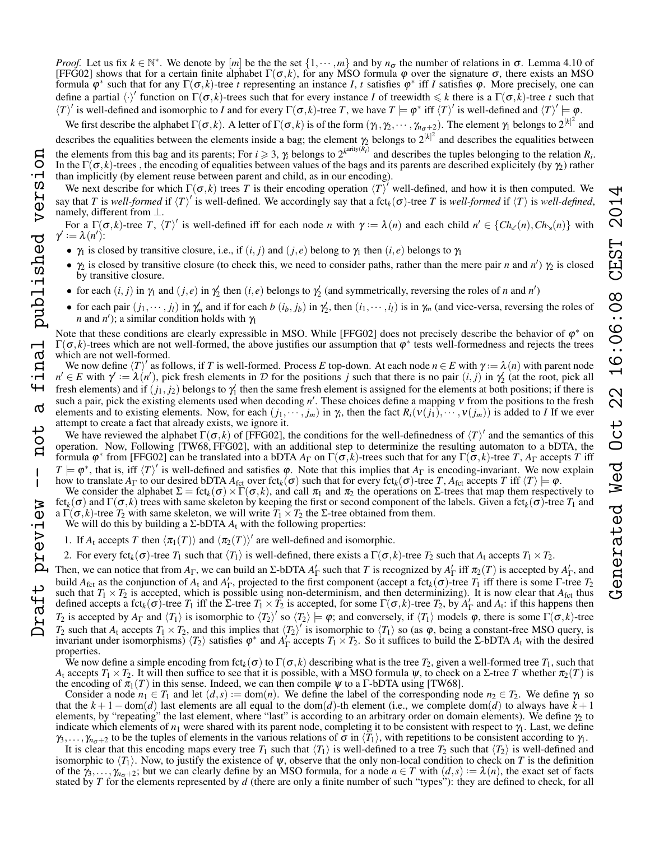*Proof.* Let us fix  $k \in \mathbb{N}^*$ . We denote by  $[m]$  be the the set  $\{1, \dots, m\}$  and by  $n_{\sigma}$  the number of relations in  $\sigma$ . Lemma 4.10 of [FFG02] shows that for a certain finite alphabet Γ(σ, *k*), for any MSO formula ϕ over the signature σ, there exists an MSO formula  $\varphi^*$  such that for any  $\Gamma(\sigma, k)$ -tree *t* representing an instance *I*, *t* satisfies  $\varphi^*$  iff *I* satisfies  $\varphi$ . More precisely, one can define a partial  $\langle \cdot \rangle'$  function on  $\Gamma(\sigma, k)$ -trees such that for every instance *I* of treewidth  $\leq k$  there is a  $\Gamma(\sigma, k)$ -tree *t* such that  $\langle T \rangle'$  is well-defined and isomorphic to *I* and for every  $\Gamma(\sigma, k)$ -tree *T*, we have  $T \models \varphi^*$  iff  $\langle T \rangle'$  is well-defined and  $\langle T \rangle' \models \varphi$ .

We first describe the alphabet  $\Gamma(\sigma, k)$ . A letter of  $\Gamma(\sigma, k)$  is of the form  $(\gamma_1, \gamma_2, \cdots, \gamma_{n_{\sigma}+2})$ . The element  $\gamma_1$  belongs to  $2^{k^2}$  and describes the equalities between the elements inside a bag; the element  $\gamma_2$  belongs to  $2^{[k]^2}$  and describes the equalities between the elements from this bag and its parents; For  $i \ge 3$ ,  $\gamma_i$  belongs to  $2^{k^{arity}(R_i)}$  and describes the tuples belonging to the relation  $R_i$ . In the  $\Gamma(\sigma, k)$ -trees, the encoding of equalities between values of the bags and its parents are described explicitely (by  $\gamma$ ) rather than implicitly (by element reuse between parent and child, as in our encoding).

We next describe for which  $\Gamma(\sigma, k)$  trees *T* is their encoding operation  $\langle T \rangle'$  well-defined, and how it is then computed. We say that *T* is well-formed if  $\langle T \rangle'$  is well-defined. We accordingly say that a fct<sub>k</sub>( $\sigma$ )-tree *T* is well-formed if  $\langle T \rangle$  is well-defined, namely, different from ⊥.

For a  $\Gamma(\sigma, k)$ -tree *T*,  $\langle T \rangle'$  is well-defined iff for each node *n* with  $\gamma := \lambda(n)$  and each child  $n' \in \{Ch_\mathcal{L}(n), Ch_\mathcal{L}(n)\}\$  with  $\gamma' := \lambda(n')$ :

- $\gamma_1$  is closed by transitive closure, i.e., if  $(i, j)$  and  $(j, e)$  belong to  $\gamma_1$  then  $(i, e)$  belongs to  $\gamma_1$
- $\gamma_2$  is closed by transitive closure (to check this, we need to consider paths, rather than the mere pair *n* and *n'*)  $\gamma_2$  is closed by transitive closure.
- for each  $(i, j)$  in  $\gamma_1$  and  $(j, e)$  in  $\gamma_2'$  then  $(i, e)$  belongs to  $\gamma_2'$  (and symmetrically, reversing the roles of *n* and *n'*)
- for each pair  $(j_1, \dots, j_l)$  in  $\gamma'_m$  and if for each  $b(i_b, j_b)$  in  $\gamma'_2$ , then  $(i_1, \dots, i_l)$  is in  $\gamma_m$  (and vice-versa, reversing the roles of *n* and *n*<sup>'</sup>); a similar condition holds with  $\gamma_1$

Note that these conditions are clearly expressible in MSO. While [FFG02] does not precisely describe the behavior of  $\varphi^*$  on  $\Gamma(\sigma, k)$ -trees which are not well-formed, the above justifies our assumption that  $\varphi^*$  tests well-formedness and rejects the trees which are not well-formed.

We now define  $\langle T \rangle'$  as follows, if *T* is well-formed. Process *E* top-down. At each node  $n \in E$  with  $\gamma := \lambda(n)$  with parent node  $n' \in E$  with  $\gamma' := \lambda(n')$ , pick fresh elements in D for the positions *j* such that there is no pair  $(i, j)$  in  $\gamma'_2$  (at the root, pick all fresh elements) and if  $(j_1, j_2)$  belongs to  $\gamma_1'$  then the same fresh element is assigned for the elements at both positions; if there is such a pair, pick the existing elements used when decoding *n'*. These choices define a mapping *ν* from the positions to the fresh elements and to existing elements. Now, for each  $(j_1, \dots, j_m)$  in  $\gamma_i$ , then the fact  $R_i(v(j_1), \dots, v(j_m))$  is added to *I* If we ever attempt to create a fact that already exists, we ignore it.

We have reviewed the alphabet  $\Gamma(\sigma, k)$  of [FFG02], the conditions for the well-definedness of  $\langle T \rangle'$  and the semantics of this operation. Now, Following [TW68, FFG02], with an additional step to determinize the resulting automaton to a bDTA, the formula  $\varphi^*$  from [FFG02] can be translated into a bDTA  $A_\Gamma$  on  $\Gamma(\sigma, k)$ -trees such that for any  $\Gamma(\sigma, k)$ -tree *T*,  $A_\Gamma$  accepts *T* iff  $T \models \varphi^*$ , that is, iff  $\langle T \rangle'$  is well-defined and satisfies  $\varphi$ . Note that this implies that  $A_{\Gamma}$  is encoding-invariant. We now explain

how to translate *A*<sub>Γ</sub> to our desired bDTA  $A_{\text{fct}}$  over fct<sub>*k*</sub>(σ) such that for every fct<sub>*k*</sub>(σ)-tree *T*,  $A_{\text{fct}}$  accepts *T* iff  $\langle T \rangle = \varphi$ . We consider the alphabet  $\Sigma = \text{fct}_k(\sigma) \times \Gamma(\sigma, k)$ , and call  $\pi_1$  and  $\pi_2$  the operations on  $\Sigma$ -trees that map them respectively to fct*k*(σ) and Γ(σ, *k*) trees with same skeleton by keeping the first or second component of the labels. Given a fct*k*(σ)-tree *T*<sup>1</sup> and a  $\Gamma(\sigma, k)$ -tree  $T_2$  with same skeleton, we will write  $T_1 \times T_2$  the  $\Sigma$ -tree obtained from them.

We will do this by building a Σ-bDTA  $A_t$  with the following properties:

2. For every fct<sub>k</sub>( $\sigma$ )-tree *T*<sub>1</sub> such that  $\langle T_1 \rangle$  is well-defined, there exists a  $\Gamma(\sigma, k)$ -tree *T*<sub>2</sub> such that  $A_t$  accepts  $T_1 \times T_2$ .

Then, we can notice that from  $A_{\Gamma}$ , we can build an Σ-bDTA  $A'_{\Gamma}$  such that *T* is recognized by  $A'_{\Gamma}$  iff  $\pi_2(T)$  is accepted by  $A'_{\Gamma}$ , and build  $A_{\text{fct}}$  as the conjunction of  $A_t$  and  $A'_\Gamma$ , projected to the first component (accept a fct<sub>k</sub>( $\sigma$ )-tree  $T_1$  iff there is some  $\Gamma$ -tree  $T_2$ Figure *T*<sub>1</sub> is accepted, which is possible using non-determinism, and then determinizing). It is now clear that  $A_{\text{fct}}$  thus such that  $T_1 \times T_2$  is accepted, which is possible using non-determinism, and then determi defined accepts a fct<sub>k</sub>( $\sigma$ )-tree  $T_1$  iff the  $\Sigma$ -tree  $T_1 \times T_2$  is accepted, for some  $\Gamma(\sigma, k)$ -tree  $T_2$ , by  $A'_\Gamma$  and  $A_t$ : if this happens then *T*<sub>2</sub> is accepted by  $A_{\Gamma}$  and  $\langle T_1 \rangle$  is isomorphic to  $\langle T_2 \rangle'$  so  $\langle T_2 \rangle \models \varphi$ ; and conversely, if  $\langle T_1 \rangle$  models  $\varphi$ , there is some  $\Gamma(\sigma, k)$ -tree *T*<sub>2</sub> such that  $A_t$  accepts  $T_1 \times T_2$ , and this implies that  $\langle T_2 \rangle'$  is isomorphic to  $\langle T_1 \rangle$  so (as  $\varphi$ , being a constant-free MSO query, is invariant under isomorphisms)  $\langle T_2 \rangle$  satisfies  $\varphi^*$  and  $A'_\Gamma$  accepts  $T_1 \times T_2$ . So it suffices to build the Σ-bDTA  $A_t$  with the desired properties.

We now define a simple encoding from fct<sub>k</sub>( $\sigma$ ) to  $\Gamma(\sigma, k)$  describing what is the tree  $T_2$ , given a well-formed tree  $T_1$ , such that *A*<sub>t</sub> accepts  $T_1 \times T_2$ . It will then suffice to see that it is possible, with a MSO formula ψ, to check on a Σ-tree *T* whether  $\pi_2(T)$  is the encoding of  $\pi_1(T)$  in this sense. Indeed, we can then compile  $\psi$  to a Γ-bDTA using [TW68].

Consider a node  $n_1 \in T_1$  and let  $(d, s) := dom(n)$ . We define the label of the corresponding node  $n_2 \in T_2$ . We define  $\gamma_1$  so that the  $k + 1 - \text{dom}(d)$  last elements are all equal to the dom(*d*)-th element (i.e., we complete dom(*d*) to always have  $k + 1$ elements, by "repeating" the last element, where "last" is according to an arbitrary order on domain elements). We define γ<sup>2</sup> to indicate which elements of  $n_1$  were shared with its parent node, completing it to be consistent with respect to  $\gamma_1$ . Last, we define  $\gamma_3,\ldots,\gamma_{n_\sigma+2}$  to be the tuples of elements in the various relations of  $\sigma$  in  $\langle \overline{T}_1 \rangle$ , with repetitions to be consistent according to  $\gamma_1$ .

It is clear that this encoding maps every tree  $T_1$  such that  $\langle T_1 \rangle$  is well-defined to a tree  $T_2$  such that  $\langle T_2 \rangle$  is well-defined and isomorphic to  $\langle T_1 \rangle$ . Now, to justify the existence of  $\psi$ , observe that the only non-local condition to check on *T* is the definition of the  $\gamma_3, \ldots, \gamma_{n-1}$ ; but we can clearly define by an MSO formula, for a node  $n \in T$  with  $(d, s) := \lambda(n)$ , the exact set of facts stated by *T* for the elements represented by *d* (there are only a finite number of such "types"): they are defined to check, for all

<sup>1.</sup> If  $A_t$  accepts *T* then  $\langle \pi_1(T) \rangle$  and  $\langle \pi_2(T) \rangle$  are well-defined and isomorphic.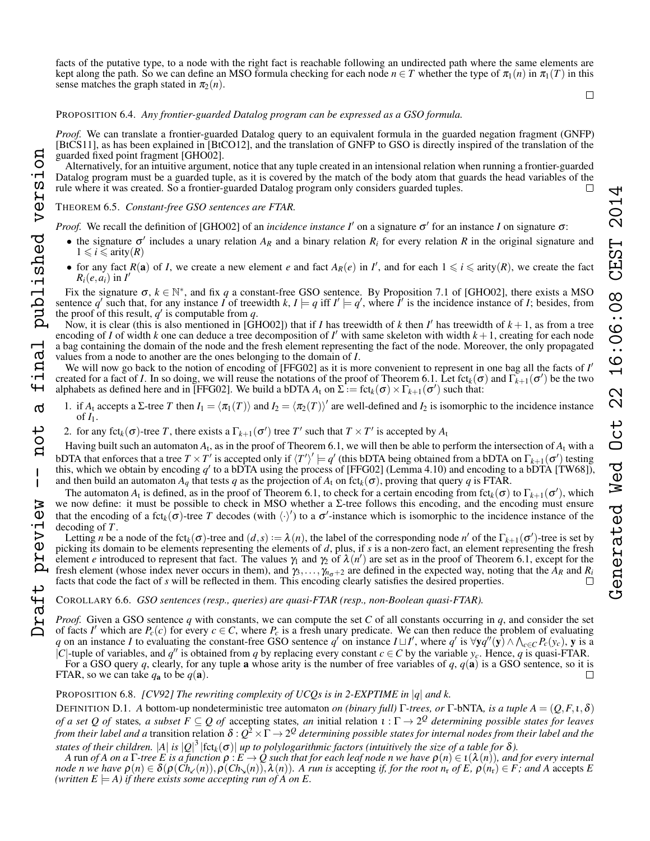facts of the putative type, to a node with the right fact is reachable following an undirected path where the same elements are kept along the path. So we can define an MSO formula checking for each node  $n \in T$  whether the type of  $\pi_1(n)$  in  $\pi_1(T)$  in this sense matches the graph stated in  $\pi_2(n)$ .

 $\Box$ 

PROPOSITION [6.4.](#page-6-3) *Any frontier-guarded Datalog program can be expressed as a GSO formula.*

*Proof.* We can translate a frontier-guarded Datalog query to an equivalent formula in the guarded negation fragment (GNFP) [BtCS11], as has been explained in [BtCO12], and the translation of GNFP to GSO is directly inspired of the translation of the guarded fixed point fragment [GHO02].

Alternatively, for an intuitive argument, notice that any tuple created in an intensional relation when running a frontier-guarded Datalog program must be a guarded tuple, as it is covered by the match of the body atom that guards the head variables of the rule where it was created. So a frontier-guarded Datalog program only considers guarded tuples.  $\Box$ 

# THEOREM [6.5.](#page-6-4) *Constant-free GSO sentences are FTAR.*

published version

inal

Ҹ  $\sigma$ 

tor

 $\mathbf{I}$ 

preview

*Proof.* We recall the definition of [GHO02] of an *incidence instance I'* on a signature  $\sigma'$  for an instance *I* on signature  $\sigma$ :

- the signature  $\sigma'$  includes a unary relation  $A_R$  and a binary relation  $R_i$  for every relation  $R$  in the original signature and  $1 \leq i \leq \text{arity}(R)$
- for any fact  $R(a)$  of *I*, we create a new element *e* and fact  $A_R(e)$  in *I'*, and for each  $1 \leq i \leq a$ rity(*R*), we create the fact  $R_i(e, a_i)$  in  $I'$

Fix the signature  $\sigma$ ,  $k \in \mathbb{N}^*$ , and fix *q* a constant-free GSO sentence. By Proposition 7.1 of [GHO02], there exists a MSO sentence q' such that, for any instance  $I$  of treewidth  $k, I \models q$  iff  $I' \models q'$ , where  $I'$  is the incidence instance of *I*; besides, from the proof of this result,  $q'$  is computable from  $q$ .

Now, it is clear (this is also mentioned in [GHO02]) that if *I* has treewidth of *k* then *I'* has treewidth of  $k + 1$ , as from a tree encoding of *I* of width *k* one can deduce a tree decomposition of *I'* with same skeleton with width  $k + 1$ , creating for each node a bag containing the domain of the node and the fresh element representing the fact of the node. Moreover, the only propagated values from a node to another are the ones belonging to the domain of *I*.

We will now go back to the notion of encoding of [FFG02] as it is more convenient to represent in one bag all the facts of *I'* created for a fact of *I*. In so doing, we will reuse the notations of the proof of Theorem [6.1.](#page-6-2) Let fct<sub>k</sub>( $\sigma$ ) and  $\Gamma_{k+1}(\sigma')$  be the two alphabets as defined here and in [FFG02]. We build a bDTA  $A_t$  on  $\Sigma := \text{fct}_k(\sigma) \times \Gamma_{k+1}(\sigma')$  such that: Draft preview -- not a final published version

- 1. if *A*<sub>t</sub> accepts a Σ-tree *T* then  $I_1 = \langle \pi_1(T) \rangle$  and  $I_2 = \langle \pi_2(T) \rangle'$  are well-defined and  $I_2$  is isomorphic to the incidence instance of  $I_1$ .
- 2. for any fct<sub>k</sub>( $\sigma$ )-tree *T*, there exists a  $\Gamma_{k+1}(\sigma')$  tree *T'* such that  $T \times T'$  is accepted by  $A_t$

Having built such an automaton *A*<sup>t</sup> , as in the proof of Theorem [6.1,](#page-6-2) we will then be able to perform the intersection of *A*<sup>t</sup> with a bDTA that enforces that a tree  $T \times T'$  is accepted only if  $\langle T' \rangle' \models q'$  (this bDTA being obtained from a bDTA on  $\Gamma_{k+1}(\sigma')$  testing this, which we obtain by encoding  $q'$  to a bDTA using the process of [FFG02] (Lemma 4.10) and encoding to a bDTA [TW68]), and then build an automaton  $A_q$  that tests q as the projection of  $A_t$  on fct<sub>k</sub>( $\sigma$ ), proving that query q is FTAR.

The automaton  $A_t$  is defined, as in the proof of Theorem [6.1,](#page-6-2) to check for a certain encoding from fct<sub>k</sub>( $\sigma$ ) to  $\Gamma_{k+1}(\sigma')$ , which we now define: it must be possible to check in MSO whether a Σ-tree follows this encoding, and the encoding must ensure that the encoding of a fct<sub>k</sub>( $\sigma$ )-tree *T* decodes (with  $\langle \cdot \rangle'$ ) to a  $\sigma'$ -instance which is isomorphic to the incidence instance of the decoding of *T*.

Letting *n* be a node of the fct<sub>k</sub>( $\sigma$ )-tree and  $(d, s) := \lambda(n)$ , the label of the corresponding node *n'* of the  $\Gamma_{k+1}(\sigma')$ -tree is set by picking its domain to be elements representing the elements of *d*, plus, if *s* is a non-zero fact, an element representing the fresh element *e* introduced to represent that fact. The values  $\gamma_1$  and  $\gamma_2$  of  $\lambda(n')$  are set as in the proof of Theorem [6.1,](#page-6-2) except for the fresh element (whose index never occurs in them), and  $\gamma_3, \ldots, \gamma_{n_{\sigma}+2}$  are defined in the expected way, noting that the  $\hat{A}_R$  and  $R_i$  facts that code the fact of *s* will be reflected in them. This encoding clea facts that code the fact of *s* will be reflected in them. This encoding clearly satisfies the desired properties.

# COROLLARY [6.6.](#page-6-5) *GSO sentences (resp., queries) are quasi-FTAR (resp., non-Boolean quasi-FTAR).*

*Proof.* Given a GSO sentence *q* with constants, we can compute the set *C* of all constants occurring in *q*, and consider the set of facts *I'* which are  $P_c(c)$  for every  $c \in C$ , where  $P_c$  is a fresh unary predicate. We can then reduce the problem of evaluating *q* on an instance *I* to evaluating the constant-free GSO sentence *q*' on instance  $I \sqcup I'$ , where *q*' is  $\forall y q''(y) \land \bigwedge_{c \in C} P_c(y_c)$ , y is a  $|C|$ -tuple of variables, and *q*<sup>n</sup> is obtained from *q* by replacing every constant *c* ∈ *C* by the variable *y<sub>c</sub>*. Hence, *q* is quasi-FTAR.

For a GSO query *q*, clearly, for any tuple **a** whose arity is the number of free variables of *q*,  $q$ (**a**) is a GSO sentence, so it is FTAR, so we can take  $q_a$  to be  $q(a)$ .  $\Box$ 

# PROPOSITION [6.8.](#page-6-6) *[CV92] The rewriting complexity of UCQs is in 2-EXPTIME in* |*q*| *and k.*

<span id="page-16-0"></span>DEFINITION D.1. *A* bottom-up nondeterministic tree automaton *on (binary full)* Γ*-trees, or* Γ-bNTA*, is a tuple A* = (*Q*,*F*,ι,δ) *of a set Q of* states*, a subset F* ⊆ *Q of* accepting states*, an* initial relation ι : Γ → 2 *<sup>Q</sup> determining possible states for leaves* from their label and a transition relation  $\delta$  :  $Q^2$   $\times$   $\Gamma$   $\to$   $2^Q$  determining possible states for internal nodes from their label and the states of their children.  $|A|$  is  $|Q|^3$   $|\text{fct}_k(\sigma)|$  up to polylogarithmic factors (intuitively the size of a table for  $\delta$ ).

*A* run *of A on a* Γ*-tree E is a function*  $\rho: E \to Q$  such that for each leaf node n we have  $\rho(n) \in \iota(\lambda(n))$ , and for every internal *node n we have*  $\rho(n) \in \delta(\rho(Ch_\times(n)), \rho(Ch_\times(n)), \lambda(n))$ . A run is accepting *if, for the root*  $n_r$  *of E*,  $\rho(n_r) \in F$ *; and A* accepts *E (written E*  $=$  *A) if there exists some accepting run of A on E.*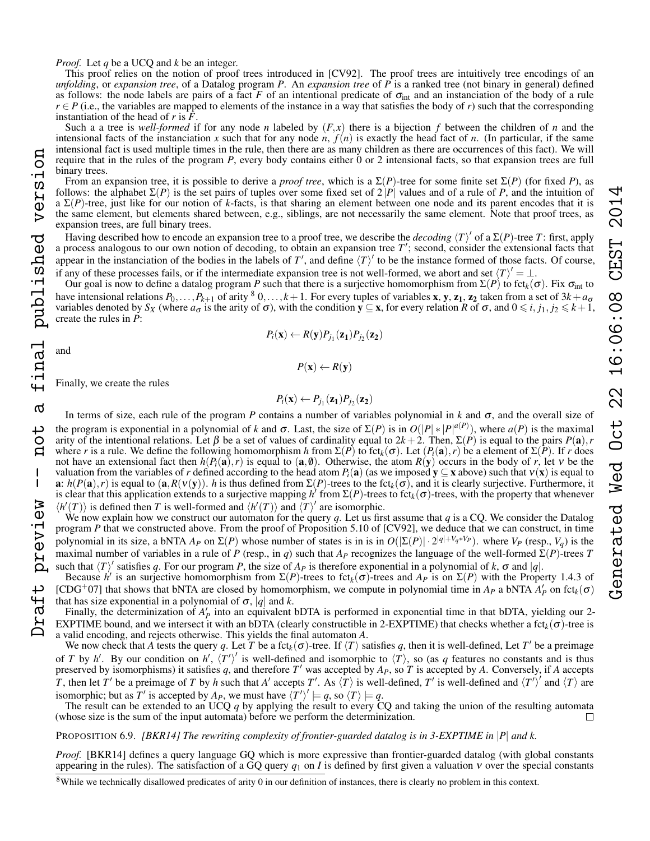*Proof.* Let *q* be a UCQ and *k* be an integer.

This proof relies on the notion of proof trees introduced in [CV92]. The proof trees are intuitively tree encodings of an *unfolding*, or *expansion tree*, of a Datalog program *P*. An *expansion tree* of *P* is a ranked tree (not binary in general) defined as follows: the node labels are pairs of a fact *F* of an intentional predicate of  $\sigma_{int}$  and an instanciation of the body of a rule  $r \in P$  (i.e., the variables are mapped to elements of the instance in a way that satisfies the body of *r*) such that the corresponding instantiation of the head of *r* is *F*.

Such a a tree is *well-formed* if for any node *n* labeled by  $(F, x)$  there is a bijection *f* between the children of *n* and the intensional facts of the instanciation *x* such that for any node *n*,  $f(n)$  is exactly the head fact of *n*. (In particular, if the same intensional fact is used multiple times in the rule, then there are as many children as there are occurrences of this fact). We will require that in the rules of the program *P*, every body contains either 0 or 2 intensional facts, so that expansion trees are full binary trees.

From an expansion tree, it is possible to derive a *proof tree*, which is a  $\Sigma(P)$ -tree for some finite set  $\Sigma(P)$  (for fixed *P*), as follows: the alphabet  $\Sigma(P)$  is the set pairs of tuples over some fixed set of  $2|P|$  values and of a rule of *P*, and the intuition of a  $\Sigma(P)$ -tree, just like for our notion of *k*-facts, is that sharing an element between one node and its parent encodes that it is the same element, but elements shared between, e.g., siblings, are not necessarily the same element. Note that proof trees, as expansion trees, are full binary trees.

Having described how to encode an expansion tree to a proof tree, we describe the *decoding* h*T*i 0 of a Σ(*P*)-tree *T*: first, apply a process analogous to our own notion of decoding, to obtain an expansion tree  $T'$ ; second, consider the extensional facts that appear in the instanciation of the bodies in the labels of  $T'$ , and define  $\langle T \rangle'$  to be the instance formed of those facts. Of course, if any of these processes fails, or if the intermediate expansion tree is not well-formed, we abort and set  $\langle T \rangle' = \bot$ .

Our goal is now to define a datalog program *P* such that there is a surjective homomorphism from  $\Sigma(P)$  to fct<sub>*k*</sub>(σ). Fix σ<sub>int</sub> to have intensional relations  $P_0, \ldots, P_{k+1}$  of arity <sup>[8](#page-17-0)</sup> 0,..., $k+1$ . For every tuples of variables **x**, **y**, **z<sub>1</sub>**, **z**<sub>2</sub> taken from a set of  $3k + a_0$ variables denoted by  $S_X$  (where  $a_{\sigma}$  is the arity of  $\sigma$ ), with the condition  $y \subseteq x$ , for every relation *R* of  $\sigma$ , and  $0 \le i, j_1, j_2 \le k+1$ , create the rules in *P*:

$$
P_i(\mathbf{x}) \leftarrow R(\mathbf{y}) P_{j_1}(\mathbf{z_1}) P_{j_2}(\mathbf{z_2})
$$

and

final published version

൪

ب Ö  $\mathbf{a}$ 

 $\mathbf{I}$ 

preview

aft

$$
P(\mathbf{x}) \leftarrow R(\mathbf{y})
$$

Finally, we create the rules

$$
P_i(\mathbf{x}) \leftarrow P_{j_1}(\mathbf{z_1}) P_{j_2}(\mathbf{z_2})
$$

In terms of size, each rule of the program *P* contains a number of variables polynomial in *k* and  $\sigma$ , and the overall size of the program is exponential in a polynomial of *k* and  $\sigma$ . Last, the size of  $\Sigma(P)$  is in  $O(|P| * |P|^{a(P)})$ , where  $a(P)$  is the maximal arity of the intentional relations. Let  $\beta$  be a set of values of cardinality equal to  $2k + 2$ . Then,  $\Sigma(P)$  is equal to the pairs  $P(\mathbf{a})$ ,  $r$ where *r* is a rule. We define the following homomorphism *h* from  $\Sigma(P)$  to fct<sub>k</sub>( $\sigma$ ). Let  $(P_i(\mathbf{a}), r)$  be a element of  $\Sigma(P)$ . If *r* does not have an extensional fact then  $h(P_i(\mathbf{a}), r)$  is equal to  $(\mathbf{a}, \emptyset)$ . Otherwise, the atom  $R(\mathbf{y})$  occurs in the body of *r*, let v be the valuation from the variables of *r* defined according to the head atom  $P_i(\mathbf{a})$  (as we imposed  $\mathbf{y} \subseteq \mathbf{x}$  above) such that  $v(\mathbf{x})$  is equal to a:  $h(P(a), r)$  is equal to  $(a, R(v(y))$ . *h* is thus defined from  $\Sigma(P)$ -trees to the fct<sub>k</sub>( $\sigma$ ), and it is clearly surjective. Furthermore, it is clear that this application extends to a surjective mapping  $h'$  from  $\Sigma(P)$ -trees to fct<sub>k</sub>( $\sigma$ )-trees, with the property that whenever  $\langle h'(T) \rangle$  is defined then *T* is well-formed and  $\langle h'(T) \rangle$  and  $\langle T \rangle'$  are isomorphic.

We now explain how we construct our automaton for the query *q*. Let us first assume that *q* is a CQ. We consider the Datalog program *P* that we constructed above. From the proof of Proposition 5.10 of [CV92], we deduce that we can construct, in time polynomial in its size, a bNTA  $A_P$  on  $\Sigma(P)$  whose number of states is in is in  $O(|\Sigma(P)| \cdot 2^{|q|+V_q*V_P})$ . where  $V_P$  (resp.,  $V_q$ ) is the maximal number of variables in a rule of *P* (resp., in *q*) such that  $A_P$  recognizes the language of the well-formed Σ(*P*)-trees *T* such that  $\langle T \rangle'$  satisfies *q*. For our program *P*, the size of  $A_P$  is therefore exponential in a polynomial of *k*,  $\sigma$  and |*q*|. Draft preview -- not a final published version

Because  $h'$  is an surjective homomorphism from  $\Sigma(P)$ -trees to fct<sub>k</sub>( $\sigma$ )-trees and  $A_P$  is on  $\Sigma(P)$  with the Property 1.4.3 of [CDG<sup>+</sup>07] that shows that bNTA are closed by homomorphism, we compute in polynomial time in  $A_P$  a bNTA  $A'_P$  on fct<sub>k</sub>( $\sigma$ ) that has size exponential in a polynomial of  $\sigma$ ,  $|q|$  and *k*.

Finally, the determinization of  $A'_P$  into an equivalent bDTA is performed in exponential time in that bDTA, yielding our 2-EXPTIME bound, and we intersect it with an bDTA (clearly constructible in 2-EXPTIME) that checks whether a fct<sub>k</sub>( $\sigma$ )-tree is a valid encoding, and rejects otherwise. This yields the final automaton *A*.

We now check that *A* tests the query *q*. Let *T* be a fct<sub>k</sub>( $\sigma$ )-tree. If  $\langle T \rangle$  satisfies *q*, then it is well-defined, Let *T'* be a preimage of *T* by *h'*. By our condition on *h'*,  $\langle T' \rangle'$  is well-defined and isomorphic to  $\langle T \rangle$ , so (as *q* features no constants and is thus preserved by isomorphisms) it satisfies  $q$ , and therefore  $T'$  was accepted by  $A_P$ , so  $T$  is accepted by  $A$ . Conversely, if  $A$  accepts *T*, then let *T*<sup> $\prime$ </sup> be a preimage of *T* by *h* such that *A'* accepts *T'*. As  $\langle T \rangle$  is well-defined, *T'* is well-defined and  $\langle T' \rangle$ <sup>*i*</sup> and  $\langle T \rangle$  are isomorphic; but as  $T'$  is accepted by  $A_P$ , we must have  $\langle T' \rangle' \models q$ , so  $\langle T \rangle \models q$ .

The result can be extended to an UCQ  $q$  by applying the result to every CQ and taking the union of the resulting automata hose size is the sum of the input automata) before we perform the determinization. (whose size is the sum of the input automata) before we perform the determinization.

PROPOSITION [6.9.](#page-6-7) *[BKR14] The rewriting complexity of frontier-guarded datalog is in 3-EXPTIME in* |*P*| *and k.*

*Proof.* [BKR14] defines a query language GQ which is more expressive than frontier-guarded datalog (with global constants appearing in the rules). The satisfaction of a GQ query  $q_1$  on *I* is defined by first given a valuation  $v$  over the special constants

<span id="page-17-0"></span> $8$ While we technically disallowed predicates of arity 0 in our definition of instances, there is clearly no problem in this context.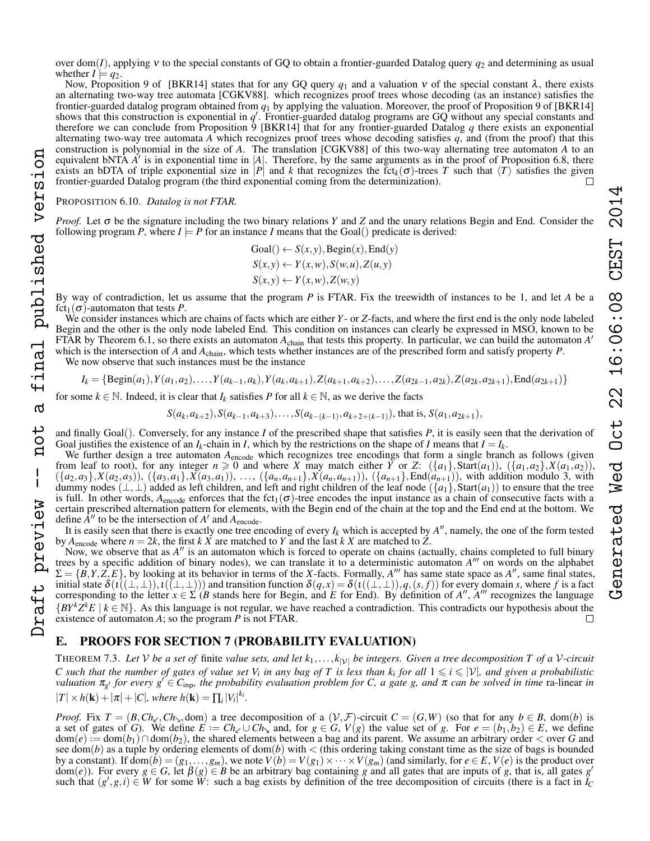over dom(*I*), applying ν to the special constants of GQ to obtain a frontier-guarded Datalog query *q*<sup>2</sup> and determining as usual whether  $I \models q_2$ .

Now, Proposition 9 of [BKR14] states that for any GQ query  $q_1$  and a valuation  $v$  of the special constant  $\lambda$ , there exists an alternating two-way tree automata [CGKV88]. which recognizes proof trees whose decoding (as an instance) satisfies the frontier-guarded datalog program obtained from *q*<sup>1</sup> by applying the valuation. Moreover, the proof of Proposition 9 of [BKR14] shows that this construction is exponential in  $q'$ . Frontier-guarded datalog programs are  $GQ$  without any special constants and therefore we can conclude from Proposition 9 [BKR14] that for any frontier-guarded Datalog q there exists an exponential alternating two-way tree automata *A* which recognizes proof trees whose decoding satisfies *q*, and (from the proof) that this construction is polynomial in the size of *A*. The translation [CGKV88] of this two-way alternating tree automaton *A* to an equivalent bNTA  $\vec{A}$ <sup>'</sup> is in exponential time in |A|. Therefore, by the same arguments as in the proof of Proposition [6.8,](#page-6-6) there exists an bDTA of triple exponential size in |*P*| and *k* that recognizes the fct<sub>*k*</sub>( $\sigma$ )-trees *T* such that  $\langle T \rangle$  satisfies the given frontier-guarded Datalog program (the third exponential coming from the determi frontier-guarded Datalog program (the third exponential coming from the determinization).

PROPOSITION [6.10.](#page-6-8) *Datalog is not FTAR.*

inal published version

 $\ddot{}$  $\sigma$ 

not

 $\mathbf{I}$ 

preview

*Proof.* Let σ be the signature including the two binary relations *Y* and *Z* and the unary relations Begin and End. Consider the following program *P*, where  $I \models P$  for an instance *I* means that the Goal() predicate is derived:

> $Goal() \leftarrow S(x, y), Begin(x),End(y)$  $S(x, y) \leftarrow Y(x, w), S(w, u), Z(u, y)$  $S(x, y) \leftarrow Y(x, w), Z(w, y)$

By way of contradiction, let us assume that the program *P* is FTAR. Fix the treewidth of instances to be 1, and let *A* be a  $fct_1(\sigma)$ -automaton that tests *P*.

We consider instances which are chains of facts which are either *Y*- or *Z*-facts, and where the first end is the only node labeled Begin and the other is the only node labeled End. This condition on instances can clearly be expressed in MSO, known to be FTAR by Theorem [6.1,](#page-6-2) so there exists an automaton  $A_{chain}$  that tests this property. In particular, we can build the automaton  $A'$ 

which is the intersection of *A* and *A*chain, which tests whether instances are of the prescribed form and satisfy property *P*.

We now observe that such instances must be the instance

$$
I_k = \{ \text{Begin}(a_1), Y(a_1, a_2), \dots, Y(a_{k-1}, a_k), Y(a_k, a_{k+1}), Z(a_{k+1}, a_{k+2}), \dots, Z(a_{2k-1}, a_{2k}), Z(a_{2k}, a_{2k+1}), \text{End}(a_{2k+1}) \}
$$

for some  $k \in \mathbb{N}$ . Indeed, it is clear that  $I_k$  satisfies P for all  $k \in \mathbb{N}$ , as we derive the facts

 $S(a_k, a_{k+2}), S(a_{k-1}, a_{k+3}), \ldots, S(a_{k-(k-1)}, a_{k+2+(k-1)}),$  that is,  $S(a_1, a_{2k+1}),$ 

and finally Goal(). Conversely, for any instance *I* of the prescribed shape that satisfies *P*, it is easily seen that the derivation of Goal justifies the existence of an  $I_k$ -chain in *I*, which by the restrictions on the shape of *I* means that  $I = I_k$ .

We further design a tree automaton  $A_{\text{encode}}$  which recognizes tree encodings that form a single branch as follows (given from leaf to root), for any integer  $n \ge 0$  and where *X* may match either *Y* or *Z*:  $(\{a_1\}, \text{Start}(a_1)), (\{a_1, a_2\}, X(a_1, a_2))$ ,  $(\{a_2,a_3\},X(a_2,a_3)), (\{a_3,a_1\},X(a_3,a_1)), \ldots, (\{a_n,a_{n+1}\},X(a_n,a_{n+1})), (\{a_{n+1}\},End(a_{n+1})),$  with addition modulo 3, with dummy nodes  $(\perp,\perp)$  added as left children, and left and right children of the leaf node  $(\lbrace a_1 \rbrace, Start(a_1))$  to ensure that the tree is full. In other words,  $A_{\text{encode}}$  enforces that the fct<sub>1</sub>( $\sigma$ )-tree encodes the input instance as a chain of consecutive facts with a certain prescribed alternation pattern for elements, with the Begin end of the chain at the top and the End end at the bottom. We define  $\overline{A}^{\prime\prime}$  to be the intersection of  $A^{\prime}$  and  $A_{\text{encode}}$ .

It is easily seen that there is exactly one tree encoding of every  $I_k$  which is accepted by  $A''$ , namely, the one of the form tested by  $A_{\text{encode}}$  where  $n = 2k$ , the first *k X* are matched to *Y* and the last *k X* are matched to *Z*.

Draft preview -- not a final published version Now, we observe that as *A<sup>''</sup>* is an automaton which is forced to operate on chains (actually, chains completed to full binary trees by a specific addition of binary nodes), we can translate it to a deterministic automaton A<sup>'''</sup> on words on the alphabet  $\Sigma = \{\vec{B}, Y, Z, E\}$ , by looking at its behavior in terms of the *X*-facts. Formally, *A*<sup>*m*</sup> has same state space as *A*<sup>*n*</sup>, same final states, initial state  $\delta(i((\bot,\bot)),i((\bot,\bot))$  and transition function  $\delta(q,x) = \delta(i((\bot,\bot)),q,(s,f))$  for every domain *s*, where *f* is a fact corresponding to the letter  $x \in \Sigma'$  *(B* stands here for Begin, and *E* for End). By definition of *A''*, *A'''* recognizes the language  ${BP<sup>k</sup>Z<sup>k</sup>E | k \in \mathbb{N}}$ . As this language is not regular, we have reached a contradiction. This contradicts our hypothesis about the existence of automaton *A*; so the program *P* is not FTAR.  $\Box$ 

# E. PROOFS FOR SECTION [7](#page-6-1) (PROBABILITY EVALUATION)

THEOREM [7.3.](#page-6-9) Let V be a set of finite value sets, and let  $k_1,...,k_{|\mathcal{V}|}$  be integers. Given a tree decomposition T of a V-circuit *C* such that the number of gates of value set  $V_i$  in any bag of T is less than  $k_i$  for all  $1 \leq i \leq |V|$ , and given a probabilistic  $\alpha$ *valuation*  $\pi_{g'}$  *for every*  $g' \in C_{\text{inp}}$ *, the probability evaluation problem for C, a gate g, and*  $\pi$  *can be solved in time* ra-linear *in*  $|T| \times h(\mathbf{k}) + |\pi| + |C|$ *, where*  $h(\mathbf{k}) = \prod_i |V_i|^{k_i}$ *.* 

*Proof.* Fix  $T = (B, Ch_{\ell}, Ch_{\lambda}, dom)$  a tree decomposition of a  $(V, \mathcal{F})$ -circuit  $C = (G, W)$  (so that for any  $b \in B$ , dom(*b*) is a set of gates of *G*). We define  $E := Ch \cup Ch_{\lambda}$  and, for  $g \in G$ ,  $V(g)$  the value set of *g*. For  $e = (b_1, b_2) \in E$ , we define  $dom(e) := dom(b_1) \cap dom(b_2)$ , the shared elements between a bag and its parent. We assume an arbitrary order < over *G* and see dom(*b*) as a tuple by ordering elements of dom(*b*) with  $\lt$  (this ordering taking constant time as the size of bags is bounded by a constant). If  $\text{dom}(\dot{b}) = (g_1, \ldots, g_m)$ , we note  $V(b) = V(g_1) \times \cdots \times V(g_m)$  (and similarly, for  $e \in E$ ,  $V(e)$  is the product over  $dom(e)$ ). For every  $g \in G$ , let  $\beta(g) \in B$  be an arbitrary bag containing *g* and all gates that are inputs of *g*, that is, all gates *g*' such that  $(g', g, i) \in W$  for some W: such a bag exists by definition of the tree decomposition of circuits (there is a fact in  $I_C$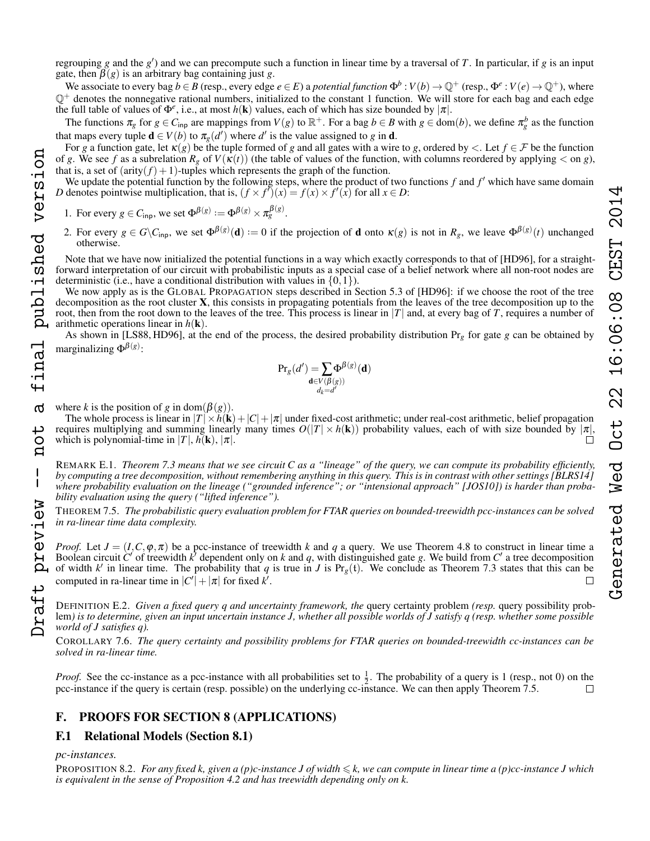We associate to every bag  $b \in B$  (resp., every edge  $e \in E$ ) a *potential function*  $\Phi^b : V(b) \to \mathbb{Q}^+$  (resp.,  $\Phi^e : V(e) \to \mathbb{Q}^+$ ), where  $\mathbb{Q}^+$  denotes the nonnegative rational numbers, initialized to the constant 1 function. We will store for each bag and each edge the full table of values of  $\Phi^e$ , i.e., at most  $h(\mathbf{k})$  values, each of which has size bounded by  $|\pi|$ .

The functions  $\pi_g$  for  $g \in C_{\text{inp}}$  are mappings from  $V(g)$  to  $\mathbb{R}^+$ . For a bag  $b \in B$  with  $g \in \text{dom}(b)$ , we define  $\pi_g^b$  as the function that maps every tuple  $\mathbf{d} \in V(b)$  to  $\pi_g(d')$  where  $d'$  is the value assigned to *g* in **d**.

For *g* a function gate, let  $\kappa(g)$  be the tuple formed of *g* and all gates with a wire to *g*, ordered by <. Let  $f \in \mathcal{F}$  be the function of *g*. We see *f* as a subrelation  $R_g$  of  $V(\kappa(t))$  (the table of values of the function, with columns reordered by applying  $\lt$  on *g*), that is, a set of  $(\text{arity}(f) + 1)$ -tuples which represents the graph of the function.

We update the potential function by the following steps, where the product of two functions  $f$  and  $f'$  which have same domain *D* denotes pointwise multiplication, that is,  $(f \times f')(x) = f(x) \times f'(x)$  for all  $x \in D$ :

1. For every  $g \in C_{\text{inp}}$ , we set  $\Phi^{\beta(g)} := \Phi^{\beta(g)} \times \pi_g^{\beta(g)}$ .

2. For every  $g \in G \backslash C_{\text{inp}}$ , we set  $\Phi^{\beta(g)}(\mathbf{d}) := 0$  if the projection of **d** onto  $\kappa(g)$  is not in  $R_g$ , we leave  $\Phi^{\beta(g)}(t)$  unchanged otherwise.

Note that we have now initialized the potential functions in a way which exactly corresponds to that of [HD96], for a straightforward interpretation of our circuit with probabilistic inputs as a special case of a belief network where all non-root nodes are deterministic (i.e., have a conditional distribution with values in  $\{0,1\}$ ).

We now apply as is the GLOBAL PROPAGATION steps described in Section 5.3 of [HD96]: if we choose the root of the tree decomposition as the root cluster  $X$ , this consists in propagating potentials from the leaves of the tree decomposition up to the root, then from the root down to the leaves of the tree. This process is linear in  $|T|$  and, at every bag of *T*, requires a number of arithmetic operations linear in  $h(\mathbf{k})$ .

As shown in [LS88, HD96], at the end of the process, the desired probability distribution Pr*<sup>g</sup>* for gate *g* can be obtained by marginalizing  $\Phi^{\beta(g)}$ :

$$
\Pr_{g}(d') = \sum_{\substack{\mathbf{d} \in V(\beta(g)) \\ d_k = d'}} \Phi^{\beta(g)}(\mathbf{d})
$$

where *k* is the position of *g* in dom( $\beta$ (*g*)). Draft preview -- not a final published version

final published version

 $\sigma$ 

tor

 $\overline{\phantom{a}}$ 

preview

 $127a7t$ 

The whole process is linear in  $|T| \times h(\mathbf{k}) + |C| + |\pi|$  under fixed-cost arithmetic; under real-cost arithmetic, belief propagation requires multiplying and summing linearly many times  $O(|T| \times h(\mathbf{k}))$  probability values, each of with size bounded by  $|\pi|$ , which is polynomial-time in  $|T|, h(\mathbf{k}), |\pi|$ .

REMARK E.1. *Theorem [7.3](#page-6-9) means that we see circuit C as a "lineage" of the query, we can compute its probability efficiently, by computing a tree decomposition, without remembering anything in this query. This is in contrast with other settings [BLRS14]* where probability evaluation on the lineage ("grounded inference"; or "intensional approach" [JOS10]) is harder than proba*bility evaluation using the query ("lifted inference").*

THEOREM [7.5.](#page-7-4) *The probabilistic query evaluation problem for FTAR queries on bounded-treewidth pcc-instances can be solved in ra-linear time data complexity.*

*Proof.* Let  $J = (I, C, \varphi, \pi)$  be a pcc-instance of treewidth *k* and *q* a query. We use Theorem [4.8](#page-4-0) to construct in linear time a Boolean circuit  $C'$  of treewidth  $k'$  dependent only on  $k$  and  $q$ , with distinguished gate  $g$ . We build from  $C'$  a tree decomposition of width k' in linear time. The probability that q is true in *J* is  $Pr_g(t)$ . We conclude as Theorem [7.3](#page-6-9) states that this can be computed in ra-linear time in  $|C'| + |\pi|$  for fixed  $k'$ .  $\Box$ 

DEFINITION E.2. *Given a fixed query q and uncertainty framework, the* query certainty problem *(resp.* query possibility problem*) is to determine, given an input uncertain instance J, whether all possible worlds of J satisfy q (resp. whether some possible world of J satisfies q).*

COROLLARY [7.6.](#page-7-5) *The query certainty and possibility problems for FTAR queries on bounded-treewidth cc-instances can be solved in ra-linear time.*

*Proof.* See the cc-instance as a pcc-instance with all probabilities set to  $\frac{1}{2}$ . The probability of a query is 1 (resp., not 0) on the pcc-instance if the query is certain (resp. possible) on the underlying cc-instance. We can then apply Theorem [7.5.](#page-7-4)  $\Box$ 

# F. PROOFS FOR SECTION [8](#page-7-0) (APPLICATIONS)

# F.1 Relational Models (Section [8.1\)](#page-7-6)

# *pc-instances.*

PROPOSITION [8.2.](#page-7-7) *For any fixed k, given a (p)c-instance J of width*  $\leq k$ , we can compute in linear time a (p)cc-instance J which *is equivalent in the sense of Proposition [4.2](#page-3-1) and has treewidth depending only on k.*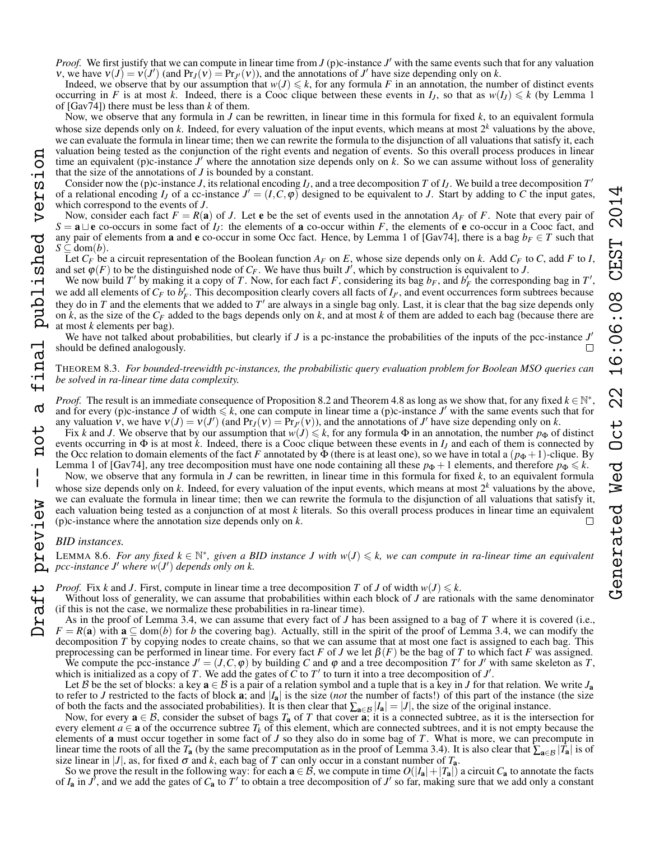Indeed, we observe that by our assumption that  $w(J) \le k$ , for any formula *F* in an annotation, the number of distinct events occurring in *F* is at most *k*. Indeed, there is a Cooc clique between these events in  $I_i$ , so that as  $w(I_i) \le k$  (by Lemma 1 of [Gav74]) there must be less than *k* of them.

Now, we observe that any formula in *J* can be rewritten, in linear time in this formula for fixed *k*, to an equivalent formula whose size depends only on k. Indeed, for every valuation of the input events, which means at most  $2<sup>k</sup>$  valuations by the above, we can evaluate the formula in linear time; then we can rewrite the formula to the disjunction of all valuations that satisfy it, each valuation being tested as the conjunction of the right events and negation of events. So this overall process produces in linear time an equivalent (p)c-instance  $J'$  where the annotation size depends only on  $k$ . So we can assume without loss of generality that the size of the annotations of *J* is bounded by a constant.

Consider now the (p)c-instance *J*, its relational encoding  $I_J$ , and a tree decomposition *T* of  $I_J$ . We build a tree decomposition  $T'$ of a relational encoding  $I_J$  of a cc-instance  $J' = (I, C, \varphi)$  designed to be equivalent to *J*. Start by adding to *C* the input gates, which correspond to the events of *J*.

Now, consider each fact  $F = R(a)$  of *J*. Let **e** be the set of events used in the annotation  $A_F$  of *F*. Note that every pair of  $S = \mathbf{a} \sqcup \mathbf{e}$  co-occurs in some fact of *I<sub>J</sub>*: the elements of **a** co-occur within *F*, the elements of **e** co-occur in a Cooc fact, and any pair of elements from **a** and **e** co-occur in some Occ fact. Hence, by Lemma 1 of [Gav74], there is a bag  $b_F \in T$  such that  $S \subseteq \text{dom}(b)$ .

Let *C<sup>F</sup>* be a circuit representation of the Boolean function *A<sup>F</sup>* on *E*, whose size depends only on *k*. Add *C<sup>F</sup>* to *C*, add *F* to *I*, and set  $\varphi(F)$  to be the distinguished node of  $C_F$ . We have thus built  $J'$ , which by construction is equivalent to *J*.

We now build *T'* by making it a copy of *T*. Now, for each fact *F*, considering its bag  $b_F$ , and  $b'_F$  the corresponding bag in *T'*, we add all elements of  $C_F$  to  $b'_F$ . This decomposition clearly covers all facts of  $I_{J'}$ , and event occurrences form subtrees because they do in  $T$  and the elements that we added to  $T'$  are always in a single bag only. Last, it is clear that the bag size depends only on  $\vec{k}$ , as the size of the  $C_F$  added to the bags depends only on  $\vec{k}$ , and at most  $\vec{k}$  of them are added to each bag (because there are at most *k* elements per bag).

We have not talked about probabilities, but clearly if  $J$  is a pc-instance the probabilities of the inputs of the pcc-instance  $J'$ should be defined analogously.

# THEOREM [8.3.](#page-7-8) *For bounded-treewidth pc-instances, the probabilistic query evaluation problem for Boolean MSO queries can be solved in ra-linear time data complexity.*

*Proof.* The result is an immediate consequence of Proposition [8.2](#page-7-7) and Theorem [4.8](#page-4-0) as long as we show that, for any fixed  $k \in \mathbb{N}^*$ , and for every (p)c-instance *J* of width  $\leq k$ , one can compute in linear time a (p)c-instance *J'* with the same events such that for any valuation  $\vec{v}$ , we have  $v(J) = v(J')$  (and  $Pr_J(v) = Pr_{J'}(v)$ ), and the annotations of *J'* have size depending only on *k*.

Fix *k* and *J*. We observe that by our assumption that  $w(j) \leq k$ , for any formula  $\Phi$  in an annotation, the number  $p_{\Phi}$  of distinct events occurring in  $\Phi$  is at most *k*. Indeed, there is a Cooc clique between these events in  $I_J$  and each of them is connected by the Occ relation to domain elements of the fact *F* annotated by  $\Phi$  (there is at least one), so we have in total a  $(p_{\Phi} + 1)$ -clique. By Lemma 1 of [Gav74], any tree decomposition must have one node containing all these  $p_{\Phi} + 1$  elements, and therefore  $p_{\Phi} \le k$ .

Now, we observe that any formula in *J* can be rewritten, in linear time in this formula for fixed *k*, to an equivalent formula whose size depends only on *k*. Indeed, for every valuation of the input events, which means at most  $2<sup>k</sup>$  valuations by the above, we can evaluate the formula in linear time; then we can rewrite the formula to the disjunction of all valuations that satisfy it, each valuation being tested as a conjunction of at most *k* literals. So this overall process produces in linear time an equivalent (p)c-instance where the annotation size depends only on *k*.

# *BID instances.*

**LEMMA [8.6.](#page-7-2)** For any fixed  $k \in \mathbb{N}^*$ , given a BID instance *J* with  $w(J) \le k$ , we can compute in ra-linear time an equivalent pcc-instance *J'* where  $\overset{\sim}{w}(J')$  depends only on k.

*Proof.* Fix *k* and *J*. First, compute in linear time a tree decomposition *T* of *J* of width  $w(J) \leq k$ .

Without loss of generality, we can assume that probabilities within each block of *J* are rationals with the same denominator (if this is not the case, we normalize these probabilities in ra-linear time).

As in the proof of Lemma [3.4,](#page-2-3) we can assume that every fact of *J* has been assigned to a bag of *T* where it is covered (i.e.,  $F = R(a)$  with  $a \subseteq \text{dom}(b)$  for *b* the covering bag). Actually, still in the spirit of the proof of Lemma [3.4,](#page-2-3) we can modify the decomposition *T* by copying nodes to create chains, so that we can assume that at most one fact is assigned to each bag. This preprocessing can be performed in linear time. For every fact *F* of *J* we let  $\beta(F)$  be the bag of *T* to which fact *F* was assigned.

We compute the pcc-instance  $J' = (J, C, \varphi)$  by building C and  $\varphi$  and a tree decomposition T' for J' with same skeleton as T, which is initialized as a copy of *T*. We add the gates of  $\tilde{C}$  to  $T'$  to turn it into a tree decomposition of  $J'$ .

Let B be the set of blocks: a key  $a \in B$  is a pair of a relation symbol and a tuple that is a key in J for that relation. We write  $J_a$ to refer to *J* restricted to the facts of block **a**; and  $|I_a|$  is the size (*not* the number of facts!) of this part of the instance (the size of both the facts and the associated probabilities). It is then clear that  $\sum_{a \in B} |I_a| = |J|$ , the size of the original instance.

Now, for every  $a \in B$ , consider the subset of bags  $T_a$  of T that cover  $a$ ; it is a connected subtree, as it is the intersection for every element  $a \in \mathbf{a}$  of the occurrence subtree  $T_k$  of this element, which are connected subtrees, and it is not empty because the elements of a must occur together in some fact of *J* so they also do in some bag of *T*. What is more, we can precompute in linear time the roots of all the *T*<sub>a</sub> (by the same precomputation as in the proof of Lemma [3.4\)](#page-2-3). It is also clear that  $\sum_{a \in \mathcal{B}} |\overline{T}_a|$  is of size linear in  $|J|$ , as, for fixed  $\sigma$  and *k*, each bag of *T* can only occur in a constant number of  $T_a$ .

So we prove the result in the following way: for each  $a \in \mathcal{B}$ , we compute in time  $O(|I_a|+|T_a|)$  a circuit  $C_a$  to annotate the facts of  $I_a$  in  $J'$ , and we add the gates of  $C_a$  to  $T'$  to obtain a tree decomposition of  $J'$  so far, making sure that we add only a constant

Draft preview -- not a final published version

version

final published

 $\sigma$ 

 $\overline{O}$  $\mathbf{a}$ 

 $\overline{1}$ 

preview

aft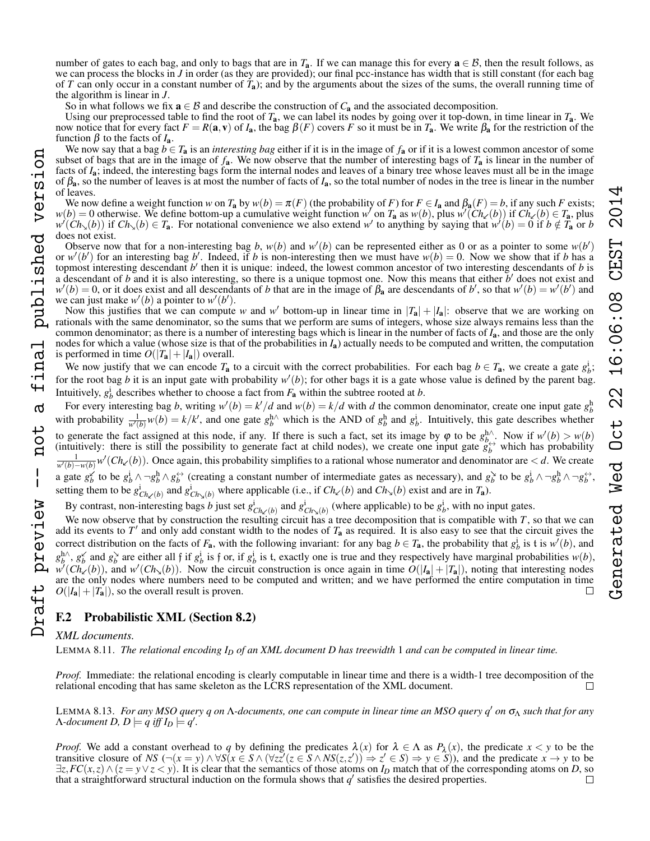So in what follows we fix  $\mathbf{a} \in \mathcal{B}$  and describe the construction of  $C_{\mathbf{a}}$  and the associated decomposition.

Using our preprocessed table to find the root of *T*a, we can label its nodes by going over it top-down, in time linear in *T*a. We now notice that for every fact *F* = *R*(**a**, **v**) of *I*<sub>a</sub>, the bag  $β(F)$  covers *F* so it must be in *T*<sub>a</sub>. We write  $β_1$  for the restriction of the function β to the facts of *I*a.

We now say that a bag  $b \in T_a$  is an *interesting bag* either if it is in the image of  $f_a$  or if it is a lowest common ancestor of some subset of bags that are in the image of  $f_a$ . We now observe that the number of interesting bags of  $T_a$  is linear in the number of facts of *I*a; indeed, the interesting bags form the internal nodes and leaves of a binary tree whose leaves must all be in the image of  $\beta_a$ , so the number of leaves is at most the number of facts of  $I_a$ , so the total number of nodes in the tree is linear in the number of leaves.

We now define a weight function *w* on  $T_a$  by  $w(b) = \pi(F)$  (the probability of *F*) for  $F \in I_a$  and  $\beta_a(F) = b$ , if any such *F* exists;  $w(b) = 0$  otherwise. We define bottom-up a cumulative weight function  $w'$  on  $T_a$  as  $w(b)$ , plus  $w'(\text{Ch}_{\ell}(b))$  if  $\text{Ch}_{\ell}(b) \in T_a$ , plus  $w'(Ch_{\lambda}(b))$  if  $Ch_{\lambda}(b) \in T_a$ . For notational convenience we also extend *w*' to anything by saying that  $w'(b) = 0$  if  $b \notin T_a$  or *b* does not exist.

Observe now that for a non-interesting bag *b*,  $w(b)$  and  $w'(b)$  can be represented either as 0 or as a pointer to some  $w(b')$ or  $w'(b')$  for an interesting bag b'. Indeed, if b is non-interesting then we must have  $w(b) = 0$ . Now we show that if b has a topmost interesting descendant *b*' then it is unique: indeed, the lowest common ancestor of two interesting descendants of *b* is a descendant of  $b$  and it is also interesting, so there is a unique topmost one. Now this means that either  $b'$  does not exist and  $w'(b) = 0$ , or it does exist and all descendants of *b* that are in the image of  $\beta_a$  are descendants of *b*', so that  $w'(b) = w'(b')$  and we can just make  $w'(b)$  a pointer to  $w'(b')$ .

Now this justifies that we can compute *w* and *w'* bottom-up in linear time in  $|T_a| + |I_a|$ : observe that we are working on rationals with the same denominator, so the sums that we perform are sums of integers, whose size always remains less than the common denominator; as there is a number of interesting bags which is linear in the number of facts of *I*a, and those are the only nodes for which a value (whose size is that of the probabilities in *I*a) actually needs to be computed and written, the computation is performed in time  $O(|T_a|+|I_a|)$  overall.

We now justify that we can encode  $T_a$  to a circuit with the correct probabilities. For each bag  $b \in T_a$ , we create a gate  $g_b^i$ ; for the root bag *b* it is an input gate with probability  $w'(b)$ ; for other bags it is a gate whose value is defined by the parent bag. Intuitively,  $g_b^i$  describes whether to choose a fact from  $F_a$  within the subtree rooted at *b*.

For every interesting bag *b*, writing  $w'(b) = k/d$  and  $w(b) = k/d$  with *d* the common denominator, create one input gate  $g_b^b$ with probability  $\frac{1}{w'(b)}w(b) = k/k'$ , and one gate  $g_b^{\text{h}\wedge}$  which is the AND of  $g_b^{\text{h}}$  and  $g_b^{\text{i}}$ . Intuitively, this gate describes whether to generate the fact assigned at this node, if any. If there is such a fact, set its image by  $\varphi$  to be  $g_{b}^{h\wedge}$ . Now if  $w'(b) > w(b)$ (intuitively: there is still the possibility to generate fact at child nodes), we create one input gate  $g_b^{\leftrightarrow}$  which has probability *w*<sup> $\frac{1}{w'(b)-w(b)}$  *w*<sup> $\prime$ </sup> (*Ch*<sub> $\prime$ </sub> (*b*)). Once again, this probability simplifies to a rational whose numerator and denominator are < *d*. We create</sup> a gate  $g_b^{\vee}$  to be  $g_b^i \wedge \neg g_b^h \wedge g_b^{\leftrightarrow}$  (creating a constant number of intermediate gates as necessary), and  $g_b^{\vee}$  to be  $g_b^i \wedge \neg g_b^h \wedge \neg g_b^{\leftrightarrow}$ . setting them to be  $g^i_{Ch_\times(b)}$  and  $g^i_{Ch_\times(b)}$  where applicable (i.e., if  $Ch_\times(b)$  and  $Ch_\times(b)$  exist and are in  $T_a$ ). Draft preview -- not a final published version

By contrast, non-interesting bags *b* just set  $g^i_{Ch_1(b)}$  and  $g^i_{Ch_2(b)}$  (where applicable) to be  $g^i_b$ , with no input gates.

We now observe that by construction the resulting circuit has a tree decomposition that is compatible with *T*, so that we can add its events to  $T'$  and only add constant width to the nodes of  $T_a$  as required. It is also easy to see that the circuit gives the correct distribution on the facts of  $F_a$ , with the following invariant: for any bag  $b \in T_a$ , the probability that  $g_b^i$  is t is  $w'(b)$ , and  $g_b^{\text{h}}$ ,  $g_b^{\times}$  and  $g_b^{\times}$  are either all f if  $g_b^{\text{i}}$  is f or, if  $g_b^{\text{i}}$  is t, exactly one is true and they respectively have marginal probabilities  $w(b)$ ,  $w'(Ch_{\chi}(b))$ , and  $w'(Ch_{\chi}(b))$ . Now the circuit construction is once again in time  $O(|I_a| + |T_a|)$ , noting that interesting nodes are the only nodes where numbers need to be computed and written; and we have performed the entire computation in time  $O(|I_a|+|T_a|)$ , so the overall result is proven.

# F.2 Probabilistic XML (Section [8.2\)](#page-7-9)

# *XML documents.*

inal published version

൪

not

 $\frac{1}{1}$ 

raft preview

LEMMA [8.11.](#page-8-4) *The relational encoding I<sup>D</sup> of an XML document D has treewidth* 1 *and can be computed in linear time.*

*Proof.* Immediate: the relational encoding is clearly computable in linear time and there is a width-1 tree decomposition of the relational encoding that has same skeleton as the LCRS representation of the XML document.  $\Box$ 

LEMMA [8.13.](#page-8-5) *For any MSO query q on* Λ*-documents, one can compute in linear time an MSO query q*<sup>0</sup> *on* σ<sup>Λ</sup> *such that for any*  $\Lambda$ -document  $D$ ,  $D \models q$  iff  $I_D \models q'$ .

*Proof.* We add a constant overhead to *q* by defining the predicates  $\lambda(x)$  for  $\lambda \in \Lambda$  as  $P_{\lambda}(x)$ , the predicate  $x < y$  to be the transitive closure of NS ( $\neg(x = y) \land \forall S(x \in S \land (\forall z z'(z \in S \land NS(z, z')) \Rightarrow z' \in S) \Rightarrow y \in S)$ ), and the predicate  $x \to y$  to be  $\exists z, FC(x, z) \land (z = y \lor z < y)$ . It is clear that the semantics of those atoms on *I<sub>D</sub>* match that of the corresponding atoms on *D*, so that a straightforward structural induction on the formula shows that *a'* satisfies the that a straightforward structural induction on the formula shows that  $q'$  satisfies the desired properties.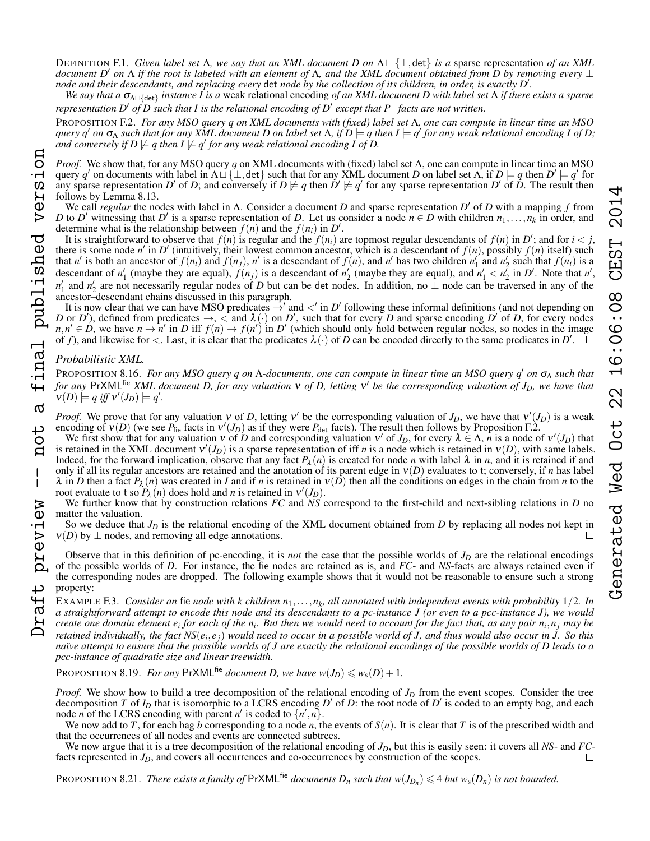*We say that a*  $\sigma_{\Lambda \sqcup \{det\}}$  *instance I is a* weak relational encoding *of an XML document D with label set* Λ *if there exists a sparse representation D' of D such that I is the relational encoding of D' except that P<sub>⊥</sub> facts are not written.* 

<span id="page-22-0"></span>PROPOSITION F.2. *For any MSO query q on XML documents with (fixed) label set* Λ*, one can compute in linear time an MSO*  $q$ uery  $q'$  on  $\sigma_\Lambda$  such that for any XML document D on label set  $\Lambda$ , if  $D\models q$  then  $I\models q'$  for any weak relational encoding I of D;  $\overline{a}$ nd conversely if  $D \not\models q$  then  $I \not\models q'$  for any weak relational encoding I of  $D$ .

*Proof.* We show that, for any MSO query *q* on XML documents with (fixed) label set Λ, one can compute in linear time an MSO query *q'* on documents with label in  $\Lambda \sqcup \{\perp, \det\}$  such that for any XML document *D* on label set  $\Lambda$ , if  $D \models q$  then  $D' \models q'$  for any sparse representation *D'* of *D*; and conversely if  $D \not\models q$  then  $D' \not\models q'$  for any sparse representation  $D'$  of  $\dot{D}$ . The result then follows by Lemma [8.13.](#page-8-5) Draft preview -- not a final published version

We call *regular* the nodes with label in Λ. Consider a document *D* and sparse representation *D* <sup>0</sup> of *D* with a mapping *f* from *D* to *D'* witnessing that *D'* is a sparse representation of *D*. Let us consider a node  $n \in D$  with children  $n_1, \ldots, n_k$  in order, and determine what is the relationship between  $f(n)$  and the  $f(n_i)$  in  $D'$ .

It is straightforward to observe that  $f(n)$  is regular and the  $f(n_i)$  are topmost regular descendants of  $f(n)$  in  $D'$ ; and for  $i < j$ , there is some node *n'* in *D'* (intuitively, their lowest common ancestor, which is a descendant of  $f(n)$ , possibly  $f(n)$  itself) such that n' is both an ancestor of  $f(n_i)$  and  $f(n_j)$ , n' is a descendant of  $f(n)$ , and n' has two children  $n'_1$  and  $n'_2$  such that  $f(n_i)$  is a descendant of  $n'_1$  (maybe they are equal),  $f(n_j)$  is a descendant of  $n'_2$  (maybe they are equal), and  $n'_1 < n'_2$  in *D'*. Note that *n'*, *n*<sup>1</sup> and *n*<sup>2</sup> are not necessarily regular nodes of *D* but can be det nodes. In addition, no ⊥ node can be traversed in any of the ancestor–descendant chains discussed in this paragraph.

It is now clear that we can have MSO predicates  $\rightarrow'$  and  $\lt'$  in *D'* following these informal definitions (and not depending on *D* or *D*<sup> $\prime$ </sup>), defined from predicates  $\rightarrow$ ,  $\lt$  and  $\lambda(\cdot)$  on *D*<sup> $\prime$ </sup>, such that for every *D* and sparse encoding *D*<sup> $\prime$ </sup> of *D*, for every nodes  $n, n' \in D$ , we have  $n \to n'$  in *D* iff  $f(n) \to f(n')$  in *D'* (which should only hold between regular nodes, so nodes in the image of *f*), and likewise for  $\lt$ . Last, it is clear that the predicates  $\lambda(\cdot)$  of *D* can be encoded directly to the same predicates in *D'*.

# *Probabilistic XML.*

final published version

 $\sigma$ 

ب Ö  $\mathbf{a}$ 

 $\mathbf{I}$ 

aft preview

PROPOSITION [8.16.](#page-8-2) *For any MSO query q on* Λ-documents, one can compute in linear time an MSO query q' on  $σ_Λ$  such that *for any* PrXMLfie *XML document D, for any valuation* ν *of D, letting* ν <sup>0</sup> *be the corresponding valuation of JD, we have that*  $\mathbf{v}(D) \models q \text{ iff } \mathbf{v}'(J_D) \models q'.$ 

*Proof.* We prove that for any valuation v of *D*, letting v' be the corresponding valuation of  $J_D$ , we have that  $v'(J_D)$  is a weak encoding of  $v(D)$  (we see  $P_{\text{fie}}$  facts in  $v'(J_D)$  as if they were  $P_{\text{det}}$  facts). The result then follows by Proposition [F.2.](#page-22-0)

We first show that for any valuation  $v$  of *D* and corresponding valuation  $v'$  of  $J_D$ , for every  $\lambda \in \Lambda$ , *n* is a node of  $v'(J_D)$  that is retained in the XML document  $v'(J_D)$  is a sparse representation of iff *n* is a node which is retained in  $v(D)$ , with same labels. Indeed, for the forward implication, observe that any fact  $P_\lambda(n)$  is created for node *n* with label  $\lambda$  in *n*, and it is retained if and only if all its regular ancestors are retained and the anotation of its parent edge in ν(*D*) evaluates to t; conversely, if *n* has label  $\lambda$  in *D* then a fact  $P_{\lambda}(n)$  was created in *I* and if *n* is retained in  $v(D)$  then all the conditions on edges in the chain from *n* to the root evaluate to t so  $P_{\lambda}(n)$  does hold and *n* is retained in  $v'(J_D)$ .

We further know that by construction relations *FC* and *NS* correspond to the first-child and next-sibling relations in *D* no matter the valuation.

So we deduce that  $J<sub>D</sub>$  is the relational encoding of the XML document obtained from  $D$  by replacing all nodes not kept in  $v(D)$  by  $\perp$  nodes, and removing all edge annotations.

Observe that in this definition of pc-encoding, it is *not* the case that the possible worlds of  $J<sub>D</sub>$  are the relational encodings of the possible worlds of *D*. For instance, the fie nodes are retained as is, and *FC*- and *NS*-facts are always retained even if the corresponding nodes are dropped. The following example shows that it would not be reasonable to ensure such a strong property:

EXAMPLE F.3. Consider an fie node with k children  $n_1,\ldots,n_k$ , all annotated with independent events with probability  $1/2$ . In *a straightforward attempt to encode this node and its descendants to a pc-instance J (or even to a pcc-instance J), we would create one domain element e<sup>i</sup> for each of the n<sup>i</sup> . But then we would need to account for the fact that, as any pair n<sup>i</sup>* ,*n<sup>j</sup> may be* retained individually, the fact NS( $e_i, e_j$ ) would need to occur in a possible world of J, and thus would also occur in J. So this *naïve attempt to ensure that the possible worlds of J are exactly the relational encodings of the possible worlds of D leads to a pcc-instance of quadratic size and linear treewidth.*

PROPOSITION [8.19.](#page-8-6) *For any* PrXML<sup>fie</sup> *document D, we have*  $w(J_D) \leq w_s(D) + 1$ *.* 

*Proof.* We show how to build a tree decomposition of the relational encoding of *J<sup>D</sup>* from the event scopes. Consider the tree decomposition *T* of  $I_D$  that is isomorphic to a LCRS encoding *D'* of *D*: the root node of *D'* is coded to an empty bag, and each node *n* of the LCRS encoding with parent *n'* is coded to  $\{n', n\}$ .

We now add to *T*, for each bag *b* corresponding to a node *n*, the events of  $S(n)$ . It is clear that *T* is of the prescribed width and that the occurrences of all nodes and events are connected subtrees.

We now argue that it is a tree decomposition of the relational encoding of  $J_D$ , but this is easily seen: it covers all *NS*- and *FC*-cts represented in  $J_D$ , and covers all occurrences and co-occurrences by construction facts represented in *J<sub>D</sub>*, and covers all occurrences and co-occurrences by construction of the scopes.

PROPOSITION [8.21.](#page-8-7) *There exists a family of*  $PrXML^{fie}$  *documents*  $D_n$  *such that*  $w(J_{D_n}) \leq 4$  *but*  $w_s(D_n)$  *is not bounded.*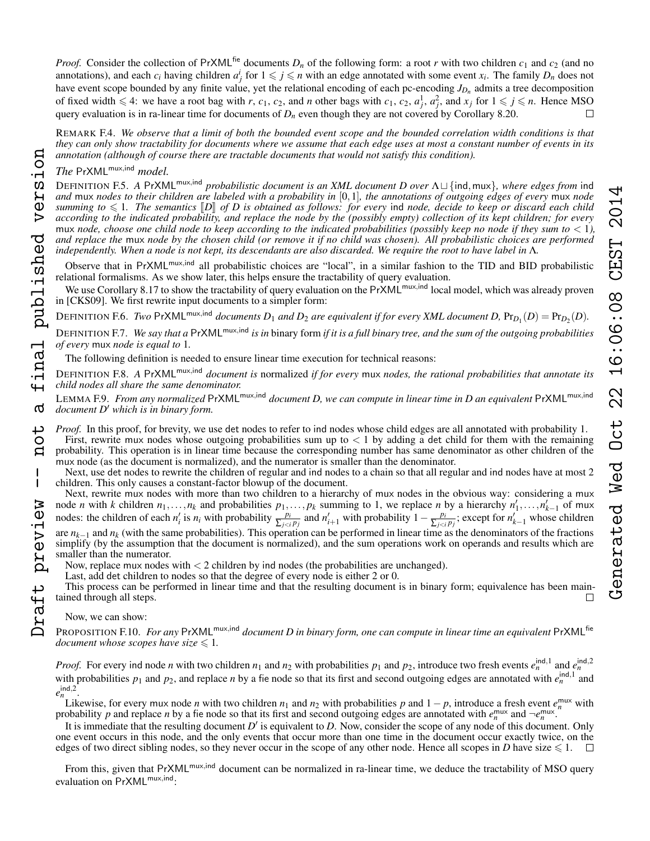REMARK F.4. *We observe that a limit of both the bounded event scope and the bounded correlation width conditions is that they can only show tractability for documents where we assume that each edge uses at most a constant number of events in its annotation (although of course there are tractable documents that would not satisfy this condition).*

*The* PrXMLmux,ind *model.*

DEFINITION F.5. *A* PrXML<sup>mux,ind</sup> *probabilistic document is an XML document D over* Λ□{ind,mux}, where edges from ind *and* mux *nodes to their children are labeled with a probability in* [0,1]*, the annotations of outgoing edges of every* mux *node summing to*  $\leq 1$ . The semantics  $\llbracket D \rrbracket$  of D is obtained as follows: for every ind node, decide to keep or discard each child *according to the indicated probability, and replace the node by the (possibly empty) collection of its kept children; for every* mux *node, choose one child node to keep according to the indicated probabilities (possibly keep no node if they sum to* < 1*), and replace the* mux *node by the chosen child (or remove it if no child was chosen). All probabilistic choices are performed independently. When a node is not kept, its descendants are also discarded. We require the root to have label in* Λ*.*

Observe that in PrXML<sup>mux,ind</sup> all probabilistic choices are "local", in a similar fashion to the TID and BID probabilistic relational formalisms. As we show later, this helps ensure the tractability of query evaluation.

We use Corollary [8.17](#page-8-8) to show the tractability of query evaluation on the PrXML<sup>mux,ind</sup> local model, which was already proven in [CKS09]. We first rewrite input documents to a simpler form:

DEFINITION F.6. *Two* PrXML<sup>mux,ind</sup> documents  $D_1$  and  $D_2$  are equivalent if for every XML document  $D$ ,  $Pr_{D_1}(D) = Pr_{D_2}(D)$ .

DEFINITION F.7. *We say that a* PrXMLmux,ind *is in* binary form *if it is a full binary tree, and the sum of the outgoing probabilities of every* mux *node is equal to* 1*.*

The following definition is needed to ensure linear time execution for technical reasons:

DEFINITION F.8. *A* PrXMLmux,ind *document is* normalized *if for every* mux *nodes, the rational probabilities that annotate its child nodes all share the same denominator.*

LEMMA F.9. *From any normalized* PrXMLmux,ind *document D, we can compute in linear time in D an equivalent* PrXMLmux,ind *document D' which is in binary form.* 

*Proof.* In this proof, for brevity, we use det nodes to refer to ind nodes whose child edges are all annotated with probability 1. First, rewrite mux nodes whose outgoing probabilities sum up to  $< 1$  by adding a det child for them with the remaining probability. This operation is in linear time because the corresponding number has same denominator as other children of the mux node (as the document is normalized), and the numerator is smaller than the denominator.

Next, use det nodes to rewrite the children of regular and ind nodes to a chain so that all regular and ind nodes have at most 2 children. This only causes a constant-factor blowup of the document.

Next, rewrite mux nodes with more than two children to a hierarchy of mux nodes in the obvious way: considering a mux node *n* with *k* children  $n_1, \ldots, n_k$  and probabilities  $p_1, \ldots, p_k$  summing to 1, we replace *n* by a hierarchy  $n'_1, \ldots, n'_{k-1}$  of mux nodes: the children of each  $n'_i$  is  $n_i$  with probability  $\frac{p_i}{\sum_{j < i} p_j}$  and  $n'_{i+1}$  with probability  $1 - \frac{p_i}{\sum_{j < i} p_j}$  $\frac{p_i}{\sum_{j < i} p_j}$ ; except for  $n'_{k-1}$  whose children are *nk*−<sup>1</sup> and *n<sup>k</sup>* (with the same probabilities). This operation can be performed in linear time as the denominators of the fractions simplify (by the assumption that the document is normalized), and the sum operations work on operands and results which are smaller than the numerator.

Now, replace mux nodes with  $\lt 2$  children by ind nodes (the probabilities are unchanged).

Last, add det children to nodes so that the degree of every node is either 2 or 0.

This process can be performed in linear time and that the resulting document is in binary form; equivalence has been maintained through all steps.

Now, we can show:

PROPOSITION F.10. *For any* PrXML<sup>mux,ind</sup> document D in binary form, one can compute in linear time an equivalent PrXML<sup>fie</sup> *document whose scopes have size*  $\leq 1$ *.* 

*Proof.* For every ind node *n* with two children  $n_1$  and  $n_2$  with probabilities  $p_1$  and  $p_2$ , introduce two fresh events  $e_n^{\text{ind},1}$  and  $e_n^{\text{ind},2}$ with probabilities  $p_1$  and  $p_2$ , and replace *n* by a fie node so that its first and second outgoing edges are annotated with  $e_n^{\text{ind},1}$  and  $e_n^{\text{ind},2}$ .

Likewise, for every mux node *n* with two children  $n_1$  and  $n_2$  with probabilities *p* and  $1 - p$ , introduce a fresh event  $e_n^{\text{mux}}$  with probability *p* and replace *n* by a fie node so that its first and second outgoing edges are annotated with  $e_n^{\text{mix}}$  and  $\neg e_n^{\text{mix}}$ .

It is immediate that the resulting document  $D'$  is equivalent to  $D$ . Now, consider the scope of any node of this document. Only one event occurs in this node, and the only events that occur more than one time in the document occur exactly twice, on the edges of two direct sibling nodes, so they never occur in the scope of any other node. Hence all scopes in *D* have size  $\leq 1$ .

From this, given that PrXML<sup>mux,ind</sup> document can be normalized in ra-linear time, we deduce the tractability of MSO query evaluation on PrXML<sup>mux,ind</sup>: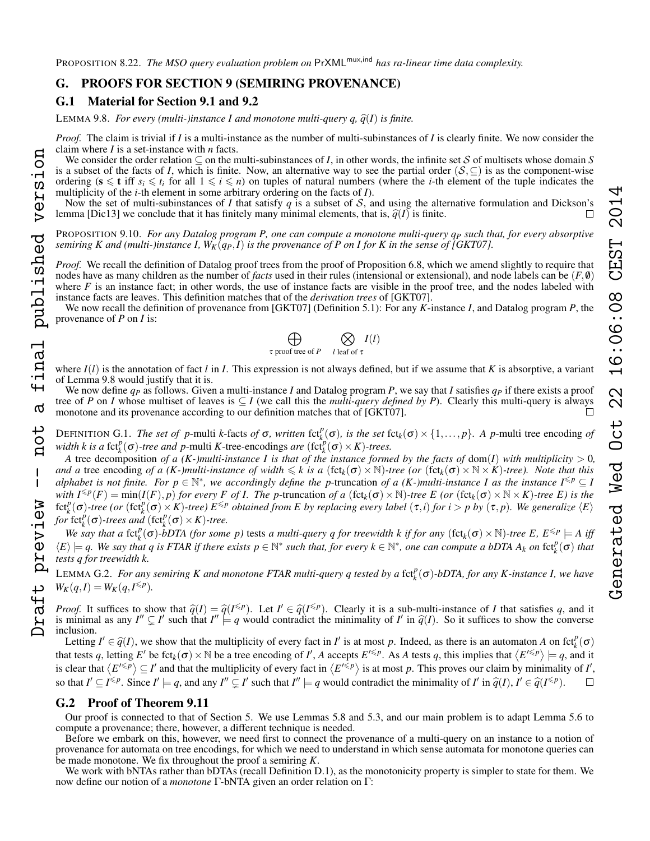# G.1 Material for Section [9.1](#page-8-10) and [9.2](#page-9-6)

LEMMA [9.8.](#page-9-1) *For every (multi-)instance I and monotone multi-query q,*  $\hat{q}(I)$  *is finite.* 

*Proof.* The claim is trivial if *I* is a multi-instance as the number of multi-subinstances of *I* is clearly finite. We now consider the claim where *I* is a set-instance with *n* facts.

We consider the order relation  $\subseteq$  on the multi-subinstances of *I*, in other words, the infinite set S of multisets whose domain S is a subset of the facts of *I*, which is finite. Now, an alternative way to see the partial order  $(S, \subseteq)$  is as the component-wise ordering  $(s \leq t$  iff  $s_i \leq t_i$  for all  $1 \leq i \leq n$ ) on tuples of natural numbers (where the *i*-th element of the tuple indicates the multiplicity of the *i*-th element in some arbitrary ordering on the facts of *I*).

Now the set of multi-subinstances of *I* that satisfy  $q$  is a subset of  $S$ , and using the alternative formulation and Dickson's lemma [Dic13] we conclude that it has finitely many minimal elements, that is,  $\hat{q}(I)$  is finite.

PROPOSITION [9.10.](#page-9-5) *For any Datalog program P, one can compute a monotone multi-query q<sup>P</sup> such that, for every absorptive semiring K and (multi-)instance I,*  $W_K(q_P, I)$  *is the provenance of P on I for K in the sense of [GKT07].* 

*Proof.* We recall the definition of Datalog proof trees from the proof of Proposition [6.8,](#page-6-6) which we amend slightly to require that nodes have as many children as the number of *facts* used in their rules (intensional or extensional), and node labels can be (*F*, 0) where  $F$  is an instance fact; in other words, the use of instance facts are visible in the proof tree, and the nodes labeled with instance facts are leaves. This definition matches that of the *derivation trees* of [GKT07].

We now recall the definition of provenance from [GKT07] (Definition 5.1): For any *K*-instance *I*, and Datalog program *P*, the provenance of *P* on *I* is:

$$
\bigoplus_{\tau \text{ proof tree of } P} \bigotimes_{l \text{ leaf of } \tau} I(l)
$$

where  $I(l)$  is the annotation of fact l in I. This expression is not always defined, but if we assume that K is absorptive, a variant of Lemma [9.8](#page-9-1) would justify that it is.

We now define *q<sup>P</sup>* as follows. Given a multi-instance *I* and Datalog program *P*, we say that *I* satisfies *q<sup>P</sup>* if there exists a proof tree of *P* on *I* whose multiset of leaves is  $\subseteq$  *I* (we call this the *multi-query defined by P*). Clearly this multi-query is always monotone and its provenance according to our definition matches that of [GKT07].  $\Box$ 

DEFINITION G.1. *The set of p*-multi *k*-facts *of*  $\sigma$ *, written* fct $_{k}^{p}(\sigma)$ *, is the set* fct<sub>k</sub>( $\sigma$ ) × {1,...,*p*}*.* A *p*-multi tree encoding *of width k is a* fct $_k^p(\sigma)$ -tree and *p*-multi *K*-tree-encodings *are* (fct $_k^p(\sigma) \times K$ )-trees.

*A* tree decomposition *of a (K-)multi-instance I is that of the instance formed by the facts of dom(I) with multiplicity*  $> 0$ *, and a* tree encoding of a (K-)multi-instance of width  $\leq k$  is a (fct<sub>k</sub>( $\sigma$ ) × N)-tree (or (fct<sub>k</sub>( $\sigma$ ) × N × *K*)-tree). Note that this *alphabet is not finite. For*  $p \in \mathbb{N}^*$ *, we accordingly define the p-truncation of a (K-)multi-instance I as the instance*  $I^{\leq p} \subseteq I$ *with*  $I^{\leq p}(F) = \min(I(F), p)$  *for every F of I. The p*-truncation *of a* (fct<sub>k</sub>( $\sigma$ ) × N)-tree E (*or* (fct<sub>k</sub>( $\sigma$ ) × N × *K*)-tree E) is the  $fct_k^p(\sigma)$ -tree (or  $(fct_k^p(\sigma) \times K)$ -tree)  $E^{\leq p}$  obtained from E by replacing every label  $(\tau, i)$  for  $i > p$  by  $(\tau, p)$ . We generalize  $\langle E \rangle$ *for* fct $_k^p(\sigma)$ -trees and (fct $_k^p(\sigma) \times K$ )-tree.

*We say that a* fct $_k^p(\sigma)$ -bDTA (for some p) tests *a multi-query q for treewidth k if for any* (fct<sub>k</sub>( $\sigma$ ) × N)-tree E,  $E^{\leq p}$  = A iff  $\langle E \rangle \models q$ . We say that q is FTAR if there exists  $p \in \mathbb{N}^*$  such that, for every  $k \in \mathbb{N}^*$ , one can compute a bDTA  $A_k$  on  $\text{fct}_k^p(\sigma)$  that *tests q for treewidth k.*

<span id="page-24-0"></span>LEMMA G.2. *For any semiring K and monotone FTAR multi-query q tested by a* fct<sup>*p*</sup>(σ)-bDTA, for any K-instance I, we have  $W_K(q, I) = W_K(q, I^{\leq p})$ .

*Proof.* It suffices to show that  $\hat{q}(I) = \hat{q}(I^{\leq p})$ . Let  $I' \in \hat{q}(I^{\leq p})$ . Clearly it is a sub-multi-instance of *I* that satisfies *q*, and it is minimal as any  $I'' \subset I'$  such that  $I'' \models q$  would contradict the mini is minimal as any  $I'' \subsetneq I'$  such that  $I'' \models q$  would contradict the minimality of *I'* in  $\hat{q}(I)$ . So it suffices to show the converse inclusion.

Letting  $I' \in \hat{q}(I)$ , we show that the multiplicity of every fact in *I'* is at most *p*. Indeed, as there is an automaton *A* on fct<sup>*p*</sup>( $\sigma$ ) is a total of  $I'$ ,  $A$  accounts  $F(\Sigma P)$ ,  $A \in \mathcal{A}$  tests *a* this implie that tests q, letting  $E'$  be fct<sub>k</sub>( $\sigma$ ) × N be a tree encoding of *I'*, A accepts  $E'^{\leq p}$ . As A tests q, this implies that  $\langle E'^{\leq p} \rangle \models q$ , and it is clear that  $\langle E^{\prime \leq p} \rangle \subseteq I'$  and that the multiplicity of every fact in  $\langle E^{\prime \leq p} \rangle$  is at most *p*. This proves our claim by minimality of *I'*, so that  $I' \subseteq I^{\leq p}$ . Since  $I' \models q$ , and any  $I'' \subseteq I'$  such that  $I'' \models q$  would contradict the minimality of  $I'$  in  $\hat{q}(I), I' \in \hat{q}(I^{\leq p})$ .  $\Box$ 

# G.2 Proof of Theorem [9.11](#page-9-4)

Our proof is connected to that of Section [5.](#page-5-0) We use Lemmas [5.8](#page-5-3) and [5.3,](#page-5-4) and our main problem is to adapt Lemma [5.6](#page-5-6) to compute a provenance; there, however, a different technique is needed.

Before we embark on this, however, we need first to connect the provenance of a multi-query on an instance to a notion of provenance for automata on tree encodings, for which we need to understand in which sense automata for monotone queries can be made monotone. We fix throughout the proof a semiring *K*.

We work with bNTAs rather than bDTAs (recall Definition [D.1\)](#page-16-0), as the monotonicity property is simpler to state for them. We now define our notion of a *monotone* Γ-bNTA given an order relation on Γ: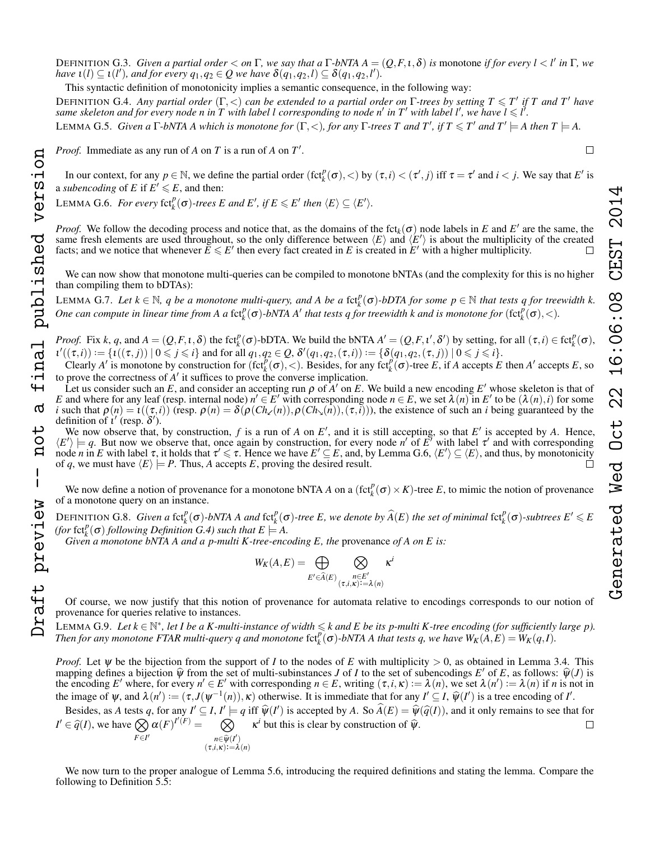DEFINITION G.3. *Given a partial order* < *on* Γ*, we say that a* Γ*-bNTA A* = (*Q*,*F*,ι,δ) *is* monotone *if for every l* < *l* 0 *in* Γ*, we have*  $\iota(l) \subseteq \iota(l')$ *, and for every*  $q_1, q_2 \in Q$  *we have*  $\delta(q_1, q_2, l) \subseteq \delta(q_1, q_2, l')$ *.* 

This syntactic definition of monotonicity implies a semantic consequence, in the following way:

<span id="page-25-1"></span>**DEFINITION G.4.** Any partial order  $(\Gamma, <)$  can be extended to a partial order on  $\Gamma$ -trees by setting  $T \leq T'$  if T and T' have same skeleton and for every node n in T with label l corresponding to node n' in T' with label l', we have  $l \leq l'$ .

**LEMMA G.5.** Given a  $\Gamma$ -bNTA A which is monotone for  $(\Gamma, <)$ , for any  $\Gamma$ -trees T and T', if  $T \leq T'$  and  $T' \models$  A then  $T \models$  A.

*Proof.* Immediate as any run of  $A$  on  $T$  is a run of  $A$  on  $T'$ .

In our context, for any  $p \in \mathbb{N}$ , we define the partial order  $(\text{fct}_{k}^{p}(\sigma), <)$  by  $(\tau, i) < (\tau', j)$  iff  $\tau = \tau'$  and  $i < j$ . We say that  $E'$  is a *subencoding* of E if  $E' \le E$ , and then:

<span id="page-25-0"></span>LEMMA G.6. *For every*  $\text{fct}_{k}^{p}(\sigma)$ -trees *E* and *E'*, if  $E \le E'$  then  $\langle E \rangle \subseteq \langle E' \rangle$ .

*Proof.* We follow the decoding process and notice that, as the domains of the fct<sub>k</sub>( $\sigma$ ) node labels in *E* and *E'* are the same, the same fresh elements are used throughout, so the only difference between  $\langle E \rangle$  and  $\langle E' \rangle$  is about the multiplicity of the created facts; and we notice that whenever  $E \le E'$  then every fact created in *E* is created in  $E'$  with a higher multiplicity.

We can now show that monotone multi-queries can be compiled to monotone bNTAs (and the complexity for this is no higher than compiling them to bDTAs):

<span id="page-25-2"></span>LEMMA G.7. Let  $k \in \mathbb{N}$ , q be a monotone multi-query, and A be a f $ct_k^p(\sigma)$ -bDTA for some  $p \in \mathbb{N}$  that tests q for treewidth k. *One can compute in linear time from A a* fct $^p_k(\sigma)$ -bNTA A' that tests q for treewidth k and is monotone for  $(\text{fct}_k^p(\sigma),<)$ .

*Proof.* Fix k, q, and  $A = (Q, F, \iota, \delta)$  the fct<sub>k</sub><sup> $p$ </sup>( $\sigma$ )-bDTA. We build the bNTA  $A' = (Q, F, \iota', \delta')$  by setting, for all  $(\tau, i) \in \text{fct}_{k}^{p}(\sigma)$ ,  $u'((\tau,i)) := \{u((\tau,j)) \mid 0 \leqslant j \leqslant i\}$  and for all  $q_1, q_2 \in Q$ ,  $\delta'(q_1, q_2, (\tau, i)) := \{\delta(q_1, q_2, (\tau, j)) \mid 0 \leqslant j \leqslant i\}.$ 

Clearly *A*' is monotone by construction for  $(\text{fct}_{k}^{p}(\sigma),<)$ . Besides, for any  $\text{fct}_{k}^{p}(\sigma)$ -tree *E*, if *A* accepts *E* then *A'* accepts *E*, so to prove the correctness of  $A'$  it suffices to prove the converse implication.

Let us consider such an E, and consider an accepting run  $\rho$  of  $A'$  on E. We build a new encoding  $E'$  whose skeleton is that of *E* and where for any leaf (resp. internal node)  $n' \in E'$  with corresponding node  $n \in E$ , we set  $\lambda(n)$  in  $E'$  to be  $(\lambda(n), i)$  for some *i* such that  $\rho(n) = \iota((\tau, i))$  (resp.  $\rho(n) = \delta(\rho(\text{Ch}_{\kappa}(n)), \rho(\text{Ch}_{\lambda}(n)), (\tau, i))$ ), the existence of such an *i* being guaranteed by the definition of  $\hat{i}'$  (resp.  $\delta'$ ).

We now observe that, by construction,  $f$  is a run of  $A$  on  $E'$ , and it is still accepting, so that  $E'$  is accepted by  $A$ . Hence,  $\langle E' \rangle \models q$ . But now we observe that, once again by construction, for every node *n'* of  $E'$  with label  $\tau'$  and with corresponding  $\Box$  node *n* in *E* with label  $\tau$ , it holds that  $\tau' \leq \tau$ . Hence we have  $E' \subseteq E$ , and, by Lemma [G.6,](#page-25-0)  $\langle E' \rangle \subseteq \langle E \rangle$ , and thus, by monotonicity of *q*, we must have  $\langle E \rangle \models P$ . Thus, *A* accepts *E*, proving the desired result.  $\Box$ 

We now define a notion of provenance for a monotone bNTA *A* on a  $(\text{fct}_{k}^{p}(\sigma) \times K)$ -tree *E*, to mimic the notion of provenance of a monotone query on an instance.

DEFINITION G.8. Given a fct $_k^p(\sigma)$ -bNTA A and fct $_k^p(\sigma)$ -tree E, we denote by  $\widehat{A}(E)$  the set of minimal fct $_k^p(\sigma)$ -subtrees  $E' \leq E$ *(for*  $fct_k^p(\sigma)$  *following Definition*  $G.4$ *)* such that  $E \models A$ .

*Given a monotone bNTA A and a p-multi K-tree-encoding E, the provenance of A on E is:* 

$$
W_K(A, E) = \bigoplus_{E' \in \widehat{A}(E)} \bigotimes_{\substack{n \in E' \\ (\tau, i, \kappa) := \lambda(n)}} \kappa
$$

*i*

Of course, we now justify that this notion of provenance for automata relative to encodings corresponds to our notion of provenance for queries relative to instances.

<span id="page-25-3"></span>LEMMA G.9. Let  $k \in \mathbb{N}^*$ , let I be a K-multi-instance of width  $\leq k$  and E be its p-multi K-tree encoding (for sufficiently large p). *Then for any monotone FTAR multi-query q and monotone*  $fct_k^p(\sigma)$ -bNTA A that tests q, we have  $W_K(A,E) = W_K(q,I)$ .

*Proof.* Let *ψ* be the bijection from the support of *I* to the nodes of *E* with multiplicity > 0, as obtained in Lemma [3.4.](#page-2-3) This mapping defines a bijection  $\hat{\psi}$  from the set of multi-subinstances *J* of *I* to the set of subencodings *E'* of *E*, as follows:  $\hat{\psi}(J)$  is the encoding *F'* where for every  $n' \in F'$  with corresponding  $n \in F$  writi the encoding *E'* where, for every  $n' \in E'$  with corresponding  $n \in E$ , writing  $(\tau, i, \kappa) := \lambda(n)$ , we set  $\lambda(n') := \lambda(n)$  if *n* is not in the image of  $\psi$ , and  $\lambda(n') := (\tau, J(\psi^{-1}(n)), \kappa)$  otherwise. It is immediate that for any  $I' \subseteq I$ ,  $\hat{\psi}(I')$  is a tree encoding of *I'*.

Besides, as *A* tests *q*, for any  $I' \subseteq I$ ,  $I' \models q$  iff  $\hat{\psi}(I')$  is accepted by *A*. So  $\hat{A}(E) = \hat{\psi}(\hat{q}(I))$ , and it only remains to see that for *I*<sup> $\ell \in \widehat{q}(I)$ , we have  $\bigotimes_{F \in \mathcal{F}'_I} \alpha(F)^{I'(F)} =$ </sup>  $F \in I'$  $\otimes$  $n \in \widehat{\psi}(I')$ <br> $\vdots$   $\kappa$ ) : - 2  $(\tau, i, \kappa) := \lambda(n)$  $\kappa^i$  but this is clear by construction of  $\hat{\psi}$ .

We now turn to the proper analogue of Lemma [5.6,](#page-5-6) introducing the required definitions and stating the lemma. Compare the following to Definition [5.5:](#page-5-7)

 $\mathbf{I}$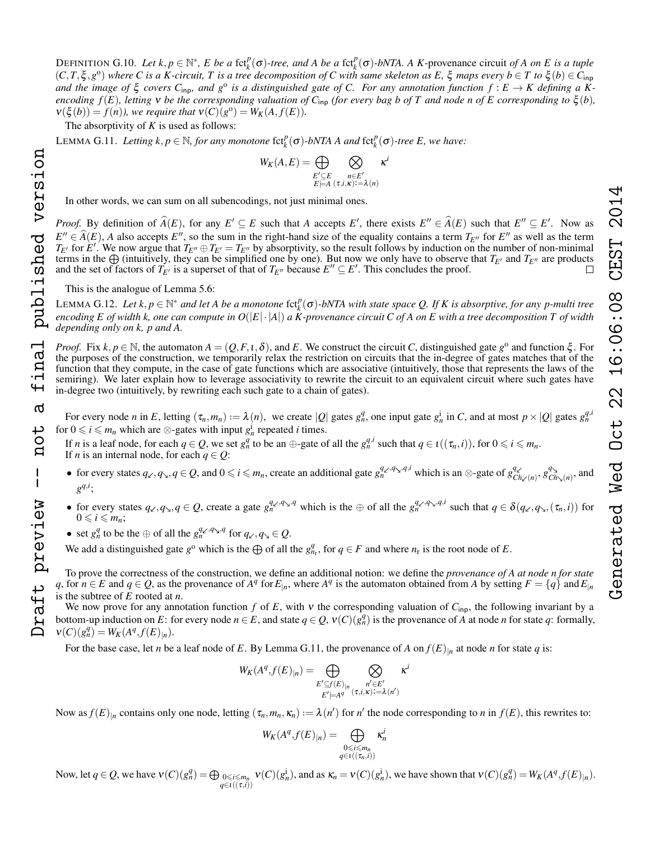DEFINITION G.10. Let  $k, p \in \mathbb{N}^*$ , E be a fct<sub>k</sub><sup> $p$ </sup>( $\sigma$ )-tree, and A be a fct<sub>k</sub> $(\sigma)$ -bNTA. A K-provenance circuit of A on E is a tuple  $(C, T, \xi, g^{\circ})$  where C is a K-circuit, T is a tree decomposition of C with same skeleton as E,  $\xi$  maps every  $b \in T$  to  $\xi(b) \in C_{\text{inp}}$ and the image of  $\xi$  covers  $C_{\text{inp}}$ , and  $g^{\text{o}}$  is a distinguished gate of C. For any annotation function  $f: E \to K$  defining a K*encoding*  $f(E)$ *, letting*  $\bf{v}$  *be the corresponding valuation of*  $C_{\text{inp}}$  *(for every bag b of*  $\bf{T}$  *and node n of*  $E$  *corresponding to*  $\xi(b)$ *,*  $v(\xi(b)) = f(n)$ , we require that  $v(C)(g^0) = W_K(A, f(E)).$ 

The absorptivity of *K* is used as follows:

<span id="page-26-0"></span>LEMMA G.11. Letting  $k, p \in \mathbb{N}$ , for any monotone fct<sub>k</sub><sup> $p$ </sup>( $\sigma$ )*-bNTA A and* fct<sub>k</sub><sup> $p$ </sup>( $\sigma$ )*-tree E, we have:* 

$$
W_K(A,E) = \bigoplus_{\substack{E' \subseteq E \\ E \models A}} \bigotimes_{\substack{n \in E' \\ (\tau,i,\kappa):=\lambda(n)}} \kappa
$$

*i*

In other words, we can sum on all subencodings, not just minimal ones.

*Proof.* By definition of  $\widehat{A}(E)$ , for any  $E' \subseteq E$  such that *A* accepts  $E'$ , there exists  $E'' \in \widehat{A}(E)$  such that  $E'' \subseteq E'$ . Now as  $E'' \in \widehat{A}(E)$ , *A* also accepts *E''*, so the sum in the right-hand size of the equality contains a term  $T_{E''}$  for *E''* as well as the term  $T_{E''}$  for  $E'$ . We now arous that  $T_{E''} \oplus T_{E''}$  by absorptivity, so the r  $T_{E'}$  for  $E'$ . We now argue that  $T_{E''} \oplus T_{E'} = T_{E''}$  by absorptivity, so the result follows by induction on the number of non-minimal terms in the  $\bigoplus$  (intuitively, they can be simplified one by one). But now we only have to observe that  $T_{E'}$  and  $T_{E''}$  are products and the set of factors of  $T_{E'}$  is a superset of that of  $T_{E''}$  because  $E'' \subseteq E'$ and the set of factors of  $T_{E'}$  is a superset of that of  $T_{E''}$  because  $E'' \subseteq E'$ . This concludes the proof.

This is the analogue of Lemma [5.6:](#page-5-6)

<span id="page-26-1"></span>LEMMA G.12. Let  $k, p \in \mathbb{N}^*$  and let A be a monotone  $fct_k^p(\sigma)$ -bNTA with state space Q. If K is absorptive, for any p-multi tree *encoding E of width k, one can compute in*  $O(|E|\cdot|A|)$  *a K-provenance circuit C of A on E with a tree decomposition T of width depending only on k, p and A.*

*Proof.* Fix  $k, p \in \mathbb{N}$ , the automaton  $A = (Q, F, \iota, \delta)$ , and *E*. We construct the circuit *C*, distinguished gate  $g^{\circ}$  and function  $\xi$ . For the purposes of the construction, we temporarily relax the restriction on circuits that the in-degree of gates matches that of the function that they compute, in the case of gate functions which are associative (intuitively, those that represents the laws of the semiring). We later explain how to leverage associativity to rewrite the circuit to an equivalent circuit where such gates have in-degree two (intuitively, by rewriting each such gate to a chain of gates).

For every node *n* in *E*, letting  $(\tau_n, m_n) := \lambda(n)$ , we create  $|Q|$  gates  $g_n^q$ , one input gate  $g_n^i$  in *C*, and at most  $p \times |Q|$  gates  $g_n^{q, i}$ for  $0 \le i \le m_n$  which are ⊗-gates with input  $g_n^i$  repeated *i* times.

If *n* is a leaf node, for each  $q \in Q$ , we set  $g_n^q$  to be an  $\oplus$ -gate of all the  $g_n^{q,i}$  such that  $q \in \iota((\tau_n,i))$ , for  $0 \leq i \leq m_n$ . If *n* is an internal node, for each  $q \in Q$ :

- for every states  $q_x, q_y, q \in Q$ , and  $0 \le i \le m_n$ , create an additional gate  $g_n^{q_x, q_y, q, i}$  which is an  $\otimes$ -gate of  $g_i^q$  $\frac{q_{\swarrow}}{Ch_{\swarrow}(n)}, g_C^q$  $\frac{q_{\lambda}}{C h_{\lambda}(n)}$ , and  $g^{q,i}$ ;
- for every states  $q_{\kappa}, q_{\lambda}, q \in Q$ , create a gate  $g_n^{q_{\kappa}, q_{\lambda}, q}$  which is the  $\oplus$  of all the  $g_n^{q_{\kappa}, q_{\lambda}, q, i}$  such that  $q \in \delta(q_{\kappa}, q_{\lambda}, (\tau_n, i))$  for  $0 \leq i \leq m_n$ ;
- set  $g_n^q$  to be the  $\oplus$  of all the  $g_n^{q_{\swarrow}, q_{\swarrow}, q}$  for  $q_{\swarrow}, q_{\swarrow} \in Q$ .

We add a distinguished gate  $g^{\circ}$  which is the  $\bigoplus$  of all the  $g_{n_r}^q$ , for  $q \in F$  and where  $n_r$  is the root node of *E*.

To prove the correctness of the construction, we define an additional notion: we define the *provenance of A at node n for state* q, for  $n \in E$  and  $q \in Q$ , as the provenance of  $A^q$  for  $E_{|n}$ , where  $A^q$  is the automaton obtained from A by setting  $F = \{q\}$  and  $E_{|n}$ is the subtree of *E* rooted at *n*.

We now prove for any annotation function  $f$  of  $E$ , with  $v$  the corresponding valuation of  $C_{\text{inp}}$ , the following invariant by a bottom-up induction on *E*: for every node  $n \in E$ , and state  $q \in Q$ ,  $v(C)(g_n^q)$  is the provenance of *A* at node *n* for state *q*: formally,  $V(C)(g_n^q) = W_K(A^q, f(E)_{|n}).$ 

For the base case, let *n* be a leaf node of *E*. By Lemma [G.11,](#page-26-0) the provenance of *A* on  $f(E)|_n$  at node *n* for state *q* is:

$$
W_K(A^q, f(E)_{|n}) = \bigoplus_{\substack{E' \subseteq f(E)_{|n} \\ E' \models A^q}} \bigotimes_{\substack{n' \in E' \\ (\tau, i, \kappa) := \lambda(n')}} \kappa^i
$$

Now as  $f(E)_{|n}$  contains only one node, letting  $(\tau_n, m_n, \kappa_n) := \lambda(n')$  for  $n'$  the node corresponding to  $n$  in  $f(E)$ , this rewrites to:

$$
W_K(A^q, f(E)_{|n}) = \bigoplus_{\substack{0 \le i \le m_n \\ q \in \iota((\tau_n, i))}} \kappa_n^i
$$

Now, let  $q \in Q$ , we have  $v(C)(g_n^q) = \bigoplus_{0 \leq i \leq m_n} v(C)(g_n^i)$ , and as  $\kappa_n = v(C)(g_n^i)$ , we have shown that  $v(C)(g_n^q) = W_K(A^q, f(E)|_n)$ . *q*∈ι((τ,*i*))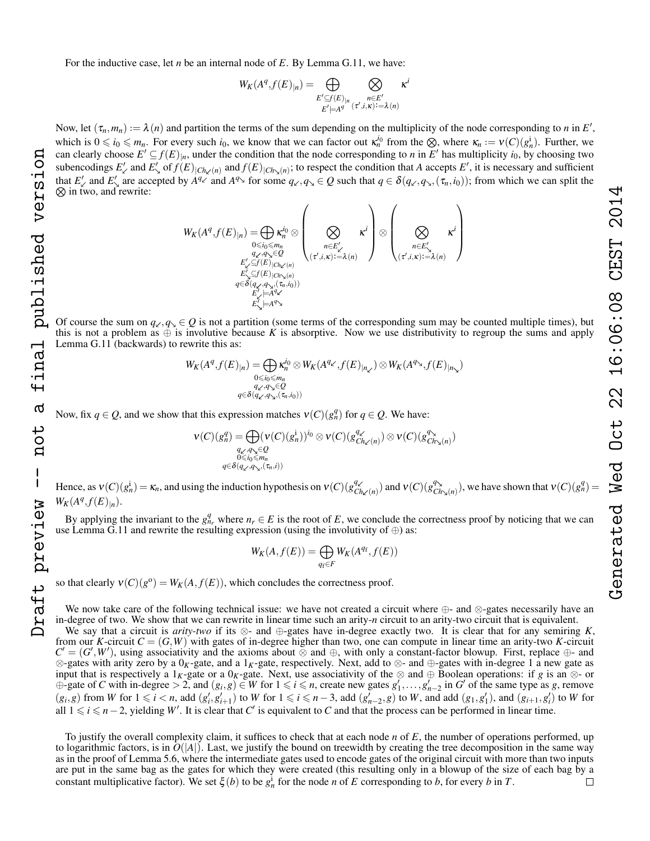For the inductive case, let *n* be an internal node of *E*. By Lemma [G.11,](#page-26-0) we have:

$$
W_K(A^q, f(E)_{|n}) = \bigoplus_{\substack{E' \subseteq f(E)_{|n} \\ E' \models A^q}} \bigotimes_{\substack{n \in E' \\ (\tau', i, \kappa) := \lambda(n)}} \kappa^i
$$

Now, let  $(\tau_n, m_n) := \lambda(n)$  and partition the terms of the sum depending on the multiplicity of the node corresponding to *n* in *E'*, which is  $0 \le i_0 \le m_n$ . For every such  $i_0$ , we know that we can factor out  $\kappa_n^{i_0}$  from the  $\otimes$ , where  $\kappa_n := v(C)(g_n^i)$ . Further, we can clearly choose  $E' \subseteq f(E)_{|n}$ , under the condition that the node corresponding to *n* in  $E'$  has multiplicity  $i_0$ , by choosing two subencodings  $E'_{\kappa}$  and  $E'_{\kappa}$  of  $f(E)_{|Ch_{\kappa}(n)}$  and  $f(E)_{|Ch_{\kappa}(n)}$ ; to respect the condition that *A* accepts  $E'$ , it is necessary and sufficient that  $E'_{\ell}$  and  $E'_{\lambda}$  are accepted by  $A^{q_{\ell}}$  and  $A^{q_{\lambda}}$  for some  $q_{\ell}$ ,  $q_{\lambda} \in Q$  such that  $q \in \delta(q_{\ell}, q_{\lambda}, (\tau_n, i_0))$ ; from which we can split the  $\otimes$  in two, and rewrite:

$$
W_K(A^q, f(E)_{|n}) = \bigoplus_{\substack{0 \leq i_0 \leq m_n \\ q_{\mathcal{L}}, q_{\mathcal{N}} \in \mathcal{Q} \\ E'_{\mathcal{L}} \subseteq f(E) \mid Ch_{\mathcal{L}}(n) \\ E'_{\mathcal{L}} \subseteq f(E) \mid Ch_{\mathcal{N}}(n) \\ q \in \delta(q_{\mathcal{L}}, q_{\mathcal{N}}, (z_n, i_0))} \left(\bigotimes_{\substack{n \in E'_{\mathcal{L}} \\ (\tau', i, \kappa) := \lambda(n) \\ E'_{\mathcal{L}} \models A^q_{\mathcal{L}}}} \kappa^i\right) \otimes \left(\bigotimes_{\substack{n \in E'_{\mathcal{N}} \\ (\tau', i, \kappa) := \lambda(n) \\ E'_{\mathcal{L}} \models A^q_{\mathcal{N}}}} \kappa^i\right)
$$

Of course the sum on  $q_\ell, q_\infty \in Q$  is not a partition (some terms of the corresponding sum may be counted multiple times), but this is not a problem as  $\oplus$  is involutive because K is absorptive. Now we use distributivity to regroup the sums and apply Lemma [G.11](#page-26-0) (backwards) to rewrite this as:

$$
W_K(A^q, f(E)_{|n}) = \bigoplus_{\substack{0 \le i_0 \le m_n \\ q_{\checkmark}, q_{\checkmark}, \in \mathcal{Q} \\ q \in \delta(q_{\checkmark}, q_{\checkmark}, (\tau_n, i_0))}} \mathcal{K}_K(A^{q_{\checkmark}}, f(E)_{|n_{\checkmark}}) \otimes W_K(A^{q_{\checkmark}}, f(E)_{|n_{\checkmark}})
$$

Now, fix  $q \in Q$ , and we show that this expression matches  $v(C)(g_n^q)$  for  $q \in Q$ . We have:

$$
\nu(C)(g_n^q) = \bigoplus_{\substack{q_{\mathcal{L}}, q_{\mathcal{N}} \in \mathcal{Q} \\ 0 \leq i_0 \leq m_n \\ q \in \delta(q_{\mathcal{L}}, q_{\mathcal{N}}), (\tau_n, i))}} \nu(C)(g_{Ch_{\mathcal{L}}(n)}^{q_{\mathcal{L}}}) \otimes \nu(C)(g_{Ch_{\mathcal{L}}(n)}^{q_{\mathcal{N}}})
$$

Hence, as  $v(C)(g_n^i) = \kappa_n$ , and using the induction hypothesis on  $v(C)(g_C^q)$  $\frac{q_{\mathcal{L}}}{Ch_{\mathcal{L}}(n)}$ ) and  $v(C)(g_C^q)$  $\frac{q_{\lambda}}{C h_{\lambda}(n)}$ ), we have shown that  $v(C)(g_n^q) =$  $W_K(A^q, f(E)_{|n}).$ 

By applying the invariant to the  $g_{n_r}^q$  where  $n_r \in E$  is the root of *E*, we conclude the correctness proof by noticing that we can use Lemma [G.11](#page-26-0) and rewrite the resulting expression (using the involutivity of  $\oplus$ ) as:

$$
W_K(A, f(E)) = \bigoplus_{q_f \in F} W_K(A^{q_f}, f(E))
$$

so that clearly  $v(C)(g^{\circ}) = W_K(A, f(E))$ , which concludes the correctness proof.

We now take care of the following technical issue: we have not created a circuit where ⊕- and ⊗-gates necessarily have an in-degree of two. We show that we can rewrite in linear time such an arity-*n* circuit to an arity-two circuit that is equivalent.

We say that a circuit is *arity-two* if its ⊗- and ⊕-gates have in-degree exactly two. It is clear that for any semiring *K*, from our *K*-circuit  $C = (G, W)$  with gates of in-degree higher than two, one can compute in linear time an arity-two *K*-circuit  $C' = (G', W')$ , using associativity and the axioms about ⊗ and ⊕, with only a constant-factor blowup. First, replace ⊕- and ⊗-gates with arity zero by a 0*K*-gate, and a 1*K*-gate, respectively. Next, add to ⊗- and ⊕-gates with in-degree 1 a new gate as input that is respectively a 1<sub>K</sub>-gate or a 0<sub>K</sub>-gate. Next, use associativity of the ⊗ and ⊕ Boolean operations: if *g* is an ⊗- or  $\oplus$ -gate of *C* with in-degree > 2, and  $(g_i, g) \in W$  for  $1 \leq i \leq n$ , create new gates  $g'_1, \ldots, g'_{n-2}$  in *G*<sup>*'*</sup> of the same type as *g*, remove  $(g_i, g)$  from W for  $1 \leq i < n$ , add  $(g'_i, g'_{i+1})$  to W for  $1 \leq i \leq n-3$ , add  $(g'_{n-2}, g)$  to W, and add  $(g_1, g'_1)$ , and  $(g_{i+1}, g'_i)$  to W for all  $1 \le i \le n-2$ , yielding *W'*. It is clear that *C'* is equivalent to *C* and that the process can be performed in linear time.

To justify the overall complexity claim, it suffices to check that at each node *n* of *E*, the number of operations performed, up to logarithmic factors, is in  $O(|A|)$ . Last, we justify the bound on treewidth by creating the tree decomposition in the same way as in the proof of Lemma [5.6,](#page-5-6) where the intermediate gates used to encode gates of the original circuit with more than two inputs are put in the same bag as the gates for which they were created (this resulting only in a blowup of the size of each bag by a constant multiplicative factor). We set  $\xi(b)$  to be  $g_n^i$  for the node *n* of *E* corresponding to *b*, for every *b* in *T*.  $\Box$  Generated Wed Oct 22 16:06:08 CEST 2014

Oct

Ved

denerated

16:06:08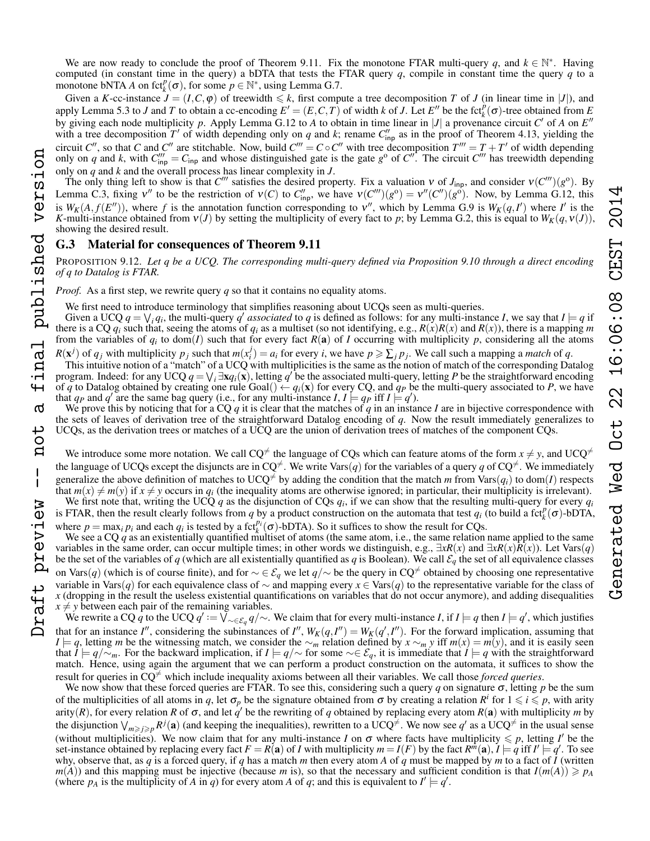We are now ready to conclude the proof of Theorem [9.11.](#page-9-4) Fix the monotone FTAR multi-query q, and  $k \in \mathbb{N}^*$ . Having computed (in constant time in the query) a bDTA that tests the FTAR query  $q$ , compile in constant time the query  $q$  to a monotone bNTA *A* on fct<sub>k</sub><sup>*p*</sup>( $\sigma$ ), for some  $p \in \mathbb{N}^*$ , using Lemma [G.7.](#page-25-2)

Given a *K*-cc-instance  $J = (I, C, \varphi)$  of treewidth  $\leq k$ , first compute a tree decomposition *T* of *J* (in linear time in |*J*|), and apply Lemma [5.3](#page-5-4) to *J* and *T* to obtain a cc-encoding  $E' = (E, C, T)$  of width *k* of *J*. Let  $E''$  be the fct<sub>*k*</sub><sup> $\dot{p}$ </sup> ( $\sigma$ )-tree obtained from *E* by giving each node multiplicity p. Apply Lemma [G.12](#page-26-1) to A to obtain in time linear in |J| a provenance circuit  $C'$  of A on  $E''$ with a tree decomposition T' of width depending only on q and k; rename  $C_{\text{inp}}''$  as in the proof of Theorem [4.13,](#page-4-1) yielding the circuit *C*<sup>*n*</sup>, so that *C* and *C*<sup>*n*</sup> are stitchable. Now, build *C*<sup>*m*</sup> = *C*  $\circ$  *C*<sup>*n*</sup> with tree decomposition *T*<sup>*m*</sup> = *T* + *T*<sup>*'*</sup> of width depending only on *q* and *k*, with  $C_{\text{inp}}^{\prime\prime\prime} = C_{\text{inp}}$  and whose distinguished gate is the gate *g*<sup>o</sup> of  $C^{\prime\prime}$ . The circuit  $C^{\prime\prime\prime}$  has treewidth depending only on *q* and *k* and the overall process has linear complexity in *J*.

The only thing left to show is that  $C'''$  satisfies the desired property. Fix a valuation  $v$  of  $J_{\text{inp}}$ , and consider  $v(C''')(g^{\circ})$ . By Lemma [C.3,](#page-14-1) fixing  $v''$  to be the restriction of  $v(C)$  to  $C''_{\text{inp}}$ , we have  $v(C''')(g^{\circ}) = v''(C'')(g^{\circ})$ . Now, by Lemma [G.12,](#page-26-1) this is  $W_K(A, f(E''))$ , where f is the annotation function corresponding to  $v''$ , which by Lemma [G.9](#page-25-3) is  $W_K(q, I')$  where I' is the *K*-multi-instance obtained from  $v(J)$  by setting the multiplicity of every fact to *p*; by Lemma [G.2,](#page-24-0) this is equal to  $W_K(q, v(J))$ , showing the desired result.

# G.3 Material for consequences of Theorem [9.11](#page-9-4)

PROPOSITION [9.12.](#page-10-1) *Let q be a UCQ. The corresponding multi-query defined via Proposition [9.10](#page-9-5) through a direct encoding of q to Datalog is FTAR.*

*Proof.* As a first step, we rewrite query *q* so that it contains no equality atoms.

We first need to introduce terminology that simplifies reasoning about UCQs seen as multi-queries.

Given a UCQ  $q = \bigvee_i q_i$ , the multi-query  $q'$  associated to  $q$  is defined as follows: for any multi-instance *I*, we say that  $I \models q$  if there is a CQ  $q_i$  such that, seeing the atoms of  $q_i$  as a multiset (so not identifying, e.g.,  $R(x)R(x)$  and  $R(x)$ ), there is a mapping *m* from the variables of  $q_i$  to dom(*I*) such that for every fact  $R(a)$  of *I* occurring with multiplicity *p*, considering all the atoms

 $R(\mathbf{x}^j)$  of  $q_j$  with multiplicity  $p_j$  such that  $m(x_i^j) = a_i$  for every *i*, we have  $p \ge \sum_j p_j$ . We call such a mapping a *match* of *q*. This intuitive notion of a "match" of a UCQ with multiplicities is the same as the notion of match of the corresponding Datalog program. Indeed: for any UCQ  $q = \bigvee_i \exists x q_i(x)$ , letting  $q'$  be the associated multi-query, letting *P* be the straightforward encoding of *q* to Datalog obtained by creating one rule Goal()  $\leftarrow q_i(\mathbf{x})$  for every CQ, and  $q_p$  be the multi-query associated to *P*, we have that  $q_P$  and  $q'$  are the same bag query (i.e., for any multi-instance *I*,  $I \models q_P$  iff  $I \models q'$ ).

We prove this by noticing that for a CQ *q* it is clear that the matches of *q* in an instance *I* are in bijective correspondence with the sets of leaves of derivation tree of the straightforward Datalog encoding of *q*. Now the result immediately generalizes to UCQs, as the derivation trees or matches of a UCQ are the union of derivation trees of matches of the component CQs.

We introduce some more notation. We call  $CQ^{\neq}$  the language of CQs which can feature atoms of the form  $x \neq y$ , and  $UCQ^{\neq}$ the language of UCQs except the disjuncts are in  $CQ^{\neq}$ . We write Vars(*q*) for the variables of a query *q* of  $CQ^{\neq}$ . We immediately generalize the above definition of matches to UCQ<sup> $\neq$ </sup> by adding the condition that the match *m* from Vars $(q_i)$  to dom(*I*) respects that  $m(x) \neq m(y)$  if  $x \neq y$  occurs in  $q_i$  (the inequality atoms are otherwise ignored; in particular, their multiplicity is irrelevant). We first note that, writing the UCQ  $q$  as the disjunction of CQs  $q_i$ , if we can show that the resulting multi-query for every  $q_i$ 

is FTAR, then the result clearly follows from *q* by a product construction on the automata that test  $q_i$  (to build a fct<sub>k</sub><sup>*n*</sup> ( $\sigma$ )-bDTA, where  $p = \max_i p_i$  and each  $q_i$  is tested by a fct<sub>k</sub><sup>*p<sub>i</sub>*</sup>( $\sigma$ )-bDTA). So it suffices to show the result for CQs.

We see a CQ q as an existentially quantified multiset of atoms (the same atom, i.e., the same relation name applied to the same variables in the same order, can occur multiple times; in other words we distinguish, e.g.,  $\exists xR(x)$  and  $\exists xR(x)R(x)$ ). Let Vars(*q*) be the set of the variables of *q* (which are all existentially quantified as *q* is Boolean). We call  $\mathcal{E}_q$  the set of all equivalence classes on Vars(*q*) (which is of course finite), and for  $\sim \epsilon \mathcal{E}_q$  we let  $q/\sim$  be the query in CQ<sup>≠</sup> obtained by choosing one representative variable in Vars(*q*) for each equivalence class of ∼ and mapping every *x* ∈ Vars(*q*) to the representative variable for the class of  $x$  (dropping in the result the useless existential quantifications on variables that  $\tilde{d}$  on to occur anymore), and adding disequalities  $x \neq y$  between each pair of the remaining variables.

We rewrite a CQ  $\dot{q}$  to the UCQ  $q':=\bigvee_{\sim\in\mathcal{E}_q}q/\sim$ . We claim that for every multi-instance *I*, if  $I\models q$  then  $I\models q'$ , which justifies that for an instance *I*<sup>n</sup>, considering the subinstances of *I*<sup>n</sup>,  $W_K(q, I'') = W_K(q', I'')$ . For the forward implication, assuming that *I*  $|= q$ , letting *m* be the witnessing match, we consider the ∼*m* relation defined by *x* ∼*m y* iff *m*(*x*) = *m*(*y*), and it is easily seen that  $\hat{I} \models q/\sim_m$ . For the backward implication, if  $I \models q/\sim$  for some  $\sim \in \mathcal{E}_q$ , it is immediate that  $\hat{I} \models q$  with the straightforward match. Hence, using again the argument that we can perform a product construction on the automata, it suffices to show the result for queries in  $CQ^{\neq}$  which include inequality axioms between all their variables. We call those *forced queries*.

We now show that these forced queries are FTAR. To see this, considering such a query  $q$  on signature  $\sigma$ , letting  $p$  be the sum of the multiplicities of all atoms in q, let  $\sigma_p$  be the signature obtained from  $\sigma$  by creating a relation  $R^i$  for  $1 \leq i \leq p$ , with arity arity(*R*), for every relation *R* of  $\sigma$ , and let  $q'$  be the rewriting of *q* obtained by replacing every atom *R*(**a**) with multiplicity *m* by the disjunction  $\bigvee_{m\geq j\geq p} R^j(a)$  (and keeping the inequalities), rewritten to a UCQ<sup> $\neq$ </sup>. We now see  $q'$  as a UCQ<sup> $\neq$ </sup> in the usual sense (without multiplicities). We now claim that for any multi-instance *I* on  $\sigma$  where facts have multiplicity  $\leq p$ , letting *I'* be the set-instance obtained by replacing every fact  $F = R(\mathbf{a})$  of *I* with multiplicity  $m = I(F)$  by the fact  $R^{\dot{m}}(\mathbf{a}), I \models q'$  iff  $I' \models q'$ . To see why, observe that, as *q* is a forced query, if *q* has a match *m* then every atom *A* of *q* must be mapped by *m* to a fact of *I* (written  $m(A)$  and this mapping must be injective (because *m* is), so that the necessary and sufficient condition is that  $I(m(A)) \geq p_A$ (where  $p_A$  is the multiplicity of *A* in *q*) for every atom *A* of *q*; and this is equivalent to  $I' \models q'$ .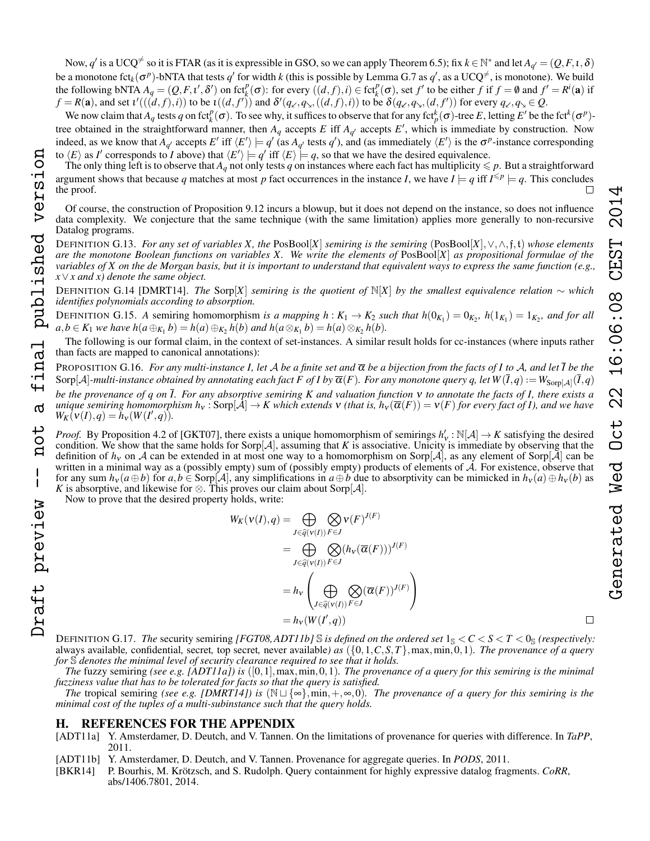Now,  $q'$  is a UCQ<sup> $\neq$ </sup> so it is FTAR (as it is expressible in GSO, so we can apply Theorem [6.5\)](#page-6-4); fix  $k \in \mathbb{N}^*$  and let  $A_{q'} = (Q, F, \iota, \delta)$ be a monotone fct<sub>k</sub>( $\sigma^p$ )-bNTA that tests  $q'$  for width  $k$  (this is possible by Lemma [G.7](#page-25-2) as  $q'$ , as a UCQ<sup> $\neq$ </sup>, is monotone). We build the following bNTA  $A_q = (Q, F, t', \delta')$  on  $fct_k^p(\sigma)$ : for every  $((d, f), i) \in fct_k^p(\sigma)$ , set  $f'$  to be either f if  $f = \emptyset$  and  $f' = R^i(\mathbf{a})$  if  $f = R(\mathbf{a})$ , and set  $\iota'((d, f), i)$  to be  $\iota((d, f'))$  and  $\delta'(q_{\kappa}, q_{\lambda}, ((d, f), i))$  to be  $\delta(q_{\kappa}, q_{\lambda}, (d, f'))$  for every  $q_{\kappa}, q_{\lambda} \in Q$ .

We now claim that  $A_q$  tests  $q$  on fct $_k^p(\sigma)$ . To see why, it suffices to observe that for any fct $_k^k(\sigma)$ -tree *E*, letting *E'* be the fct<sup>k</sup> $(\sigma^p)$ tree obtained in the straightforward manner, then  $A_q$  accepts  $E$  iff  $A_{q'}$  accepts  $E'$ , which is immediate by construction. Now indeed, as we know that  $A_{q'}$  accepts  $E'$  iff  $\langle E' \rangle \models q'$  (as  $A_{q'}$  tests  $q'$ ), and (as immediately  $\langle E' \rangle$  is the  $\sigma^p$ -instance corresponding to  $\langle E \rangle$  as *I'* corresponds to *I* above) that  $\langle E' \rangle \models q'$  iff  $\langle E \rangle \models q$ , so that we have the desired equivalence.

The only thing left is to observe that  $A_q$  not only tests q on instances where each fact has multiplicity  $\leq p$ . But a straightforward argument shows that because q matches at most p fact occurrences in the instance I, we have  $I \models q$  iff  $I^{\leq p} \models q$ . This concludes the proof.  $\Box$ 

Of course, the construction of Proposition [9.12](#page-10-1) incurs a blowup, but it does not depend on the instance, so does not influence data complexity. We conjecture that the same technique (with the same limitation) applies more generally to non-recursive Datalog programs.

DEFINITION G.13. *For any set of variables X, the* PosBool[*X*] *semiring is the semiring* (PosBool[*X*],∨,∧,f,t) *whose elements are the monotone Boolean functions on variables X. We write the elements of* PosBool[*X*] *as propositional formulae of the variables of X on the de Morgan basis, but it is important to understand that equivalent ways to express the same function (e.g., x*∨*x and x) denote the same object.*

DEFINITION G.14 [DMRT14]. *The* Sorp[*X*] *semiring is the quotient of* N[*X*] *by the smallest equivalence relation* ∼ *which identifies polynomials according to absorption.*

DEFINITION G.15. A semiring homomorphism *is a mapping*  $h: K_1 \to K_2$  such that  $h(0_{K_1}) = 0_{K_2}$ ,  $h(1_{K_1}) = 1_{K_2}$ , and for all  $a,b \in K_1$  we have  $h(a \oplus_{K_1} b) = h(a) \oplus_{K_2} h(b)$  and  $h(a \otimes_{K_1} b) = h(a) \otimes_{K_2} h(b)$ .

The following is our formal claim, in the context of set-instances. A similar result holds for cc-instances (where inputs rather than facts are mapped to canonical annotations):

PROPOSITION G.16. *For any multi-instance I, let* A *be a finite set and* α *be a bijection from the facts of I to* A*, and let I be the*  $Sorp[A]$ -multi-instance obtained by annotating each fact F of I by  $\overline{\alpha}(F)$ . For any monotone query q, let  $W(\overline{I}, q) := W_{Sorp[A]}(\overline{I}, q)$ *be the provenance of q on I. For any absorptive semiring K and valuation function* ν *to annotate the facts of I, there exists a unique semiring homomorphism h<sub>v</sub>*: Sorp[ $\tilde{\mathcal{A}}$ ]  $\to K$  which extends **v** *(that is, h<sub>v</sub>*( $\overline{\alpha}(F)$ ) = **v**(*F*) *for every fact of I*), and we have  $W_K(V(I), q) = h_V(W(I', q)).$ Draft preview -- not a final published version

*Proof.* By Proposition 4.2 of [GKT07], there exists a unique homomorphism of semirings  $h'_v : \mathbb{N}[A] \to K$  satisfying the desired condition. We show that the same holds for  $\text{Sorp}[\mathcal{A}]$ , assuming that *K* is associative. Unicity is immediate by observing that the definition of  $h_v$  on A can be extended in at most one way to a homomorphism on Sorp[A], as any element of Sorp[A] can be written in a minimal way as a (possibly empty) sum of (possibly empty) products of elements of  $A$ . For existence, observe that for any sum  $h_v(a \oplus b)$  for  $a, b \in \text{Sorp}[\mathcal{A}]$ , any simplifications in  $a \oplus b$  due to absorptivity can be mimicked in  $h_v(a) \oplus h_v(b)$  as *K* is absorptive, and likewise for  $\otimes$ . This proves our claim about Sorp[ $\mathcal{A}$ ].

Now to prove that the desired property holds, write:

published version

inal

൪

tor

 $\mathsf I$ 

Draft preview

$$
W_K(v(I), q) = \bigoplus_{J \in \widehat{q}(v(I))} \bigotimes_{F \in J} v(F)^{J(F)}
$$
  
= 
$$
\bigoplus_{J \in \widehat{q}(v(I))} \bigotimes_{F \in J} (h_v(\overline{\alpha}(F)))^{J(F)}
$$
  
= 
$$
h_v \left( \bigoplus_{J \in \widehat{q}(v(I))} \bigotimes_{F \in J} (\overline{\alpha}(F))^{J(F)} \right)
$$
  
= 
$$
h_v(W(I', q))
$$

DEFINITION G.17. *The security semiring [FGT08,ADT11b]*  $\mathbb S$  *is defined on the ordered set*  $1_\mathbb S < C < S < T < 0_\mathbb S$  *(respectively:* always available*,* confidential*,* secret*,* top secret*,* never available*) as* ({0,1,*C*,*S*,*T*},max,min,0,1)*. The provenance of a query for* S *denotes the minimal level of security clearance required to see that it holds.*

*The* fuzzy semiring *(see e.g. [ADT11a]) is* ([0,1],max,min,0,1)*. The provenance of a query for this semiring is the minimal fuzziness value that has to be tolerated for facts so that the query is satisfied.*

*The* tropical semiring *(see e.g. [DMRT14]) is*  $(N \sqcup \{\infty\}, \min, +, \infty, 0)$ *. The provenance of a query for this semiring is the minimal cost of the tuples of a multi-subinstance such that the query holds.*

# H. REFERENCES FOR THE APPENDIX

- [ADT11a] Y. Amsterdamer, D. Deutch, and V. Tannen. On the limitations of provenance for queries with difference. In *TaPP*, 2011.
- [ADT11b] Y. Amsterdamer, D. Deutch, and V. Tannen. Provenance for aggregate queries. In *PODS*, 2011.
- [BKR14] P. Bourhis, M. Krötzsch, and S. Rudolph. Query containment for highly expressive datalog fragments. *CoRR*, abs/1406.7801, 2014.

 $\Box$